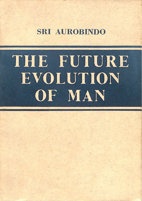# **SRI AUROBINDO**

# THE FUTURE EVOLUTION OF MAN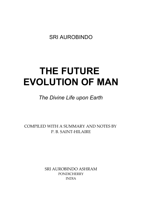SRI AUROBINDO

# **THE FUTURE EVOLUTION OF MAN**

# *The Divine Life upon Earth*

COMPILED WITH A SUMMARY AND NOTES BY P. B. SAINT-HILAIRE

> SRI AUROBINDO ASHRAM **PONDICHERRY** INDIA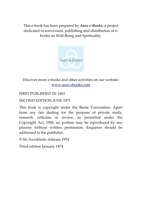This e-book has been prepared by *Auro e-Books*, a project dedicated to conversion, publishing and distribution of ebooks on Well-Being and Spirituality.



Discover more e-books and other activities on our website: [www.auro-ebooks.com](http://www.auro-ebooks.com/)

FIRST PUBLISHED IN 1963

SECOND EDITION JUNE 1971

This book is copyright under the Berne Convention. Apart from any fair dealing for the purpose of private study, research, criticism or review, as permitted under the Copyright Act, 1956, no portion may be reproduced by any process without written permission. Enquiries should be addressed to the publisher.

© Sri Aurobindo Ashram 1974

Third edition January 1974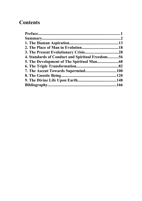# **Contents**

| 4. Standards of Conduct and Spiritual Freedom56 |  |
|-------------------------------------------------|--|
|                                                 |  |
|                                                 |  |
|                                                 |  |
|                                                 |  |
|                                                 |  |
|                                                 |  |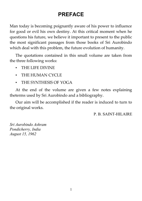# <span id="page-4-0"></span>**PREFACE**

Man today is becoming poignantly aware of his power to influence for good or evil his own destiny. At this critical moment when he questions his future, we believe it important to present to the public the most significant passages from those books of Sri Aurobindo which deal with this problem, the future evolution of humanity.

The quotations contained in this small volume are taken from the three following works:

- THE LIFE DIVINE
- THE HUMAN CYCLE
- THE SYNTHESIS OF YOGA

At the end of the volume are given a few notes explaining theterms used by Sri Aurobindo and a bibliography.

Our aim will be accomplished if the reader is induced to turn to the original works.

P. B. SAINT-HILAIRE

*Sri Aurobindo Ashram Pondicherry, India August 15, 1962*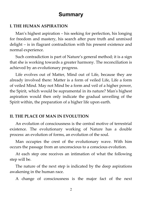# <span id="page-5-0"></span>**Summary**

#### **I. THE HUMAN ASPIRATION**

Man's highest aspiration – his seeking for perfection, his longing for freedom and mastery, his search after pure truth and unmixed delight – is in flagrant contradiction with his present existence and normal experience.

Such contradiction is part of Nature's general method; it is a sign that she is working towards a greater harmony. The reconciliation is achieved by an evolutionary progress.

Life evolves out of Matter, Mind out of Life, because they are already involved there: Matter is a form of veiled Life, Life a form of veiled Mind. May not Mind be a form and veil of a higher power, the Spirit, which would be supramental in its nature? Man's highest aspiration would then only indicate the gradual unveiling of the Spirit within, the preparation of a higher life upon earth.

#### **II. THE PLACE OF MAN IN EVOLUTION**

An evolution of consciousness is the central motive of terrestrial existence. The evolutionary working of Nature has a double process: an evolution of forms, an evolution of the soul.

Man occupies the crest of the evolutionary wave. With him occurs the passage from an unconscious to a conscious evolution.

At each step one receives an intimation of what the following step will be.

The nature of the next step is indicated by the deep aspirations awakening in the human race.

A change of consciousness is the major fact of the next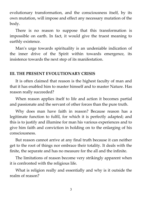evolutionary transformation, and the consciousness itself, by its own mutation, will impose and effect any necessary mutation of the body.

There is no reason to suppose that this transformation is impossible on earth. In fact, it would give the truest meaning to earthly existence.

Man's urge towards spirituality is an undeniable indication of the inner drive of the Spirit within towards emergence, its insistence towards the next step of its manifestation.

#### **III. THE PRESENT EVOLUTIONARY CRISIS**

It is often claimed that reason is the highest faculty of man and that it has enabled him to master himself and to master Nature. Has reason really succeeded?

When reason applies itself to life and action it becomes partial and passionate and the servant of other forces than the pure truth.

Why does man have faith in reason? Because reason has a legitimate function to fulfil, for which it is perfectly adapted; and this is to justify and illumine for man his various experiences and to give him faith and conviction in holding on to the enlarging of his consciousness.

But reason cannot arrive at any final truth because it can neither get to the root of things nor embrace their totality. It deals with the finite, the separate and has no measure for the all and the infinite.

The limitations of reason become very strikingly apparent when it is confronted with the religious life.

What is religion really and essentially and why is it outside the realm of reason?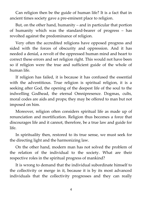Can religion then be the guide of human life? It is a fact that in ancient times society gave a pre-eminent place to religion.

But, on the other hand, humanity – and in particular that portion of humanity which was the standard-bearer of progress – has revolted against the predominance of religion.

Very often the accredited religions have opposed progress and sided with the forces of obscurity and oppression. And it has needed a denial, a revolt of the oppressed human mind and heart to correct these errors and set religion right. This would not have been so if religion were the true and sufficient guide of the whole of human life.

If religion has failed, it is because it has confused the essential with the adventitious. True religion is spiritual religion, it is a seeking after God, the opening of the deepest life of the soul to the indwelling Godhead, the eternal Omnipresence. Dogmas, cults, moral codes are aids and props; they may be offered to man but not imposed on him.

Moreover, religion often considers spiritual life as made up of renunciation and mortification. Religion thus becomes a force that discourages life and it cannot, therefore, be a true law and guide for life.

In spirituality then, restored to its true sense, we must seek for the directing light and the harmonizing law.

On the other hand, modern man has not solved the problem of the relation of the individual to the society. What are their respective roles in the spiritual progress of mankind?

It is wrong to demand that the individual subordinate himself to the collectivity or merge in it, because it is by its most advanced individuals that the collectivity progresses and they can really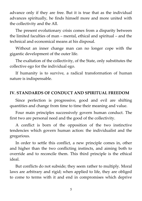advance only if they are free. But it is true that as the individual advances spiritually, he finds himself more and more united with the collectivity and the All.

The present evolutionary crisis comes from a disparity between the limited faculties of man – mental, ethical and spiritual – and the technical and economical means at his disposal.

Without an inner change man can no longer cope with the gigantic development of the outer life.

The exaltation of the collectivity, of the State, only substitutes the collective ego for the individual ego.

If humanity is to survive, a radical transformation of human nature is indispensable.

#### **IV. STANDARDS OF CONDUCT AND SPIRITUAL FREEDOM**

Since perfection is progressive, good and evil are shifting quantities and change from time to time their meaning and value.

Four main principles successively govern human conduct. The first two are personal need and the good of the collectivity.

A conflict is born of the opposition of the two instinctive tendencies which govern human action: the individualist and the gregarious.

In order to settle this conflict, a new principle comes in, other and higher than the two conflicting instincts, and aiming both to override and to reconcile them. This third principle is the ethical ideal.

But conflicts do not subside; they seem rather to multiply. Moral laws are arbitrary and rigid; when applied to life, they are obliged to come to terms with it and end in compromises which deprive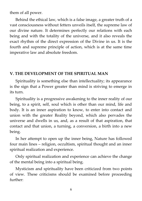them of all power.

Behind the ethical law, which is a false image, a greater truth of a vast consciousness without fetters unveils itself, the supreme law of our divine nature. It determines perfectly our relations with each being and with the totality of the universe, and it also reveals the exact rhythm of the direct expression of the Divine in us. It is the fourth and supreme principle of action, which is at the same time imperative law and absolute freedom.

#### **V. THE DEVELOPMENT OF THE SPIRITUAL MAN**

Spirituality is something else than intellectuality; its appearance is the sign that a Power greater than mind is striving to emerge in its turn.

Spirituality is a progressive awakening to the inner reality of our being, to a spirit, self, soul which is other than our mind, life and body. It is an inner aspiration to know, to enter into contact and union with the greater Reality beyond, which also pervades the universe and dwells in us, and, as a result of that aspiration, that contact and that union, a turning, a conversion, a birth into a new being.

In her attempt to open up the inner being, Nature has followed four main lines – religion, occultism, spiritual thought and an inner spiritual realization and experience.

Only spiritual realization and experience can achieve the change of the mental being into a spiritual being.

Mysticism and spirituality have been criticized from two points of view. These criticisms should be examined before proceeding further: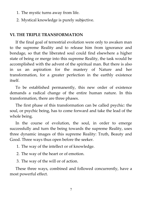- 1. The mystic turns away from life.
- 2. Mystical knowledge is purely subjective.

#### **VI. THE TRIPLE TRANSFORMATION**

If the final goal of terrestrial evolution were only to awaken man to the supreme Reality and to release him from ignorance and bondage, so that the liberated soul could find elsewhere a higher state of being or merge into this supreme Reality, the task would be accomplished with the advent of the spiritual man. But there is also in us an aspiration for the mastery of Nature and her transformation, for a greater perfection in the earthly existence itself.

To be established permanently, this new order of existence demands a radical change of the entire human nature. In this transformation, there are three phases.

The first phase of this transformation can be called psychic: the soul, or psychic being, has to come forward and take the lead of the whole being.

In the course of evolution, the soul, in order to emerge successfully and turn the being towards the supreme Reality, uses three dynamic images of this supreme Reality: Truth, Beauty and Good. Three ways thus open before the seeker.

1. The way of the intellect or of knowledge.

2. The way of the heart or of emotion.

3. The way of the will or of action.

These three ways, combined and followed concurrently, have a most powerful effect.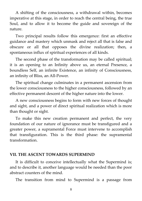A shifting of the consciousness, a withdrawal within, becomes imperative at this stage, in order to reach the central being, the true Soul, and to allow it to become the guide and sovereign of the nature.

Two principal results follow this emergence: first an effective guidance and mastery which unmask and reject all that is false and obscure or all that opposes the divine realization; then, a spontaneous influx of spiritual experiences of all kinds.

The second phase of the transformation may be called spiritual; it is an opening to an Infinity above us, an eternal Presence, a boundless Self, an infinite Existence, an infinity of Consciousness, an infinity of Bliss, an All-Power.

The spiritual change culminates in a permanent ascension from the lower consciousness to the higher consciousness, followed by an effective permanent descent of the higher nature into the lower.

A new consciousness begins to form with new forces of thought and sight, and a power of direct spiritual realization which is more than thought or sight.

To make this new creation permanent and perfect, the very foundation of our nature of ignorance must be transfigured and a greater power, a supramental Force must intervene to accomplish that transfiguration. This is the third phase: the supramental transformation.

#### **VII. THE ASCENT TOWARDS SUPERMIND**

It is difficult to conceive intellectually what the Supermind is; and to describe it, another language would be needed than the poor abstract counters of the mind.

The transition from mind to Supermind is a passage from

8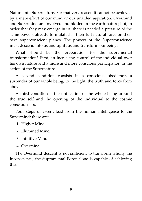Nature into Supernature. For that very reason it cannot be achieved by a mere effort of our mind or our unaided aspiration. Overmind and Supermind are involved and hidden in the earth-nature; but, in order that they may emerge in us, there is needed a pressure of the same powers already formulated in their full natural force on their own superconscient planes. The powers of the Superconscience must descend into us and uplift us and transform our being.

What should be the preparation for the supramental transformation? First, an increasing control of the individual over his own nature and a more and more conscious participation in the action of the Supernature.

A second condition consists in a conscious obedience, a surrender of our whole being, to the light, the truth and force from above.

A third condition is the unification of the whole being around the true self and the opening of the individual to the cosmic consciousness.

Four steps of ascent lead from the human intelligence to the Supermind; these are:

- 1. Higher Mind.
- 2. Illumined Mind.
- 3. Intuitive Mind.
- 4. Overmind.

The Overmind descent is not sufficient to transform wholly the Inconscience, the Supramental Force alone is capable of achieving this.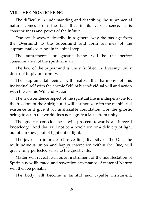#### **VIII. THE GNOSTIC BEING**

The difficulty in understanding and describing the supramental nature comes from the fact that in its very essence, it is consciousness and power of the Infinite.

One can, however, describe in a general way the passage from the Overmind to the Supermind and form an idea of the supramental existence in its initial step.

The supramental or gnostic being will be the perfect consummation of the spiritual man.

The law of the Supermind is unity fulfilled in diversity; unity does not imply uniformity.

The supramental being will realize the harmony of his individual self with the cosmic Self, of his individual will and action with the cosmic Will and Action.

The transcendence aspect of the spiritual life is indispensable for the freedom of the Spirit; but it will harmonize with the manifested existence and give it an unshakable foundation. For the gnostic being, to act in the world does not signify a lapse from unity.

The gnostic consciousness will proceed towards an integral knowledge. And that will not be a revelation or a delivery of light out of darkness, but of light out of light.

The joy of an intimate self-revealing diversity of the One, the multitudinous union and happy interaction within the One, will give a fully perfected sense to the gnostic life.

Matter will reveal itself as an instrument of the manifestation of Spirit; a new liberated and sovereign acceptance of material Nature will then be possible.

The body will become a faithful and capable instrument,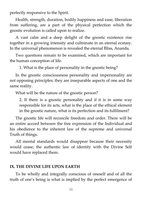perfectly responsive to the Spirit.

Health, strength, duration, bodily happiness and ease, liberation from suffering, are a part of the physical perfection which the gnostic evolution is called upon to realize.

A vast calm and a deep delight of the gnostic existence rise together in a growing intensity and culminate in an eternal ecstasy. In the universal phenomenon is revealed the eternal Bliss, Ananda.

Two questions remain to be examined, which are important for the human conception of life.

1. What is the place of personality in the gnostic being?

In the gnostic consciousness personality and impersonality are not opposing principles; they are inseparable aspects of one and the same reality.

What will be the nature of the gnostic person?

2. If there is a gnostic personality and if it is in some way responsible for its acts, what is the place of the ethical element in the gnostic nature, what is its perfection and its fulfilment?

The gnostic life will reconcile freedom and order. There will be an entire accord between the free expression of the Individual and his obedience to the inherent law of the supreme and universal Truth of things.

All mental standards would disappear because their necessity would cease; the authentic law of identity with the Divine Self would have replaced them.

#### **IX. THE DIVINE LIFE UPON EARTH**

To be wholly and integrally conscious of oneself and of all the truth of one's being is what is implied by the perfect emergence of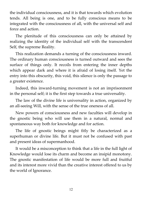the individual consciousness, and it is that towards which evolution tends. All being is one, and to be fully conscious means to be integrated with the consciousness of all, with the universal self and force and action.

The plenitude of this consciousness can only be attained by realizing the identity of the individual self with the transcendent Self, the supreme Reality.

This realization demands a turning of the consciousness inward. The ordinary human consciousness is turned outward and sees the surface of things only. It recoils from entering the inner depths which appear dark and where it is afraid of losing itself. Yet the entry into this obscurity, this void, this silence is only the passage to a greater existence.

Indeed, this inward-turning movement is not an imprisonment in the personal self; it is the first step towards a true universality.

The law of the divine life is universality in action, organized by an all-seeing Will, with the sense of the true oneness of all.

New powers of consciousness and new faculties will develop in the gnostic being who will use them in a natural, normal and spontaneous way both for knowledge and for action.

The life of gnostic beings might fitly be characterized as a superhuman or divine life. But it must not be confused with past and present ideas of supermanhood.

It would be a misconception to think that a life in the full light of Knowledge would lose its charm and become an insipid monotony. The gnostic manifestation of life would be more full and fruitful and its interest more vivid than the creative interest offered to us by the world of Ignorance.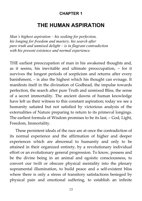#### <span id="page-16-0"></span>**CHAPTER 1**

# **THE HUMAN ASPIRATION**

*Man's highest aspiration – his seeking for perfection, his longing for freedom and mastery, his search after pure truth and unmixed delight – is in flagrant contradiction with his present existence and normal experience.*

THE earliest preoccupation of man in his awakened thoughts and, as it seems, his inevitable and ultimate preoccupation, – for it survives the longest periods of scepticism and returns after every banishment, – is also the highest which his thought can evisage. It manifests itself in the divination of Godhead, the impulse towards perfection, the search after pure Truth and unmixed Bliss, the sense of a secret immortality. The ancient dawns of human knowledge have left us their witness to this constant aspiration; today we see a humanity satiated but not satisfied by victorious analysis of the externalities of Nature preparing to return to its primeval longings. The earliest formula of Wisdom promises to be its last, – God, Light, Freedom, Immortality.

These persistent ideals of the race are at once the contradiction of its normal experience and the affirmation of higher and deeper experiences which are abnormal to humanity and only to be attained in their organized entirety, by a revolutionary individual effort or an evolutionary general progression. To know, possess and be the divine being in an animal and egoistic consciousness, to convert our twilt or obscure physical mentality into the plenary supramental illumination, to build peace and a self-existent bliss where there is only a stress of transitory satisfactions besieged by physical pain and emotional suffering, to establish an infinite

13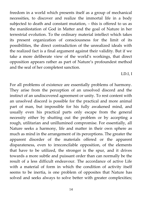freedom in a world which presents itself as a group of mechanical necessities, to discover and realize the immortal life in a body subjected to death and constant mutation, – this is offered to us as the manifestation of God in Matter and the goal of Nature in her terrestrial evolution. To the ordinary material intellect which takes its present organization of consciousness for the limit of its possibilities, the direct contradiction of the unrealized ideals with the realized fact is a final argument against their validity. But if we take a more deliberate view of the world's workings, that direct opposition appears rather as part of Nature's profoundest method and the seal of her completest sanction.

#### LD.I, I

For all problems of existence are essentially problems of harmony. They arise from the perception of an unsolved discord and the instinct of an undiscovered agreement or unity. To rest content with an unsolved discord is possible for the practical and more animal part of man, but impossible for his fully awakened mind, and usually even his practical parts only escape from the general necessity either by shutting out the problem or by accepting a rough, utilitarian and unillumined compromise. For essentially, all Nature seeks a harmony, life and matter in their own sphere as much as mind in the arrangement of its perceptions. The greater the apparent disorder of the materials offered or the apparent disparateness, even to irreconcilable opposition, of the elements that have to be utilized, the stronger is the spur, and it drives towards a more subtle and puissant order than can normally be the result of a less difficult endeavour. The accordance of active Life with a material of form in which the condition of activity itself seems to be inertia, is one problem of opposites that Nature has solved and seeks always to solve better with greater complexities;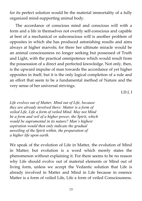for its perfect solution would be the material immortality of a fully organized mind-supporting animal body.

The accordance of conscious mind and conscious will with a form and a life in themselves not overtly self-conscious and capable at best of a mechanical or subconscious will is another problem of opposites in which she has produced astonishing results and aims always at higher marvels; for there her ultimate miracle would be an animal consciousness no longer seeking but possessed of Truth and Light, with the practical omnipotence which would result from the possesssion of a direct and perfected knowledge. Not only, then, is the upward impulse of man towards the accordance of yet higher opposites in itself, but it is the only logical completion of a rule and an effort that seem to be a fundamental method of Nature and the very sense of her universal strivings.

LD.I, I

*Life evolves out of Matter, Mind out of Life, because they are already involved there: Matter is a form of veiled Life, Life a form of veiled Mind. May not Mind be a form and veil of a higher power, the Spirit, which would be supramental in its nature? Man's highest aspiration would then only indicate the gradual unveiling of the Spirit within, the preparation of a higher life upon earth.*

We speak of the evolution of Life in Matter, the evolution of Mind in Matter; but evolution is a word which merely states the phenomenon without explaining it. For there seems to be no reason why Life should evolve out of material elements or Mind out of living form, unless we accept the Vedantic solution that Life is already involved in Matter and Mind in Life because in essence Matter is a form of veiled Life, Life a form of veiled Consciousness.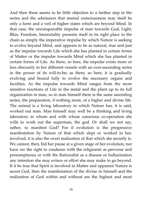And then there seems to be little objection to a farther step in the series and the admission that mental consciousness may itself be only a form and a veil of higher states which are beyond Mind. In that case, the unconquerable impulse of man towards God, Light, Bliss, Freedom, Immortality presents itself in its right place in the chain as simply the imperative impulse by which Nature is seeking to evolve beyond Mind, and appears to be as natural, true and just as the impulse towards Life which she has planted in certain forms of Matter or the impulse towards Mind which she has planted in certain forms of Life. As there, so here, the impulse exists more or less obscurely in her different vessels with an ever-ascending series in the power of its will-to-be; as there, so here, it is gradually evolving and bound fully to evolve the necessary organs and faculties. As the impulse towards Mind ranges from the more sensitive reactions of Life in the metal and the plant up to its full organization in man, so in man himself there is the same ascending series, the preparation, if nothing more, of a higher and divine life. The animal is a living laboratory in which Nature has, it is said, worked out man. Man himself may well be a thinking and living laboratory in whom and with whose conscious co-operation she wills to work out the superman, the god. Or shall we not say, rather, to manifest God? For if evolution is the progressive manifestation by Nature of that which slept or worked in her, involved, it is also the overt realization of that which she secretly is. We cannot, then, bid her pause at a given stage of her evolution, nor have we the right to condemn with the religionist as perverse and presumptuous or with the Rationalist as a disease or hallucination any intention she may evince or effort she may make to go beyond. If it be true that Spirit is involved in Matter and apparent Nature is secret God, then the manifestation of the divine in himself and the realization of God within and without are the highest and most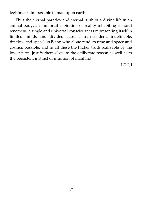legitimate aim possible to man upon earth.

Thus the eternal paradox and eternal truth of a divine life in an animal body, an immortal aspiration or reality inhabiting a moral tenement, a single and universal consciousness representing itself in limited minds and divided egos, a transcendent, indefinable, timeless and spaceless Being who alone renders time and space and cosmos possible, and in all these the higher truth realizable by the lower term, justify themselves to the deliberate reason as well as to the persistent instinct or intuition of mankind.

LD.I, I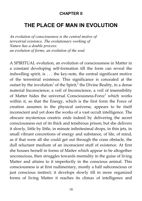#### <span id="page-21-0"></span>**CHAPTER II**

# **THE PLACE OF MAN IN EVOLUTION**

*An evolution of consciousness is the central motive of terrestrial existence. The evolutionary working of Nature has a double process: an evolution of forms, an evolution of the soul.*

A SPIRITUAL evolution, an evolution of consciousness in Matter in a constant developing self-formation till the form can reveal the indwelling spirit, is . . . the key-note, the central significant motive of the terrestrial existence. This significance is concealed at the outset by the involution<sup>[1](#page-175-0)</sup> of the Spirit,<sup>[2](#page-176-0)</sup> the Divine Reality, in a dense material Inconscience; a veil of Inconscience, a veil of insensibility of Matter hides the universal Consciousness-Force<sup>[3](#page-177-0)</sup> which works within it, so that the Energy, which is the first form the Force of creation assumes in the physical universe, appears to be itself inconscient and yet does the works of a vast occult intelligence. The obscure mysterious creatrix ends indeed by delivering the secret consciousness out of its thick and tenebrous prison; but she delivers it slowly, little by little, in minute infinitesimal drops, in thin jets, in small vibrant concretions of energy and substance, of life, of mind, as if that were all she could get out through the crass obstacle, the dull reluctant medium of an inconscient stuff of existence. At first she houses herself in forms of Matter which appear to be altogether unconscious, then struggles towards mentality in the guise of living Matter and attains to it imperfectly in the conscious animal. This consciousness is at first rudimentary, mostly a half subconscious or just conscious instinct; it develops slowly till in more organized forms of living Matter it reaches its climax of intelligence and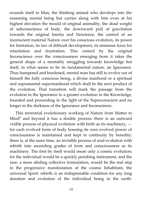exceeds itself in Man, the thinking animal who develops into the reasoning mental being but carries along with him even at his highest elevation the mould of original animality, the dead weight of subconscience of body, the downward pull of gravitation towards the original Inertia and Nescience, the control of an inconscient material Nature over his conscious evolution, its power for limitation, its law of difficult development, its immense force for retardation and frustration. This control by the original Inconscience over the consciousness emerging from it takes the general shape of a mentality struggling towards knowledge but itself, in what seems to be its fundamental nature, an Ignorance. Thus hampered and burdened, mental man has still to evolve out of himself the fully conscious being, a divine manhood or a spiritual and supramental supermanhood which shall be the next product of the evolution. That transition will mark the passage from the evolution in the Ignorance to a greater evolution in the Knowledge, founded and proceeding in the light of the Superconscient and no longer in the darkness of the Ignorance and Inconscience.

This terrestrial evolutionary working of Nature from Matter to Mind<sup>[4](#page-177-1)</sup> and beyond it has a double process: there is an outward visible process of physical evolution with birth as its machinery, for each evolved form of body housing its own evolved power of consciousness is maintained and kept in continuity by heredity; there is, at the same time, an invisible process of soul evolution with rebirth into ascending grades of form and consciousness as its machinery. The first by itself would mean only a cosmic evolution; for the individual would be a quickly perishing instrument, and the race, a more abiding collective formulation, would be the real step in the progressive manifestation of the cosmic Inhabitant, the universal Spirit: rebirth is an indispensable condition for any long duration and evolution of the individual being in the earth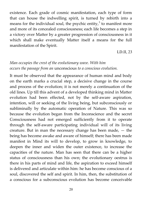existence. Each grade of cosmic manifestation, each type of form that can house the indwelling spirit, is turned by rebirth into a means for the individual soul, the psychic entity, $5$  to manifest more and more of its concealed consciousness; each life becomes a step in a victory over Matter by a greater progression of consciousness in it which shall make eventually Matter itself a means for the full manifestation of the Spirit.

LD.II, 23

#### *Man occupies the crest of the evolutionary wave. With him occurs the passage from an* unconscious *to a conscious evolution.*

It must be observed that the appearance of human mind and body on the earth marks a crucial step, a decisive change in the course and process of the evolution; it is not merely a continuation of the old lines. Up till this advent of a developed thinking mind in Matter evolution had been effected, not by the self-aware aspiration, intention, will or seeking of the living being, but subconsciously or subliminally by the automatic operation of Nature. This was so because the evolution began from the Inconscience and the secret Consciousness had not emerged sufficiently from it to operate through the self-aware participating individual will of its living creature. But in man the necessary change has been made, — the being has become awake and aware of himself; there has been made manifest in Mind its will to develop, to grow in knowledge, to deepen the inner and widen the outer existence, to increase the capacities of the nature. Man has seen that there can be a higher status of consciousness than his own; the evolutionary oestrus is there in his parts of mind and life, the aspiration to exceed himself is delivered and articulate within him: he has become conscious of a soul, discovered the self and spirit. In him, then, the substitution of a conscious for a subconscious evolution has become conceivable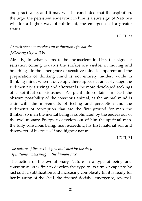and practicable, and it may well be concluded that the aspiration, the urge, the persistent endeavour in him is a sure sign of Nature's will for a higher way of fulfilment, the emergence of a greater status.

LD.II, 23

#### *At each step one receives an intimation of what the following step will be.*

Already, in what seems to be inconscient in Life, the signs of sensation coming towards the surface are visible; in moving and breathing life the emergence of sensitive mind is apparent and the preparation of thinking mind is not entirely hidden, while in thinking mind, when it develops, there appear at an early stage the rudimentary strivings and afterwards the more developed seekings of a spiritual consciousness. As plant life contains in itself the obscure possibility of the conscious animal, as the animal mind is astir with the movements of feeling and perception and the rudiments of conception that are the first ground for man the thinker, so man the mental being is sublimated by the endeavour of the evolutionary Energy to develop out of him the spiritual man, the fully conscious being, man exceeding his first material self and discoverer of his true self and highest nature.

LD.II, 24

#### *The nature of the next step is indicated by the deep aspirations awakening in the human race.*

The action of the evolutionary Nature in a type of being and consciousness is first to develop the type to its utmost capacity by just such a subtilization and increasing complexity till it is ready for her bursting of the shell, the ripened decisive emergence, reversal,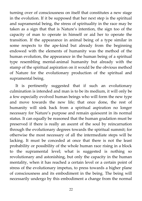turning over of consciousness on itself that constitutes a new stage in the evolution. If it be supposed that her next step is the spiritual and supramental being, the stress of spirituality in the race may be taken as a sign that that is Nature's intention, the sign too of the capacity of man to operate in himself or aid her to operate the transition. If the appearance in animal being of a type similar in some respects to the ape-kind but already from the beginning endowed with the elements of humanity was the method of the human evolution, the appearance in the human being of a spiritual type resembling mental-animal humanity but already with the stamp of the spiritual aspiration on it would be the obvious method of Nature for the evolutionary production of the spiritual and supramental being.

It is pertinently suggested that if such an evolutionary culmination is intended and man is to be its medium, it will only be a few especially evolved human beings who will form the new type and move towards the new life; that once done, the rest of humanity will sink back from a spiritual aspiration no longer necessary for Nature's purpose and remain quiescent in its normal status. It can equally be reasoned that the human gradation must be preserved if there is really an ascent of the soul by reincarnation through the evolutionary degrees towards the spiritual summit; for otherwise the most necessary of all the intermediate steps will be lacking. It must be conceded at once that there is not the least probability or possibility of the whole human race rising in a block to the supramental level; what is suggested is nothing so revolutionary and astonishing, but only the capacity in the human mentality, when it has reached a certain level or a certain point of stress of the evolutionary impetus, to press towards a higher plane of consciousness and its embodiment in the being. The being will necessarily undergo by this embodiment a change from the normal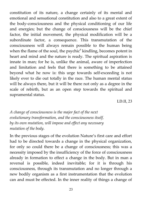constitution of its nature, a change certainly of its mental and emotional and sensational constitution and also to a great extent of the body-consciousness and the physical conditioning of our life and energies; but the change of consciousness will be the chief factor, the initial movement, the physical modification will be a subordinate factor, a consequence. This transmutation of the consciousness will always remain possible to the human being when the flame of the soul, the psychic<sup>[6](#page-178-0)</sup> kindling, becomes potent in heart and mind and the nature is ready. The spiritual aspiration is innate in man; for he is, unlike the animal, aware of imperfection and limitation and feels that there is something to be attained beyond what he now is: this urge towards self-exceeding is not likely ever to die out totally in the race. The human mental status will be always there, but it will be there not only as a degree in the scale of rebirth, but as an open step towards the spiritual and supramental status.

LD.II, 23

*A change of consciousness is the major fact of the next evolutionary transformation, and the consciousness itself, by its own mutation, will impose and effect any necessary mutation of the body.*

In the previous stages of the evolution Nature's first care and effort had to be directed towards a change in the physical organization, for only so could there be a change of consciousness; this was a necessity imposed by the insufficiency of the force of consciousness already in formation to effect a change in the body. But in man a reversal is possible, indeed inevitable; for it is through his consciousness, through its transmutation and no longer through a new bodily organism as a first instrumentation that the evolution can and must be effected. In the inner reality of things a change of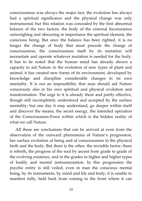consciousness was always the major fact, the evolution has always had a spiritual significance and the physical change was only instrumental; but this relation was concealed by the first abnormal balance of the two factors, the body of the external Inconscience outweighing and obscuring in importance the spiritual element, the conscious being. But once the balance has been righted, it is no longer the change of body that must precede the change of consciousness; the consciousness itself by its mutation will necessitate and operate whatever mutation is needed for the body. It has to be noted that the human mind has already shown a capacity to aid Nature in the evolution of new types of plant and animal; it has created new forms of its environment, developed by knowledge and discipline considerable changes in its own mentality. It is not an impossibility that man should aid Nature consciously also in his own spiritual and physical evolution and transformation. The urge to it is already there and partly effective, though still incompletely understood and accepted by the surface mentality; but one day it may understand, go deeper within itself and discover the means, the secret energy, the intended operation of the Consciousness-Force within which is the hidden reality of what we call Nature.

All these are conclusions that can be arrived at even from the observation of the outward phenomena of Nature's progression, her surface evolution of being and of consciousness in the physical birth and the body. But there is the other, the invisible factor; there is rebirth, the progress of the soul by ascent from grade to grade of the evolving existence, and in the grades to higher and higher types of bodily and mental instrumentation. In this progression the psychic entity is still veiled, even in man the conscious mental being, by its instruments, by mind and life and body; it is unable to manifest fully, held back from coming to the front where it can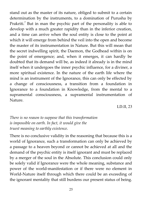stand out as the master of its nature, obliged to submit to a certain determination by the instruments, to a domination of Purusha by Prakriti.<sup>[7](#page-178-1)</sup> But in man the psychic part of the personality is able to develop with a much greater rapidity than in the inferior creation, and a time can arrive when the soul entity is close to the point at which it will emerge from behind the veil into the open and become the master of its instrumentation in Nature. But this will mean that the secret indwelling spirit, the Daemon, the Godhead within is on the point of emergence; and, when it emerges, it can hardly be doubted that its demand will be, as indeed it already is in the mind itself when it undergoes the inner psychic influence, for a diviner, a more spiritual existence. In the nature of the earth life where the mind is an instrument of the Ignorance, this can only be effected by a change of consciousness, a transition from a foundation in Ignorance to a foundation in Knowledge, from the mental to a supramental consciousness, a supramental instrumentation of Nature.

LD.II, 23

*There is no reason to suppose that this transformation is impossible on earth. In fact, it would give the truest meaning to earthly existence.*

There is no conclusive validity in the reasoning that because this is a world of Ignorance, such a transformation can only be achieved by a passage to a heaven beyond or cannot be achieved at all and the demand of the psychic entity is itself ignorant and must be replaced by a merger of the soul in the Absolute. This conclusion could only be solely valid if Ignorance were the whole meaning, substance and power of the world-manifestation or if there were no element in World-Nature itself through which there could be an exceeding of the ignorant mentality that still burdens our present status of being.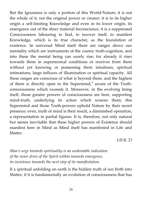But the Ignorance is only a portion of this World-Nature; it is not the whole of it, not the original power or creator: it is in its higher origin a self-limiting Knowledge and even in its lower origin, its emergence out of the sheer material Inconscience, it is a suppressed Consciousness labouring to find, to recover itself, to manifest Knowledge, which is its true character, as the foundation of existence. In universal Mind itself there are ranges above our mentality which are instruments of the cosmic truth-cognition, and into these the mental being can surely rise; for already it rises towards them in supernormal conditions or receives from them without yet knowing or possessing them intuitions, spiritual intimations, large influxes of illumination or spiritual capacity. All these ranges are conscious of what is beyond them, and the highest of them is directly open to the Supermind, $<sup>8</sup>$  $<sup>8</sup>$  $<sup>8</sup>$  aware of the Truth-</sup> consciousness which exceeds it. Moreover, in the evolving being itself, those greater powers of consciousness are here, supporting mind-truth, underlying its action which screens them; this Supermind and those Truth-powers uphold Nature by their secret presence: even, truth of mind is their result, a diminished operation, a representation in partial figures. It is, therefore, not only natural but seems inevitable that these higher powers of Existence should manifest here in Mind as Mind itself has manifested in Life and Matter.

LD.II, 23

*Man's urge towards spirituality is an undeniable indication of the inner drive of the Spirit within towards emergence, its insistence towards the next step of its manifestation.*

If a spiritual unfolding on earth is the hidden truth of our birth into Matter, if it is fundamentally an evolution of consciousness that has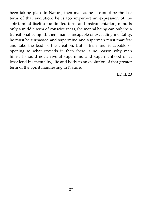been taking place in Nature, then man as he is cannot be the last term of that evolution: he is too imperfect an expression of the spirit, mind itself a too limited form and instrumentation; mind is only a middle term of consciousness, the mental being can only be a transitional being. If, then, man is incapable of exceeding mentality, he must be surpassed and supermind and superman must manifest and take the lead of the creation. But if his mind is capable of opening to what exceeds it, then there is no reason why man himself should not arrive at supermind and supermanhood or at least lend his mentality, life and body to an evolution of that greater term of the Spirit manifesting in Nature.

LD.II, 23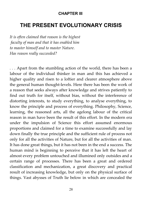#### <span id="page-31-0"></span>**CHAPTER III**

## **THE PRESENT EVOLUTIONARY CRISIS**

*It is often claimed that reason is the highest faculty of man and that it has enabled him to master himself and to master Nature. Has reason really succeeded?*

*. . .* Apart from the stumbling action of the world, there has been a labour of the individual thinker in man and this has achieved a higher quality and risen to a loftier and clearer atmosphere above the general human thought-levels. Here there has been the work of a reason that seeks always after knowledge and strives patiently to find out truth for itself, without bias, without the interference of distorting interests, to study everything, to analyse everything, to know the principle and process of everything. Philosophy, Science, learning, the reasoned arts, all the agelong labour of the critical reason in man have been the result of this effort. In the modern era under the impulsion of Science this effort assumed enormous proportions and claimed for a time to examine successfully and lay down finally the true principle and the sufficient rule of process not only for all the activities of Nature, but for all the activities of man. It has done great things, but it has not been in the end a success. The human mind is beginning to perceive that it has left the heart of almost every problem untouched and illumined only outsides and a certain range of processes. There has been a great and ordered classification and mechanization, a great discovery and practical result of increasing knowledge, but only on the physical surface of things. Vast abysses of Truth lie below in which are concealed the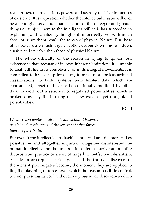real springs, the mysterious powers and secretly decisive influences of existence. It is a question whether the intellectual reason will ever be able to give us an adequate account of these deeper and greater things or subject them to the intelligent will as it has succeeded in explaining and canalizing, though still imperfectly, yet with much show of triumphant result, the forces of physical Nature. But these other powers are much larger, subtler, deeper down, more hidden, elusive and variable than those of physical Nature.

The whole difficulty of the reason in trying to govern our existence is that because of its own inherent limitations it is unable to deal with life in its complexity, or in its integral movements; it is compelled to break it up into parts, to make more or less artificial classifications, to build systems with limited data which are contradicted, upset or have to be continually modified by other data, to work out a selection of regulated potentialities which is broken down by the bursting of a new wave of yet unregulated potentialities.

HC. II

*When reason applies itself to life and action it becomes partial and passionate and the servant of other forces than the pure truth.*

But even if the intellect keeps itself as impartial and disinterested as possible, — and altogether impartial, altogether disinterested the human intellect cannot be unless it is content to arrive at an entire divorce from practice or a sort of large but ineffective tolerantism, eclecticism or sceptical curiosity,  $-$  still the truths it discovers or the ideas it promulgates become, the moment they are applied to life, the plaything of forces over which the reason has little control. Science pursuing its cold and even way has made discoveries which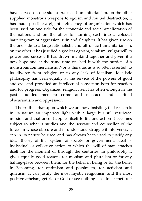have served on one side a practical humanitarianism, on the other supplied monstrous weapons to egoism and mutual destruction; it has made possible a gigantic efficiency of organization which has been used on one side for the economic and social amelioration of the nations and on the other for turning each into a colossal battering-ram of aggression, ruin and slaughter. It has given rise on the one side to a large rationalistic and altruistic humanitarianism, on the other it has justified a godless egoism, vitalism, vulgar will to power and success. It has drawn mankind together and given it a new hope and at the same time crushed it with the burden of a monstrous commercialism. Nor is this due, as is so often asserted, to its divorce from religion or to any lack of idealism. Idealistic philosophy has been equally at the service of the powers of good and evil and provided an intellectual conviction both for reaction and for progress. Organized religion itself has often enough in the past hounded men to crime and massacre and justified obscurantism and oppression.

The truth is that upon which we are now insisting, that reason is in its nature an imperfect light with a large but still restricted mission and that once it applies itself to life and action it becomes subject to what it studies and the servant and counsellor of the forces in whose obscure and ill-understood struggle it intervenes. It can in its nature be used and has always been used to justify any idea, theory of life, system of society or government, ideal of individual or collective action to which the will of man attaches itself for the moment or through the centuries. In philosophy it gives equally good reasons for monism and pluralism or for any halting-place between them, for the belief in Being or for the belief in Becoming, for optimism and pessimism, for activism and quietism. It can justify the most mystic religionism and the most positive atheism, get rid of God or see nothing else. In aesthetics it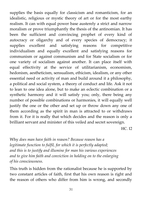supplies the basis equally for classicism and romanticism, for an idealistic, religious or mystic theory of art or for the most earthy realism. It can with equal power base austerely a strict and narrow moralism or prove triumphantly the thesis of the antinomian. It has been the sufficient and convincing prophet of every kind of autocracy or oligarchy and of every species of democracy; it supplies excellent and satisfying reasons for competitive individualism and equally excellent and satisfying reasons for communism or against communism and for State socialism or for one variety of socialism against another. It can place itself with equal effectivity at the service of utilitarianism, economism, hedonism, aestheticism, sensualism, ethicism, idealism, or any other essential need or activity of man and build around it a philosophy, a political and social system, a theory of conduct and life. Ask it not to lean to one idea alone, but to make an eclectic combination or a synthetic harmony and it will satisfy you; only, there being any number of possible combinations or harmonies, it will equally well justify the one or the other and set up or throw down any one of them according as the spirit in man is attracted to or withdraws from it. For it is really that which decides and the reason is only a brilliant servant and minister of this veiled and secret sovereign.

HC. I2

Why *does man have faith in reason? Because reason has a legitimate function to fulfil, for which it is perfectly adapted; and this is to justify and illumine for man his various experiences and to give him faith and conviction in holding on to the enlarging of his consciousness.*

This truth is hidden from the rationalist because he is supported by two constant articles of faith, first that his own reason is right and the reason of others who differ from him is wrong, and secondly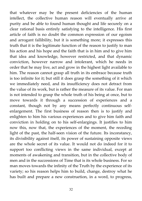that whatever may be the present deficiencies of the human intellect, the collective human reason will eventually arrive at purity and be able to found human thought and life securely on a clear rational basis entirely satisfying to the intelligence. His first article of faith is no doubt the common expression of our egoism and arrogant fallibility, but it is something more; it expresses this truth that it is the legitimate function of the reason to justify to man his action and his hope and the faith that is in him and to give him that idea and knowledge, however restricted, and that dynamic conviction, however narrow and intolerant, which he needs in order that he may live, act and grow in the highest light available to him. The reason cannot grasp all truth in its embrace because truth is too infinite for it; but still it does grasp the something of it which we immediately need, and its insufficiency does not detract from the value of its work, but is rather the measure of its value. For man is not intended to grasp the whole truth of his being at once, but to move towards it through a succession of experiences and a constant, though not by any means perfectly continuous selfenlargement. The first business of reason then is to justify and enlighten to him his various experiences and to give him faith and conviction in holding on to his self-enlargings. It justifies to him now this, now that, the experiences of the moment, the receding light of the past, the half-seen vision of the future. Its inconstancy, its divisibility against itself, its power of sustaining opposite views are the whole secret of its value. It would not do indeed for it to support too conflicting views in the same individual, except at moments of awakening and transition, but in the collective body of men and in the successions of Time that is its whole business. For so man moves towards the infinity of the Truth by the experience of its variety; so his reason helps him to build, change, destroy what he has built and prepare a new construetion, in a word, to progress,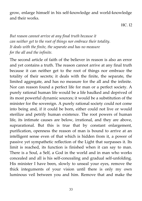grow, enlarge himself in his self-knowledge and world-knowledge and their works.

HC. I2

*But reason cannot arrive at any final truth because it can neither get to the root of things nor embrace their totality. It deals with the finite, the separate and has no measure for the all and the infinite.*

The second article of faith of the believer in reason is also an error and yet contains a truth. The reason cannot arrive at any final truth because it can neither get to the root of things nor embrace the totality of their secrets; it deals with the finite, the separate, the limited aggregate, and has no measure for the all and the infinite. Nor can reason found a perfect life for man or a perfect society. A purely rational human life would be a life baulked and deprived of its most powerful dynamic sources; it would be a substitution of the minister for the sovereign. A purely rational society could not come into being and, if it could be born, either could not live or would sterilize and petrify human existence. The root powers of human life, its intimate causes are below, irrational, and they are above, suprarational. But this is true that by constant enlargement, purification, openness the reason of man is bound to arrive at an intelligent sense even of that which is hidden from it, a power of passive yet sympathetic reflection of the Light that surpasses it. Its limit is reached, its function is finished when it can say to man. There is a Soul, a Self, a God in the world and in man who works concealed and all is his self-concealing and gradual self-unfolding. His minister I have been, slowly to unseal your eyes, remove the thick integuments of your vision until there is only my own luminous veil between you and him. Remove that and make the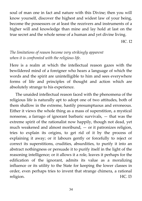soul of man one in fact and nature with this Divine; then you will know yourself, discover the highest and widest law of your being, become the possessors or at least the receivers and instruments of a higher will and knowledge than mine and lay hold at last on the true secret and the whole sense of a human and yet divine living.

HC. I2

## *The limitations of reason become very strikingly apparent when it is confronted with the religious life.*

Here is a realm at which the intellectual reason gazes with the bewildered mind of a foreigner who hears a language of which the words and the spirit are unintelligible to him and sees everywhere forms of life and principles of thought and action which are absolutely strange to his experience.

The unaided intellectual reason faced with the phenomena of the religious life is naturally apt to adopt one of two attitudes, both of them shallow in the extreme, hastily presumptuous and erroneous. Either it views the whole thing as a mass of superstition, a mystical nonsense, a farrago of ignorant barbaric survivals, — that was the extreme spirit of the rationalist now happily, though not dead, yet much weakened and almost moribund,  $-$  or it patronizes religion, tries to explain its origins, to get rid of it by the process of explaining it away; or it labours gently or forcefully to reject or correct its superstitions, crudities, absurdities, to purify it into an abstract nothingness or persuade it to purify itself in the light of the reasoning intelligence; or it allows it a role, leaves it perhaps for the edification of the ignorant, admits its value as a moralizing influence or its utility to the State for keeping the lower classes in order, even perhaps tries to invent that strange chimera, a rational religion. HC. I3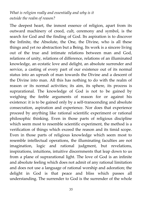## *What is religion really and essentially and why is it outside the realm of reason?*

The deepest heart, the inmost essence of religion, apart from its outward machinery of creed, cult, ceremony and symbol, is the search for God and the finding of God. Its aspiration is to discover the Infinite, the Absolute, the One, the Divine, who is all these things and yet no abstraction but a Being. Its work is a sincere living out of the true and intimate relations between man and God, relations of unity, relations of difference, relations of an illuminated knowledge, an ecstatic love and delight, an absolute surrender and service, a casting of every part of our existence out of its normal status into an uprush of man towards the Divine and a descent of the Divine into man. All this has nothing to do with the realm of reason or its normal activities; its aim, its sphere, its process is suprarational. The knowledge of God is not to be gained by weighing the feeble arguments of reason for or against his existence: it is to be gained only by a self-transcending and absolute consecration, aspiration and experience. Nor does that experience proceed by anything like rational scientific experiment or rational philosophic thinking. Even in those parts of religious discipline which seem most to resemble scientific experiment, the method is a verification of things which exceed the reason and its timid scope. Even in those parts of religious knowledge which seem most to resemble intellectual operations, the illuminating faculties are not imagination, logic and rational judgment, but revelations, inspirations, intuitions, intuitive discernments that leap down to us from a plane of suprarational light. The love of God is an infinite and absolute feeling which does not admit of any rational limitation and does not use a language of rational worship and adoration; the delight in God is that peace and bliss which passes all understanding. The surrender to God is the surrender of the whole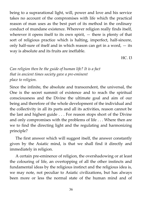being to a suprarational light, will, power and love and his service takes no account of the compromises with life which the practical reason of man uses as the best part of its method in the ordinary conduct of mundane existence. Wherever religion really finds itself, wherever it opens itself to its own spirit,  $-$  there is plenty of that sort of religious practice which is halting, imperfect, half-sincere, only half-sure of itself and in which reason can get in a word,  $-$  its way is absolute and its fruits are ineffable.

HC. I3

*Can religion then be the guide of human life? It is a fact that in ancient times society gave a pre-eminent place to religion.*

Since the infinite, the absolute and transcendent, the universal, the One is the secret summit of existence and to reach the spiritual consciousness and the Divine the ultimate goal and aim of our being and therefore of the whole development of the individual and the collectivity in all its parts and all its activities, reason cannot be the last and highest guide . . . For reason stops short of the Divine and only compromises with the problems of life . . . Where then are we to find the directing light and the regulating and harmonizing principle?

The first answer which will suggest itself, the answer constantly given by the Asiatic mind, is that we shall find it directly and immediately in religion.

A certain pre-eminence of religion, the overshadowing or at least the colouring of life, an overtopping of all the other instincts and fundamental ideas by the religious instinct and the religious idea is, we may note, not peculiar to Asiatic civilizations, but has always been more or less the normal state of the human mind and of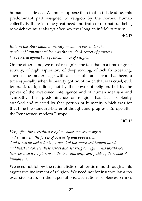human societies . . . We must suppose then that in this leading, this predominant part assigned to religion by the normal human collectivity there is some great need and truth of our natural being to which we must always after however long an infidelity return.

HC. I7

*But, on the other hand, humanity — and in particular that portion of humanity which was the standard-bearer of progress has revolted against the predominance of religion.*

On the other hand, we must recognize the fact that in a time of great activity, of high aspiration, of deep sowing, of rich fruit-bearing, such as the modern age with all its faults and errors has been, a time especially when humanity got rid of much that was cruel, evil, ignorant, dark, odious, not by the power of religion, but by the power of the awakened intelligence and of human idealism and sympathy, this predominance of religion has been violently attacked and rejected by that portion of humanity which was for that time the standard-bearer of thought and progress, Europe after the Renascence, modern Europe.

HC. I7

*Very often the accredited religions have opposed progress and sided with the forces of obscurity and oppression. And it has needed a denial, a revolt of the oppressed human mind and heart to correct these errors and set religion right. This would not have been so if religion were the true and sufficient guide of the whole of human life.*

We need not follow the rationalistic or atheistic mind through all its aggressive indictment of religion. We need not for instance lay a too excessive stress on the superstitions, aberrations, violences, crimes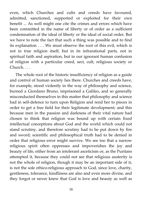even, which Churches and cults and creeds have favoured, admitted, sanctioned, supported or exploited for their own benefit ... As well might one cite the crimes and errors which have been committed in the name of liberty or of order as a sufficient condemnation of the ideal of liberty or the ideal of social order. But we have to note the fact that such a thing was possible and to find its explanation . . . We must observe the root of this evil, which is not in true religion itself, but in its infrarational parts, not in spiritual faith and aspiration, but in our ignorant human confusion of religion with a particular creed, sect, cult, religious society or Church....

The whole root of the historic insufficiency of religion as a guide and control of human society lies there. Churches and creeds have, for example, stood violently in the way of philosophy and science, burned a Giordano Bruno, imprisoned a Galileo, and so generally misconducted themselves in this matter that philosophy and science had in self-defence to turn upon Religion and rend her to pieces in order to get a free field for their legitimate development; and this because men in the passion and darkness of their vital nature had chosen to think that religion was bound up with certain fixed intellectual conceptions about God and the world which could not stand scrutiny, and therefore scrutiny had to be put down by fire and sword; scientific and philosophical truth had to be denied in order that religious error might survive. We see too that a narrow religious spirit often oppresses and impoverishes the joy and beauty of life, either from an intolerant asceticism or, as the Puritans attempted it, because they could not see that religious austerity is not the whole of religion, though it may be an important side of it, is not the sole ethico-religious approach to God, since love, charity, gentleness, tolerance, kindliness are also and even more divine, and they forgot or never knew that God is love and beauty as well as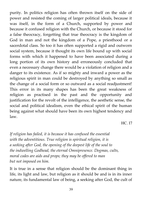purity. In politics religion has often thrown itself on the side of power and resisted the coming of larger political ideals, because it was itself, in the form of a Church, supported by power and because it confused religion with the Church, or because it stood for a false theocracy, forgetting that true theocracy is the kingdom of God in man and not the kingdom of a Pope, a priesthood or a sacerdotal class. So too it has often supported a rigid and outworn social system, because it thought its own life bound up with social forms with which it happened to have been associated during a long portion of its own history and erroneously concluded that even a necessary change there would be a violation of religion and a danger to its existence. As if so mighty and inward a power as the religious spirit in man could be destroyed by anything so small as the change of a social form or so outward as a social readjustment! This error in its many shapes has been the great weakness of religion as practised in the past and the opportunity and justification for the revolt of the intelligence, the aesthetic sense, the social and political idealism, even the ethical spirit of the human being against what should have been its own highest tendency and law.

HC. I7

*If religion has failed, it is because it has confused the essential with the adventitious. True religion is spiritual religion, it is a seeking after God, the opening of the deepest life of the soul to the indwelling Godhead, the eternal Omnipresence. Dogmas, cults, moral codes are aids and props; they may be offered to man but not imposed on him.*

It is true in a sense that religion should be the dominant thing in life, its light and law, but religion as it should be and is in its inner nature, its fundamental law of being, a seeking after God, the cult of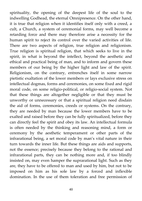spirituality, the opening of the deepest life of the soul to the indwelling Godhead, the eternal Omnipresence. On the other hand, it is true that religion when it identifies itself only with a creed, a cult, a Church, a system of ceremonial forms, may well become a retarding force and there may therefore arise a necessity for the human spirit to reject its control over the varied activities of life. There are two aspects of religion, true religion and religionism. True religion is spiritual religion, that which seeks to live in the spirit, in what is beyond the intellect, beyond the aesthetic and ethical and practical being of man, and to inform and govern these members of our being by the higher light and law of the spirit. Religionism, on the contrary, entrenches itself in some narrow pietistic exaltation of the lower members or lays exclusive stress on intellectual dogmas, forms and ceremonies, on some fixed and rigid moral code, on some religio-political, or religio-social system. Not that these things are altogether negligible or that they must be unworthy or unnecessary or that a spiritual religion need disdain the aid of forms, ceremonies, creeds or systems. On the contrary, they are needed by man because the lower members have to be exalted and raised before they can be fully spiritualized, before they can directly feel the spirit and obey its law. An intellectual formula is often needed by the thinking and reasoning mind, a form or ceremony by the aesthetic temperament or other parts of the infrarational being, a set moral code by man's vital nature in their turn towards the inner life. But these things are aids and supports, not the essence; precisely because they belong to the rational and infrarational parts, they can be nothing more and, if too blindly insisted on, may even hamper the suprarational light. Such as they are, they have to be offered to man and used by him, but not to be imposed on him as his sole law by a forced and inflexible domination. In the use of them toleration and free permission of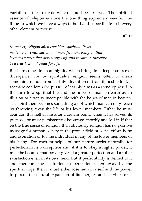variation is the first rule which should be observed. The spiritual essence of religion is alone the one thing supremely needful, the thing to which we have always to hold and subordinate to it every other element or motive.

HC. I7

*Moreover, religion often considers spiritual life as made up of renunciation and mortification. Religion thus becomes a force that discourages life and it cannot, therefore, be a true law and guide for life.*

But here comes in an ambiguity which brings in a deeper source of divergence. For by spirituality religion seems often to mean something remote from earthly life, different from it, hostile to it. It seems to condemn the pursuit of earthly aims as a trend opposed to the turn to a spiritual life and the hopes of man on earth as an illusion or a vanity incompatible with the hopes of man in heaven. The spirit then becomes something aloof which man can only reach by throwing away the life of his lower members. Either he must abandon this nether life after a certain point, when it has served its purpose, or must persistently discourage, mortify and kill it. If that be the true sense of religion, then obviously religion has no positive message for human society in the proper field of social effort, hope and aspiration or for the individual in any of the lower members of his being. For each principle of our nature seeks naturally for perfection in its own sphere and, if it is to obey a higher power, it must be because that power gives it a greater perfection and a fuller satisfaction even in its own field. But if perfectibility is denied to it and therefore the aspiration to perfection taken away by the spiritual urge, then it must either lose faith in itself and the power to pursue the natural expansion of its energies and activities or it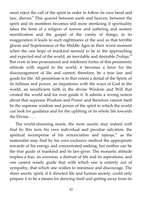must reject the call of the spirit in order to follow its own bend and law, *dharma.*<sup>[9](#page-179-0)</sup> This quarrel between earth and heaven, between the spirit and its members becomes still more sterilizing if spirituality takes the form of a religion of sorrow and suffering and austere mortification and the gospel of the vanity of things; in its exaggeration it leads to such nightmares of the soul as that terrible gloom and hopelessness of the Middle Ages in their worst moment when the one hope of mankind seemed to be in the approaching and expected end of the world, an inevitable and desirable *Pralaya.*[10](#page-179-1) But even in less pronounced and intolerant forms of this pessimistic attitude with regard to the world, it becomes a force for the discouragement of life and cannot, therefore, be a true law and guide for life. All pessimism is to that extent a denial of the Spirit, of its fullness and power, an impatience with the ways of God in the world, an insufficient faith in the divine Wisdom and Will that created the world and for ever guide it. It admits a wrong notion about that supreme Wisdom and Power and therefore cannot itself be the supreme wisdom and power of the spirit to which the world can look for guidance and for the uplifting of its whole life towards the Divine. . . .

The world-shunning monk, the mere ascetic may indeed well find by this turn his own individual and peculiar salvation, the spiritual recompense of his renunciation and *tapasya,*[11](#page-179-2) as the materialist may find by his own exclusive method the appropriate rewards of his energy and concentrated seeking; but neither can be the true guide of mankind and its law-giver. The monastic attitude implies a fear, an aversion, a distrust of life and its aspirations, and one cannot wisely guide that with which one is entirely out of sympathy, that which one wishes to minimize and discourage. The sheer ascetic spirit, if it directed life and human society, could only prepare it to be a means for denying itself and getting away from its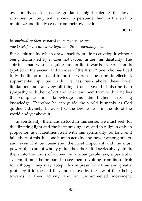own motives. An ascetic guidance might tolerate the lower activities, but only with a view to persuade them in the end to minimize and finally cease from their own action.

HC. I7

## *In spirituality then, restored to its true sense, we must seek for the directing light and the harmonizing law.*

But a spirituality which draws back from life to envelop it without being dominated by it does not labour under this disability. The spiritual man who can guide human life towards its perfection is typified in the ancient Indian idea of the Rishi, $12$  one who has lived fully the life of man and found the word of the supra-intellectual, supramental, spiritual truth. He has risen above these lower limitations and can view all things from above, but also he is in sympathy with their effort and can view them from within; he has the complete inner knowledge and the higher surpassing knowledge. Therefore he can guide the world humanly as God guides it divinely, because like the Divine he is in the life of the world and yet above it.

In spirituality, then, understood in this sense, we must seek for the directing light and the harmonizing law, and in religion only in proportion as it identifies itself with this spirituality. So long as it falls short of this, it is one human activity and power among others, and, even if it be considered the most important and the most powerful, it cannot wholly guide the others. If it seeks always to fix them into the limits of a creed, an unchangeable law, a particular system, it must be prepared to see them revolting from its control; for although they may accept this impress for a time and greatly profit by it in the end they must move by the law of their being towards a freer activity and an untrammelled movement.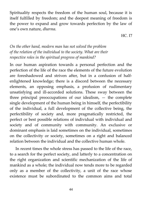Spirituality respects the freedom of the human soul, because it is itself fulfilled by freedom; and the deepest meaning of freedom is the power to expand and grow towards perfection by the law of one's own nature, *dharma.*

HC. I7

## *On the other hand, modern man has not solved the problem of the relation of the individual to the society. What are their respective roles in the spiritual progress of mankind?*

In our human aspiration towards a personal perfection and the perfection of the life of the race the elements of the future evolution are foreshadowed and striven after, but in a confusion of halfenlightened knowledge; there is a discord between the necessary elements, an opposing emphasis, a profusion of rudimentary unsatisfying and ill-accorded solutions. These sway between the three principal preoccupations of our idealism, — the complete single development of the human being in himself, the perfectibility of the individual, a full development of the collective being, the perfectibility of society and, more pragmatically restricted, the perfect or best possible relations of individual with individual and society and of community with community. An exclusive or dominant emphasis is laid sometimes on the individual, sometimes on the collectivity or society, sometimes on a right and balanced relation between the individual and the collective human whole.

In recent times the whole stress has passed to the life of the race, to a search for the perfect society, and latterly to a concentration on the right organization and scientific mechanization of the life of mankind as a whole; the individual now tends more to be regarded only as a member of the collectivity, a unit of the race whose existence must be subordinated to the common aims and total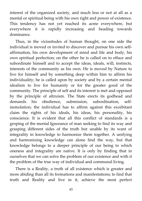interest of the organized society, and much less or not at all as a mental or spiritual being with his own right and power of existence. This tendency has not yet reached its acme everywhere, but everywhere it is rapidly increasing and heading towards dominance.

Thus, in the vicissitudes of human thought, on one side the individual is moved or invited to discover and pursue his own selfaffirmation, his own development of mind and life and body, his own spiritual perfection; on the other he is called on to efface and subordinate himself and to accept the ideas, ideals, will, instincts, interests of the community as his own. He is moved by Nature to live for himself and by something deep within him to affirm his individuality; he is called upon by society and by a certain mental idealism to live for humanity or for the greater good of the community. The principle of self and its interest is met and opposed by the principle of altruism. The State erects its godhead and demands his obedience, submission, subordination, selfimmolation; the individual has to affirm against this exorbitant claim the rights of his ideals, his ideas, his personality, his conscience. It is evident that all this conflict of standards is a groping of the mental Ignorance of man seeking to find its way and grasping different sides of the truth but unable by its want of integrality in knowledge to harmonize them together. A unifying and harmonizing knowledge can alone find the way, but that knowledge belongs to a deeper principle of our being to which oneness and integrality are native. It is only by finding that in ourselves that we can solve the problem of our existence and with it the problem of the true way of individual and communal living.

There is a Reality, a truth of all existence which is greater and more abiding than all its formations and manifestations; to find that truth and Reality and live in it, achieve the most perfect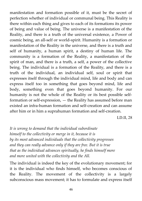manifestation and formation possible of it, must be the secret of perfection whether of individual or communal being. This Reality is there within each thing and gives to each of its formations its power of being and value of being. The universe is a manifestation of the Reality, and there is a truth of the universal existence, a Power of cosmic being, an all-self or world-spirit. Humanity is a formation or manifestation of the Reality in the universe, and there is a truth and self of humanity, a human spirit, a destiny of human life. The community is a formation of the Reality, a manifestation of the spirit of man, and there is a truth, a self, a power of the collective being. The individual is a formation of the Reality, and there is a truth of the individual, an individual self, soul or spirit that expresses itself through the individual mind, life and body and can express itself too in something that goes beyond mind, life and body, something even that goes beyond humanity. For our humanity is not the whole of the Reality or its best possible selfformation or self-expression, — the Reality has assumed before man existed an infra-human formation and self-creation and can assume after him or in him a suprahuman formation and self-creation.

LD.II, 28

*It is wrong to demand that the individual subordinate himself to the collectivity or merge in it, because it is by its most advanced individuals that the collectivity progresses and they can really advance only if they are free. But it is true that as the individual advances spiritually, he finds himself more and more united with the collectivity and the All.*

The individual is indeed the key of the evolutionary movement; for it is the individual who finds himself, who becomes conscious of the Reality. The movement of the collectivity is a largely subconscious mass movement; it has to formulate and express itself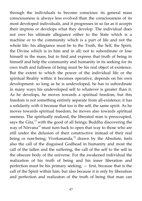through the individuals to become conscious: its general mass consciousness is always less evolved than the consciousness of its most developed individuals, and it progresses in so far as it accepts their impress or develops what they develop. The individual does not owe his ultimate allegiance either to the State which is a machine or to the community which is a part of life and not the whole life: his allegiance must be to the Truth, the Self, the Spirit, the Divine which is in him and in all; not to subordinate or lose himself in the mass, but to find and express that truth of being in himself and help the community and humanity in its seeking for its own truth and fullness of being must be his real object of existence. But the extent to which the power of the individual life or the spiritual Reality within it becomes operative, depends on his own development: so long as he is undeveloped, he has to subordinate in many ways his undeveloped self to whatever is greater than it. As he develops, he moves towards a spiritual freedom, but this freedom is not something entirely separate from all-existence; it has a solidarity with it because that too is the self, the same spirit. As he moves towards spiritual freedom, he moves also towards spiritual oneness. The spiritually realized, the liberated man is preoccupied, says the Gita, $^{13}$  $^{13}$  $^{13}$  with the good of all beings; Buddha discovering the way of Nirvana $14$  must turn back to open that way to those who are still under the delusion of their constructive instead of their real being or non-being; Vivekananda, $15$  drawn by the Absolute, feels also the call of the disguised Godhead in humanity and most the call of the fallen and the suffering, the call of the self to the self in the obscure body of the universe. For the awakened individual the realization of his truth of being and his inner liberation and perfection must be his primary seeking,  $-$  first, because that is the call of the Spirit within him, but also because it is only by liberation and perfection and realizaton of the truth of being that man can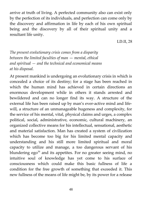arrive at truth of living. A perfected community also can exist only by the perfection of its individuals, and perfection can come only by the discovery and affirmation in life by each of his own spiritual being and the discovery by all of their spiritual unity and a resultant life unity.

LD.II, 28

*The present evolutionary crisis comes from a disparity between the limited faculties of man* — *mental, ethical and spiritual — and the technical and economical means at his disposal.*

At present mankind is undergoing an evolutionary crisis in which is concealed a choice of its destiny; for a stage has been reached in which the human mind has achieved in certain directions an enormous development while in others it stands arrested and bewildered and can no longer find its way. A structure of the external life has been raised up by man's ever-active mind and lifewill, a structure of an unmanageable hugeness and complexity, for the service of his mental, vital, physical claims and urges, a complex political, social, administrative, economic, cultural machinery, an organized collective means for his intellectual, sensational, aesthetic and material satisfaction. Man has created a system of civilization which has become too big for his limited mental capacity and understanding and his still more limited spiritual and moral capacity to utilize and manage, a too dangerous servant of his blundering  $ego^{16}$  $ego^{16}$  $ego^{16}$  and its appetites. For no greater seeing mind, no intuitive soul of knowledge has yet come to his surface of consciousness which could make this basic fullness of life a condition for the free growth of something that exceeded it. This new fullness of the means of life might be, by its power for a release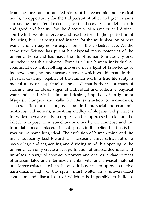from the incessant unsatisfied stress of his economic and physical needs, an opportunity for the full pursuit of other and greater aims surpassing the material existence, for the discovery of a higher truth and good and beauty, for the discovery of a greater and diviner spirit which would intervene and use life for a higher perfection of the being: but it is being used instead for the multiplication of new wants and an aggressive expansion of the collective ego. At the same time Science has put at his disposal many potencies of the universal Force and has made the life of humanity materially one; but what uses this universal Force is a little human individual or communal ego with nothing universal in its light of knowledge or its movements, no inner sense or power which would create in this physical drawing together of the human world a true life unity, a mental unity or a spiritual oneness. All that is there is a chaos of clashing mental ideas, urges of individual and collective physical want and need, vital claims and desires, impulses of an ignorant life-push, hungers and calls for life satisfaction of individuals, classes, nations, a rich fungus of political and social and economic nostrums and notions, a hustling medley of slogans and panaceas for which men are ready to oppress and be oppressed, to kill and be killed, to impose them somehow or other by the immense and too formidable means placed at his disposal, in the belief that this is his way out to something ideal. The evolution of human mind and life must necessarily lead towards an increasing universality; but on a basis of ego and segmenting and dividing mind this opening to the universal can only create a vast pullulation of unaccorded ideas and impulses, a surge of enormous powers and desires, a chaotic mass of unassimilated and intermixed mental, vital and physical material of a larger existence which, because it is not taken up by a creative harmonizing light of the spirit, must welter in a universalized confusion and discord out of which it is impossible to build a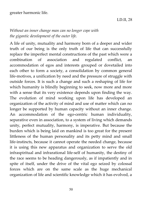#### *Without an inner change man can no longer cope with the gigantic development of the outer life.*

A life of unity, mutuality and harmony born of a deeper and wider truth of our being is the only truth of life that can successfully replace the imperfect mental constructions of the past which were a combination of association and regulated conflict, an accommodation of egos and interests grouped or dovetailed into each other to form a society, a consolidation by common general life-motives, a unification by need and the pressure of struggle with outside forces. It is such a change and such a reshaping of life for which humanity is blindly beginning to seek, now more and more with a sense that its very existence depends upon finding the way. The evolution of mind working upon life has developed an organization of the activity of mind and use of matter which can no longer be supported by human capacity without an inner change. An accommodation of the ego-centric human individuality, separative even in association, to a system of living which demands unity, perfect mutuality, harmony, is imperative. But because the burden which is being laid on mankind is too great for the present littleness of the human personality and its petty mind and small life-instincts, because it cannot operate the needed change, because it is using this new apparatus and organization to serve the old infraspiritual and infrarational life-self of humanity, the destiny of the race seems to be heading dangerously, as if impatiently and in spite of itself, under the drive of the vital ego seized by colossal forces which are on the same scale as the huge mechanical organization of life and scientific knowledge which it has evolved, a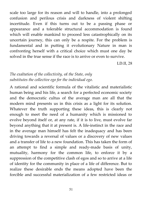scale too large for its reason and will to handle, into a prolonged confusion and perilous crisis and darkness of violent shifting incertitude. Even if this turns out to be a passing phase or appearance and a tolerable structural accommodation is found which will enable mankind to proceed less catastrophically on its uncertain journey, this can only be a respite. For the problem is fundamental and in putting it evolutionary Nature in man is confronting herself with a critical choice which must one day be solved in the true sense if the race is to arrive or even to survive.

LD.II, 28

## *The exaltation of the collectivity,* of *the State, only substitutes the collective ego for the individual ego.*

A rational and scientific formula of the vitalistic and materialistic human being and his life, a search for a perfected economic society and the democratic cultus of the average man are all that the modern mind presents us in this crisis as a light for its solution. Whatever the truth supporting these ideas, this is clearly not enough to meet the need of a humanity which is missioned to evolve beyond itself or, at any rate, if it is to live, must evolve far beyond anything that it at present is. A life-instinct in the race and in the average man himself has felt the inadequacy and has been driving towards a reversal of values or a discovery of new values and a transfer of life to a new foundation. This has taken the form of an attempt to find a simple and ready-made basis of unity, mutuality, harmony for the common life, to enforce it by a suppression of the competitive clash of egos and so to arrive at a life of identity for the community in place of a life of difference. But to realize these desirable ends the means adopted have been the forcible and successful materialization of a few restricted ideas or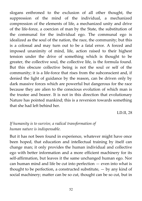slogans enthroned to the exclusion of all other thought, the suppression of the mind of the individual, a mechanized compression of the elements of life, a mechanized unity and drive of the life-force, a coercion of man by the State, the substitution of the communal for the individual ego. The communal ego is idealized as the soul of the nation, the race, the community; but this is a colossal and may turn out to be a fatal error. A forced and imposed unanimity of mind, life, action raised to their highest tension under the drive of something which is thought to be greater, the collective soul, the collective life, is the formula found. But this obscure collective being is not the soul or self of the community; it is a life-force that rises from the subconscient and, if denied the light of guidance by the reason, can be driven only by dark massive forces which are powerful but dangerous for the race because they are alien to the conscious evolution of which man is the trustee and bearer. It is not in this direction that evolutionary Nature has pointed mankind; this is a reversion towards something that she had left behind her.

LD.II, 28

## *If humanity is to survive, a radical transformation of human nature is indispensable.*

But it has not been found in experience, whatever might have once been hoped, that education and intellectual training by itself can change man; it only provides the human individual and collective ego with better information and a more efficient machinery for its self-affirmation, but leaves it the same unchanged human ego. Nor can human mind and life be cut into perfection  $-$  even into what is thought to be perfection, a constructed substitute,  $-$  by any kind of social machinery; matter can be so cut, thought can be so cut, but in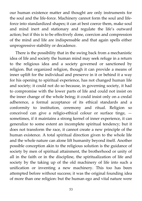our human existence matter and thought are only instruments for the soul and the life-force. Machinery cannot form the soul and lifeforce into standardized shapes; it can at best coerce them, make soul and mind inert and stationary and regulate the life's outward action; but if this is to be effectively done, coercion and compression of the mind and life are indispensable and that again spells either unprogressive stability or decadence.

There is the possibility that in the swing back from a mechanistic idea of life and society the human mind may seek refuge in a return to the religious idea and a society governed or sanctioned by religion. But organized religion, though it can provide a means of inner uplift for the individual and preserve in it or behind it a way for his opening to spiritual experience, has not changed human life and society; it could not do so because, in governing society, it had to compromise with the lower parts of life and could not insist on the inner change of the whole being; it could insist only on a credal adherence, a formal acceptance of its ethical standards and a conformity to institution, ceremony and ritual. Religion so conceived can give a religio-ethical colour or surface tinge, sometimes, if it maintains a strong kernel of inner experience, it can generalize to some extent an incomplete spiritual tendency; but it does not transform the race, it cannot create a new principle of the human existence. A total spiritual direction given to the whole life and the whole nature can alone lift humanity beyond itself. Another possible conception akin to the religious solution is the guidance of society by men of spiritual attainment, the brotherhood or unity of all in the faith or in the discipline, the spiritualization of life and society by the taking up of the old machinery of life into such a unification or inventing a new machinery. This too has been attempted before without success; it was the original founding idea of more than one religion: but the human ego and vital nature were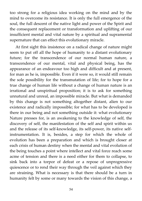too strong for a religious idea working on the mind and by the mind to overcome its resistance. It is only the full emergence of the soul, the full descent of the native light and power of the Spirit and the consequent replacement or transformation and uplifting of our insufficient mental and vital nature by a spiritual and supramental supernature that can effect this evolutionary miracle.

At first sight this insistence on a radical change of nature might seem to put off all the hope of humanity to a distant evolutionary future; for the transcendence of our normal human nature, a transcendence of our mental, vital and physical being, has the appearance of an endeavour too high and difficult and at present, for man as he is, impossible. Even if it were so, it would still remain the sole possibility for the transmutation of life; for to hope for a true change of human life without a change of human nature is an irrational and unspiritual proposition; it is to ask for something unnatural and unreal, an impossible miracle. But what is demanded by this change is not something altogether distant, alien to our existence and radically impossible; for what has to be developed is there in our being and not something outside it: what evolutionary Nature presses for, is an awakening to the knowledge of self, the discovery of self, the manifestation of the self and spirit within us and the release of its self-knowledge, its self-power, its native selfinstrumentation. It is, besides, a step for which the whole of evolution has been a preparation and which is brought closer at each crisis of human destiny when the mental and vital evolution of the being touches a point where intellect and vital force reach some acme of tension and there is a need either for them to collapse, to sink back into a torpor of defeat or a repose of unprogressive quiescence or to rend their way through the veil against which they are straining. What is necessary is that there should be a turn in humanity felt by some or many towards the vision of this change, a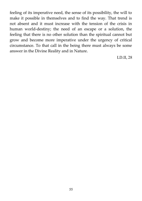feeling of its imperative need, the sense of its possibility, the will to make it possible in themselves and to find the way. That trend is not absent and it must increase with the tension of the crisis in human world-destiny; the need of an escape or a solution, the feeling that there is no other solution than the spiritual cannot but grow and become more imperative under the urgency of critical circumstance. To that call in the being there must always be some answer in the Divine Reality and in Nature.

LD.II, 28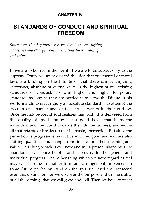#### **CHAPTER IV**

# **STANDARDS OF CONDUCT AND SPIRITUAL FREEDOM**

*Since perfection is progressive, good and evil are shifting quantities and change from time to time their meaning and value.*

IF we are to be free in the Spirit, if we are to be subject only to the supreme Truth, we must discard the idea that our mental or moral laws are binding on the Infinite or that there can be anything sacrosanct, absolute or eternal even in the highest of our existing standards of conduct. To form higher and higher temporary standards as long as they are needed is to serve the Divine in his world march; to erect rigidly an absolute standard is to attempt the erection of a barrier against the eternal waters in their outflow. Once the nature-bound soul realizes this truth, it is delivered from the duality of good and evil. For good is all that helps the individual and the world towards their divine fullness, and evil is all that retards or breaks up that increasing perfection. But since the perfection is progressive, evolutive in Time, good and evil are also shifting quantities and change from time to time their meaning and value. This thing which is evil now and in its present shape must be abandoned was once helpful and necessary to the general and individual progress. That other thing which we now regard as evil may well become in another form and arrangement an element in some future perfection. And on the spiritual level we transcend even this distinction, for we discover the purpose and divine utility of all these things that we call good and evil. Then we have to reject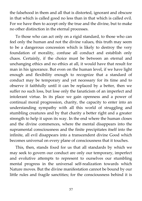the falsehood in them and all that is distorted, ignorant and obscure in that which is called good no less than in that which is called evil. For we have then to accept only the true and the divine, but to make no other distinction in the eternal processes.

To those who can act only on a rigid standard, to those who can feel only the human and not the divine values, this truth may seem to be a dangerous concession which is likely to destroy the very foundation of morality, confuse all conduct and establish only chaos. Certainly, if the choice must be between an eternal and unchanging ethics and no ethics at all, it would have that result for man in his ignorance. But even on the human level, if we have light enough and flexibility enough to recognize that a standard of conduct may be temporary and yet necessary for its time and to observe it faithfully until it can be replaced by a better, then we suffer no such loss, but lose only the fanaticism of an imperfect and intolerant virtue. In its place we gain openness and a power of continual moral progression, charity, the capacity to enter into an understanding sympathy with all this world of struggling and stumbling creatures and by that charity a better right and a greater strength to help it upon its way. In the end where the human closes and the divine commences, where the mental disappears into the supramental consciousness and the finite precipitates itself into the infinite, all evil disappears into a transcendent divine Good which becomes universal on every plane of consciousness that it touches.

This, then, stands fixed for us that all standards by which we may seek to govern our conduct are only our temporary, imperfect and evolutive attempts to represent to ourselves our stumbling mental progress in the universal self-realization towards which Nature moves. But the divine manifestation cannot be bound by our little rules and fragile sanctities; for the consciousness behind it is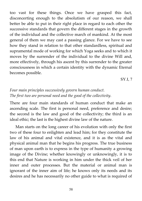too vast for these things. Once we have grasped this fact, disconcerting enough to the absolutism of our reason, we shall better be able to put in their right place in regard to each other the successive standards that govern the different stages in the growth of the individual and the collective march of mankind. At the most general of them we may cast a passing glance. For we have to see how they stand in relation to that other standardless, spiritual and supramental mode of working for which Yoga seeks and to which it moves by the surrender of the individual to the divine Will and, more effectively, through his ascent by this surrender to the greater consciousness in which a certain identity with the dynamic Eternal becomes possible.

SY.I, 7

### *Four main principles successively govern human conduct. The first two are personal need and the good of the collectivity.*

There are four main standards of human conduct that make an ascending scale. The first is personal need, preference and desire; the second is the law and good of the collectivity; the third is an ideal ethic; the last is the highest divine law of the nature.

Man starts on the long career of his evolution with only the first two of these four to enlighten and lead him; for they constitute the law of his animal and vital existence, and it is as the vital and physical animal man that he begins his progress. The true business of man upon earth is to express in the type of humanity a growing image of the Divine; whether knowingly or unknowingly, it is to this end that Nature is working in him under the thick veil of her inner and outer processes. But the material or animal man is ignorant of the inner aim of life; he knows only its needs and its desires and he has necessarily no other guide to what is required of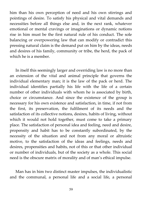him than his own perception of need and his own stirrings and pointings of desire. To satisfy his physical and vital demands and necessities before all things else and, in the next rank, whatever emotional or mental cravings or imaginations or dynamic notions rise in him must be the first natural rule of his conduct. The sole balancing or overpowering law that can modify or contradict this pressing natural claim is the demand put on him by the ideas, needs and desires of his family, community or tribe, the herd, the pack of which he is a member.

In itself this seemingly larger and overriding law is no more than an extension of the vital and animal principle that governs the individual elementary man; it is the law of the pack or herd. The individual identifies partially his life with the life of a certain number of other individuals with whom he is associated by birth, choice or circumstance. And since the existence of the group is necessary for his own existence and satisfaction, in time, if not from the first, its preservation, the fulfilment of its needs and the satisfaction of its collective notions, desires, habits of living, without which it would not hold together, must come to take a primary place. The satisfaction of personal idea and feeling, need and desire, propensity and habit has to be constantly subordinated, by the necessity of the situation and not from any moral or altruistic motive, to the satisfaction of the ideas and feelings, needs and desires, propensities and habits, not of this or that other individual or number of individuals, but of the society as a whole. This social need is the obscure matrix of morality and of man's ethical impulse.

Man has in him two distinct master impulses, the individualistic and the communal, a personal life and a social life, a personal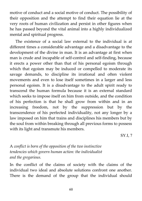motive of conduct and a social motive of conduct. The possibility of their opposition and the attempt to find their equation lie at the very roots of human civilization and persist in other figures when he has passed beyond the vital animal into a highly individualized mental and spiritual progress.

The existence of a social law external to the individual is at different times a considerable advantage and a disadvantage to the development of the divine in man. It is an advantage at first when man is crude and incapable of self-control and self-finding, because it erects a power other than that of his personal egoism through which that egoism may be induced or compelled to moderate its savage demands, to discipline its irrational and often violent movements and even to lose itself sometimes in a larger and less personal egoism. It is a disadvantage to the adult spirit ready to transcend the human formula because it is an external standard which seeks to impose itself on him from outside, and the condition of his perfection is that he shall grow from within and in an increasing freedom, not by the suppression but by the transcendence of his perfected individuality, not any longer by a law imposed on him that trains and disciplines his members but by the soul from within breaking through all previous forms to possess with its light and transmute his members.

SY.I, 7

A *conflict is born of the opposition of the two instinctive tendencies which govern human action: the individualist and the gregarious.*

In the conflict of the claims of society with the claims of the individual two ideal and absolute solutions confront one another. There is the demand of the group that the individual should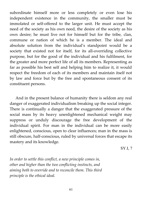subordinate himself more or less completely or even lose his independent existence in the community, the smaller must be immolated or self-offered to the larger unit. He must accept the need of the society as his own need, the desire of the society as his own desire; he must live not for himself but for the tribe, clan, commune or nation of which he is a member. The ideal and absolute solution from the individual's standpoint would be a society that existed not for itself, for its all-overriding collective purpose, but for the good of the individual and his fulfilment, for the greater and more perfect life of all its members. Representing as far as possible his best self and helping him to realize it, it would respect the freedom of each of its members and maintain itself not by law and force but by the free and spontaneous consent of its constituent persons.

And in the present balance of humanity there is seldom any real danger of exaggerated individualism breaking up the social integer. There is continually a danger that the exaggerated pressure of the social mass by its heavy unenlightened mechanical weight may suppress or unduly discourage the free development of the individual spirit. For man in the individual can be more easily enlightened, conscious, open to clear influences; man in the mass is still obscure, half-conscious, ruled by universal forces that escape its mastery and its knowledge.

SY.I, 7

*In order to settle this conflict, a new principle comes in, other and higher than the two conflicting instincts, and aiming both to override and to reconcile them. This third principle is the ethical ideal.*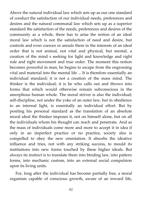Above the natural individual law which sets up as our one standard of conduct the satisfaction of our individual needs, preferences and desires and the natural communal law which sets up as a superior standard the satisfaction of the needs, preferences and desires of the community as a whole, there has to arise the notion of an ideal moral law which is not the satisfaction of need and desire, but controls and even coerces or annuls them in the interests of an ideal order that is not animal, not vital and physical, but mental, a creation of the mind s seeking for light and knowledge and right rule and right movement and true order. The moment this notion becomes powerful in man, he begins to escape from the engrossing vital and material into the mental life ... It is therefore essentially an individual standard; it is not a creation of the mass mind. The thinker is the individual; it is he who calls out and throws into forms that which would otherwise remain subconscious in the amorphous human whole. The moral striver is also the individual; self-discipline, not under the yoke of an outer law, but in obedience to an internal light, is essentially an individual effort. But by positing his personal standard as the translation of an absolute moral ideal the thinker imposes it, not on himself alone, but on all the individuals whom his thought can reach and penetrate. And as the mass of individuals come more and more to accept it in idea if only in an imperfect practice or no practice, society also is compelled to obey the new orientation. It absorbs the ideative influence and tries, not with any striking success, to mould its institutions into new forms touched by these higher ideals. But always its instinct is to translate them into binding law, into pattern forms, into mechanic custom, into an external social compulsion upon its living units.

For, long after the individual has become partially free, a moral organism capable of conscious growth, aware of an inward life,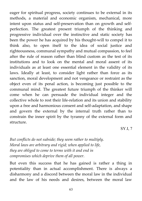eager for spiritual progress, society continues to be external in its methods, a material and economic organism, mechanical, more intent upon status and self-preservation than on growth and selfperfection. The greatest present triumph of the thinking and progressive individual over the instinctive and static society has been the power he has acquired by his thought-will to compel it to think also, to open itself to the idea of social justice and righteousness, communal sympathy and mutual compassion, to feel after the rule of reason rather than blind custom as the test of its institutions and to look on the mental and moral assent of its individuals as at least one essential element in the validity of its laws. Ideally at least, to consider light rather than force as its sanction, moral development and not vengeance or restraint as the object even of its penal action, is becoming just possible to the communal mind. The greatest future triumph of the thinker will come when he can persuade the individual integer and the collective whole to rest their life-relation and its union and stability upon a free and harmonious consent and self-adaptation, and shape and govern the external by the internal truth rather than to constrain the inner spirit by the tyranny of the external form and structure.

#### SY.I, 7

*But conflicts do not subside; they seem rather to multiply. Moral laws are arbitrary and rigid; when applied to life, they are obliged to come to terms with it and end in compromises which deprive them of all power.*

But even this success that he has gained is rather a thing in potentiality than in actual accomplishment. There is always a disharmony and a discord between the moral law in the individual and the law of his needs and desires, between the moral law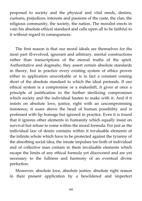proposed to society and the physical and vital needs, desires, customs, prejudices, interests and passions of the caste, the clan, the religious community, the society, the nation. The moralist erects in vain his absolute ethical standard and calls upon all to be faithful to it without regard to consequences.

The first reason is that our moral ideals are themselves for the most part ill-evolved, ignorant and arbitrary, mental constructions rather than transcriptions of the eternal truths of the spirit. Authoritative and dogmatic, they assert certain absolute standards in theory, but in practice every existing system of ethics proves either in application unworkable or is in fact a constant coming short of the absolute standard to which the ideal pretends. If our ethical system is a compromise or a makeshift, it gives at once a principle of justification to the further sterilizing compromises which society and the individual hasten to make with it. And if it insists on absolute love, justice, right with an uncompromising insistence, it soars above the head of human possibility and is professed with lip homage but ignored in practice. Even it is found that it ignores other elements in humanity which equally insist on survival but refuse to come within the moral formula. For just as the individual law of desire contains within it invaluable elements of the infinite whole which have to be protected against the tyranny of the absorbing social idea, the innate impulses too both of individual and of collective man contain in them invaluable elements which escape the limits of any ethical formula yet discovered and are yet necessary to the fullness and harmony of an eventual divine perfection.

Moreover, absolute love, absolute justice, absolute right reason in their present application by a bewildered and imperfect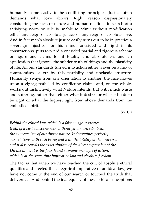humanity come easily to be conflicting principles. Justice often demands what love abhors. Right reason dispassionately considering the facts of nature and human relations in search of a satisfying norm or rule is unable to admit without modification either any reign of absolute justice or any reign of absolute love. And in fact man's absolute justice easily turns out to be in practice a sovereign injustice; for his mind, onesided and rigid in its constructions, puts forward a onesided partial and rigorous scheme or figure and claims for it totality and absoluteness and an application that ignores the subtler truth of things and the plasticity of life. All our standards turned into action either waver on a flux of compromises or err by this partiality and unelastic structure. Humanity sways from one orientation to another; the race moves upon a zigzag path led by conflicting claims and, on the whole, works out instinctively what Nature intends, but with much waste and suffering, rather than either what it desires or what it holds to be right or what the highest light from above demands from the embodied spirit.

SY.I, 7

*Behind the ethical law, which is a false image, a greater truth of a vast consciousness without fetters unveils itself, the supreme law of our divine nature. It determines perfectly our relations with each being and with the totality of the universe, and it also reveals the exact rhythm of the direct expression of the Divine in us. It is the fourth and supreme principle of action, which is at the same time imperative law and absolute freedom.*

The fact is that when we have reached the cult of absolute ethical qualities and erected the categorical imperative of an ideal law, we have not come to the end of our search or touched the truth that delivers . . . And behind the inadequacy of these ethical conceptions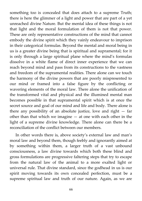something too is concealed that does attach to a supreme Truth; there is here the glimmer of a light and power that are part of a yet unreached divine Nature. But the mental idea of these things is not that light and the moral formulation of them is not that power. These are only representative constructions of the mind that cannot embody the divine spirit which they vainly endeavour to imprison in their categorical formulas. Beyond the mental and moral being in us is a greater divine being that is spiritual and supramental; for it is only through a large spiritual plane where the mind's formulas dissolve in a white flame of direct inner experience that we can reach beyond mind and pass from its constructions to the vastness and freedom of the supramental realities. There alone can we touch the harmony of the divine powers that are poorly mispresented to our mind or framed into a false figure by the conflicting or wavering elements of the moral law. There alone the unification of the transformed vital and physical and the illumined mental man becomes possible in that supramental spirit which is at once the secret source and goal of our mind and life and body. There alone is there any possibility of an absolute justice, love and right — far other than that which we imagine — at one with each other in the light of a supreme divine knowledge. There alone can there be a reconciliation of the conflict between our members.

In other words there is, above society's external law and man's moral law and beyond them, though feebly and ignorantly aimed at by something within them, a larger truth of a vast unbound consciousness, a law divine towards which both these blind and gross formulations are progressive faltering steps that try to escape from the natural law of the animal to a more exalted light or universal rule. That divine standard, since the godhead in us is our spirit moving towards its own concealed perfection, must be a supreme spiritual law and truth of our nature. Again, as we are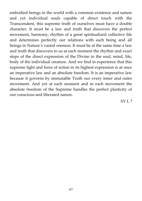embodied beings in the world with a common existence and nature and yet individual souls capable of direct touch with the Transcendent, this supreme truth of ourselves must have a double character. It must be a law and truth that discovers the perfect movement, harmony, rhythm of a great spiritualized collective life and determines perfectly our relations with each being and all beings in Nature's varied oneness. It must be at the same time a law and truth that discovers to us at each moment the rhythm and exact steps of the direct expression of the Divine in the soul, mind, life, body of the individual creature. And we find in experience that this supreme light and force of action in its highest expression is at once an imperative law and an absolute freedom. It is an imperative law because it governs by immutable Truth our every inner and outer movement. And yet at each moment and in each movement the absolute freedom of the Supreme handles the perfect plasticity of our conscious and liberated nature.

SY.I, 7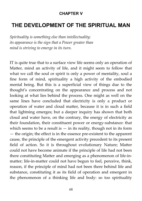#### **CHAPTER V**

## **THE DEVELOPMENT OF THE SPIRITUAL MAN**

*Spirituality is something else than intellectuality; its appearance is the sign that a Power greater than mind is striving to emerge in its turn.*

IT is quite true that to a surface view life seems only an operation of Matter, mind an activity of life, and it might seem to follow that what we call the soul or spirit is only a power of mentality, soul a fine form of mind, spirituality a high activity of the embodied mental being. But this is a superficial view of things due to the thought's concentrating on the appearance and process and not looking at what lies behind the process. One might as well on the same lines have concluded that electricity is only a product or operation of water and cloud matter, because it is in such a field that lightning emerges; but a deeper inquiry has shown that both cloud and water have, on the contrary, the energy of electricity as their foundation, their constituent power or energy-substance: that which seems to be a result is  $-$  in its reality, though not in its form — the origin; the effect is in the essence pre-existent to the apparent cause, the principle of the emergent activity precedent to its present field of action. So it is throughout evolutionary Nature; Matter could not have become animate if the principle of life had not been there constituting Matter and emerging as a phenomenon of life-inmatter; life-in-matter could not have begun to feel, perceive, think, reason, if the principle of mind had not been there behind life and substance, constituting it as its field of operation and emergent in the phenomenon of a thinking life and body: so too spirituality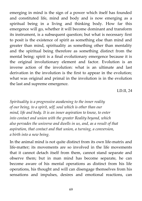emerging in mind is the sign of a power which itself has founded and constituted life, mind and body and is now emerging as a spiritual being in a living and thinking body. How far this emergence will go, whether it will become dominant and transform its instrument, is a subsequent question; but what is necessary first to posit is the existence of spirit as something else than mind and greater than mind, spirituality as something other than mentality and the spiritual being therefore as something distinct from the mental being: spirit is a final evolutionary emergence because it is the original involutionary element and factor. Evolution is an inverse action of the involution: what is an ultimate and last derivation in the involution is the first to appear in the evolution; what was original and primal in the involution is in the evolution the last and supreme emergence.

LD.II, 24

*Spirituality is a progressive awakening to the inner reality of our being, to a spirit, self, soul which is other than our mind, life and body. It is an inner aspiration to know, to enter into contact and union with the greater Reality beyond, which also pervades the universe and dwells in us, and, as a result of that aspiration, that contact and that union, a turning, a conversion, a birth into a new being.*

In the animal mind is not quite distinct from its own life-matrix and life-matter; its movements are so involved in the life movements that it cannot detach itself from them, cannot stand separate and observe them; but in man mind has become separate, he can become aware of his mental operations as distinct from his life operations, his thought and will can disengage themselves from his sensations and impulses, desires and emotional reactions, can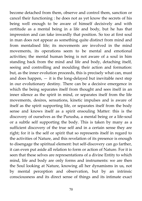become detached from them, observe and control them, sanction or cancel their functioning : he does not as yet know the secrets of his being well enough to be aware of himself decisively and with certitude as a mental being in a life and body, but he has that impression and can take inwardly that position. So too at first soul in man does not appear as something quite distinct from mind and from mentalised life; its movements are involved in the mind movements, its operations seem to be mental and emotional activities; the mental human being is not aware of a soul in him standing back from the mind and life and body, detaching itself, seeing and controlling and moulding their action and formation: but, as the inner evolution proceeds, this is precisely what can, must and does happen,  $-$  it is the long-delayed but inevitable next step in our evolutionary destiny. There can be a decisive emergence in which the being separates itself from thought and sees itself in an inner silence as the spirit in mind, or separates itself from the life movements, desires, sensations, kinetic impulses and is aware of itself as the spirit supporting life, or separates itself from the body sense and knows itself as a spirit ensouling Matter: this is the discovery of ourselves as the Purusha, a mental being or a life-soul or a subtle self supporting the body. This is taken by many as a sufficient discovery of the true self and in a certain sense they are right; for it is the self or spirit that so represents itself in regard to the activities of Nature, and this revelation of its presence is enough to disengage the spiritual element: but self-discovery can go farther, it can even put aside all relation to form or action of Nature. For it is seen that these selves are representations of a divine Entity to which mind, life and body are only forms and instruments: we are then the Soul looking at Nature, knowing all her dynamisms in us, not by mental perception and observation, but by an intrinsic consciousness and its direct sense of things and its intimate exact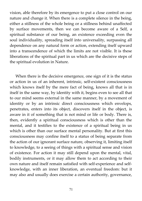vision, able therefore by its emergence to put a close control on our nature and change it. When there is a complete silence in the being, either a stillness of the whole being or a stillness behind unaffected by surface movements, then we can become aware of a Self, a spiritual substance of our being, an existence exceeding even the soul individuality, spreading itself into universality, surpassing all dependence on any natural form or action, extending itself upward into a transcendence of which the limits are not visible. It is these liberations of the spiritual part in us which are the decisive steps of the spiritual evolution in Nature.

When there is the decisive emergence, one sign of it is the status or action in us of an inherent, intrinsic, self-existent consciousness which knows itself by the mere fact of being, knows all that is in itself in the same way, by identity with it, begins even to see all that to our mind seems external in the same manner, by a movement of identity or by an intrinsic direct consciousness which envelops, penetrates, enters into its object, discovers itself in the object, is aware in it of something that is not mind or life or body. There is, then, evidently a spiritual consciousness which is other than the mental, and it testifies to the existence of a spiritual being in us which is other than our surface mental personality. But at first this consciousness may confine itself to a status of being separate from the action of our ignorant surface nature, observing it, limiting itself to knowledge, to a seeing of things with a spiritual sense and vision of existence. For action it may still depend upon the mental, vital, bodily instruments, or it may allow them to act according to their own nature and itself remain satisfied with self-experience and selfknowledge, with an inner liberation, an eventual freedom: but it may also and usually does exercise a certain authority, governance,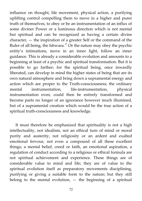influence on thought, life movement, physical action, a purifying uplifting control compelling them to move in a higher and purer truth of themselves, to obey or be an instrumentation of an influx of some diviner Power or a luminous direction which is not mental but spiritual and can be recognized as having a certain divine character, — the inspiration of a greater Self or the command of the Ruler of all being, the Ishwara.<sup>[17](#page-180-0)</sup> Or the nature may obey the psychic entity's intimations, move in an inner light, follow an inner guidance. This is already a considerable evolution and amounts to a beginning at least of a psychic and spiritual transformation. But it is possible to go farther; for the spiritual being, once inwardly liberated, can develop in mind the higher states of being that are its own natural atmosphere and bring down a supramental energy and action which are proper to the Truth-consciousness; the ordinary mental instrumentation, life-instrumentation, physical instrumentation even, could then be entirely transformed and become parts no longer of an ignorance however much illumined, but of a supramental creation which would be the true action of a spiritual truth-consciousness and knowledge.

It must therefore be emphasized that spirituality is not a high intellectuality, not idealism, not an ethical turn of mind or moral purity and austerity, not religiosity or an ardent and exalted emotional fervour, not even a compound of all these excellent things; a mental belief, creed or faith, an emotional aspiration, a regulation of conduct according to a religious or ethical formula are not spiritual achievement and experience. These things are of considerable value to mind and life; they are of value to the spiritual evolution itself as preparatory movements disciplining, purifying or giving a suitable form to the nature; but they still belong to the mental evolution,  $-$  the beginning of a spiritual

72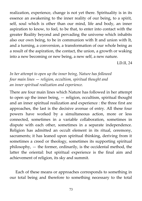realization, experience, change is not yet there. Spirituality is in its essence an awakening to the inner reality of our being, to a spirit, self, soul which is other than our mind, life and body, an inner aspiration to know, to feel, to be that, to enter into contact with the greater Reality beyond and pervading the universe which inhabits also our own being, to be in communion with It and union with It, and a turning, a conversion, a transformation of our whole being as a result of the aspiration, the contact, the union, a growth or waking into a new becoming or new being, a new self, a new nature.

LD.II, 24

*In her attempt to open up the inner being, Nature has followed four main lines* — *religion, occultism, spiritual thought and an inner spiritual realization and experience.*

There are four main lines which Nature has followed in her attempt to open up the inner being, — religion, occultism, spiritual thought and an inner spiritual realization and experience : the three first are approaches, the last is the decisive avenue of entry. All these four powers have worked by a simultaneous action, more or less connected, sometimes in a variable collaboration, sometimes in dispute with each other, sometimes in a separate independence. Religion has admitted an occult element in its ritual, ceremony, sacraments; it has leaned upon spiritual thinking, deriving from it sometimes a creed or theology, sometimes its supporting spiritual philosophy, — the former, ordinarily, is the occidental method, the latter the oriental: but spiritual experience is the final aim and achievement of religion, its sky and summit.

Each of these means or approaches corresponds to something in our total being and therefore to something necessary to the total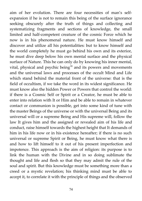aim of her evolution. There are four necessities of man's selfexpansion if he is not to remain this being of the surface ignorance seeking obscurely after the truth of things and collecting and systematizing fragments and sections of knowledge, the small limited and half-competent creature of the cosmic Force which he now is in his phenomenal nature. He must know himself and discover and utilize all his potentialities: but to know himself and the world completely he must go behind his own and its exterior, he must dive deep below his own mental surface and the physical surface of Nature. This he can only do by knowing his inner mental, vital, physical and psychic being<sup>[18](#page-180-1)</sup> and its powers and movements and the universal laws and processes of the occult Mind and Life which stand behind the material front of the universe: that is the field of occultism, if we take the word in its widest significance. He must know also the hidden Power or Powers that control the world: if there is a Cosmic Self or Spirit or a Creator, he must be able to enter into relation with It or Him and be able to remain in whatever contact or communion is possible, get into some kind of tune with the master Beings of the universe or with the universal Being and its universal will or a supreme Being and His supreme will, follow the law It gives him and the assigned or revealed aim of his life and conduct, raise himself towards the highest height that It demands of him in his life now or in his existence hereafter; if there is no such universal or supreme Spirit or Being, he must know what there is and how to lift himself to it out of his present imperfection and impotence. This approach is the aim of religion: its purpose is to link the human with the Divine and in so doing sublimate the thought and life and flesh so that they may admit the rule of the soul and spirit. But this knowledge must be something more than a creed or a mystic revelation; his thinking mind must be able to accept it, to correlate it with the principle of things and the observed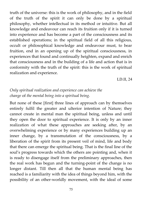truth of the universe: this is the work of philosophy, and in the field of the truth of the spirit it can only be done by a spiritual philosophy, whether intellectual in its method or intuitive. But all knowledge and endeavour can reach its fruition only if it is turned into experience and has become a part of the consciousness and its established operations; in the spiritual field of all this religious, occult or philosophical knowledge and endeavour must, to bear fruition, end in an opening up of the spiritual consciousness, in experiences that found and continually heighten, expand and enrich that consciousness and in the building of a life and action that is in conformity with the truth of the spirit: this is the work of spiritual realization and experience.

LD.II, 24

## *Only spiritual realization and experience can achieve the change* of *the mental being into a spiritual being.*

But none of these [first] three lines of approach can by themselves entirely fulfil the greater and ulterior intention of Nature; they cannot create in mental man the spiritual being, unless and until they open the door to spiritual experience. It is only by an inner realization of what these approaches are seeking after, by an overwhelming experience or by many experiences building up an inner change, by a transmutation of the consciousness, by a liberation of the spirit from its present veil of mind, life and body that there can emerge the spiritual being. That is the final line of the soul's progress towards which the others are pointing and, when it is ready to disengage itself from the preliminary approaches, then the real work has begun and the turning-point of the change is no longer distant. Till then all that the human mental being has reached is a familiarity with the idea of things beyond him, with the possibility of an other-worldly movement, with the ideal of some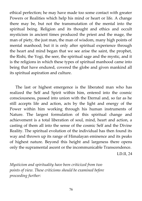ethical perfection; he may have made too some contact with greater Powers or Realities which help his mind or heart or life. A change there may be, but not the transmutation of the mental into the spiritual being. Religion and its thought and ethics and occult mysticism in ancient times produced the priest and the mage, the man of piety, the just man, the man of wisdom, many high points of mental manhood; but it is only after spiritual experience through the heart and mind began that we see arise the saint, the prophet, the Rishi, the Yogi, the seer, the spiritual sage and the mystic, and it is the religions in which these types of spiritual manhood came into being that have endured, covered the globe and given mankind all its spiritual aspiration and culture.

The last or highest emergence is the liberated man who has realized the Self and Spirit within him, entered into the cosmic consciousness, passed into union with the Eternal and, so far as he still accepts life and action, acts by the light and energy of the Power within him working through his human instruments of Nature. The largest formulation of this spiritual change and achievement is a total liberation of soul, mind, heart and action, a casting of them all into the sense of the cosmic Self and the Divine Reality. The spiritual evolution of the individual has then found its way and thrown up its range of Himalayan eminence and its peaks of highest nature. Beyond this height and largeness there opens only the supramental ascent or the incommunicable Transcendence.

LD.II, 24

*Mysticism and spirituality have been criticized from two points of view. These criticisms should be examined before proceeding further:*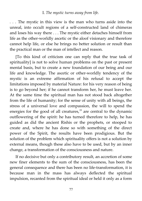#### I. *The mystic turns away from life.*

*. . .* The mystic in this view is the man who turns aside into the unreal, into occult regions of a self-constructed land of chimeras and loses his way there . . . The mystic either detaches himself from life as the other-worldly ascetic or the aloof visionary and therefore cannot help life, or else he brings no better solution or result than the practical man or the man of intellect and reason.

[To this kind of criticism one can reply that the true task of spirituality] is not to solve human problems on the past or present mental basis, but to create a new foundation of our being and our life and knowledge. The ascetic or other-worldly tendency of the mystic is an extreme affirmation of his refusal to accept the limitations imposed by material Nature: for his very reason of being is to go beyond her; if he cannot transform her, he must leave her. At the same time the spiritual man has not stood back altogether from the life of humanity; for the sense of unity with all beings, the stress of a universal love and compassion, the will to spend the energies for the good of all creatures, $19$  are central to the dynamic outflowering of the spirit: he has turned therefore to help, he has guided as did the ancient Rishis or the prophets, or stooped to create and, where he has done so with something of the direct power of the Spirit, the results have been prodigious. But the solution of the problem which spirituality offers is not a solution by external means, though these also have to be used, but by an inner change, a transformation of the consciousness and nature.

If no decisive but only a contributory result, an accretion of some new finer elements to the sum of the consciousness, has been the general consequence and there has been no life-transformation, it is because man in the mass has always deflected the spiritual impulsion, recanted from the spiritual ideal or held it only as a form

77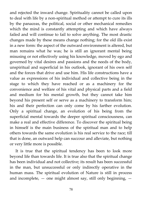and rejected the inward change. Spirituality cannot be called upon to deal with life by a non-spiritual method or attempt to cure its ills by the panaceas, the political, social or other mechanical remedies which the mind is constantly attempting and which have always failed and will continue to fail to solve anything. The most drastic changes made by these means change nothing; for the old ills exist in a new form: the aspect of the outward environment is altered, but man remains what he was; he is still an ignorant mental being misusing or not effectively using his knowledge, moved by ego and governed by vital desires and passions and the needs of the body, unspiritual and superficial in his outlook, ignorant of his own self and the forces that drive and use him. His life constructions have a value as expressions of his individual and collective being in the stage to which they have reached or as a machinery for the convenience and welfare of his vital and physical parts and a field and medium for his mental growth, but they cannot take him beyond his present self or serve as a machinery to transform him; his and their perfection can only come by his farther evolution. Only a spiritual change, an evolution of his being from the superficial mental towards the deeper spiritual consciousness, can make a real and effective difference. To discover the spiritual being in himself is the main business of the spiritual man and to help others towards the same evolution is his real service to the race; till that is done, an outward help can succour and alleviate, but nothing or very little more is possible.

It is true that the spiritual tendency has been to look more beyond life than towards life. It is true also that the spiritual change has been individual and not collective; its result has been successful in the man, but unsuccessful or only indirectly operative in the human mass. The spiritual evolution of Nature is still in process and incomplete,  $-$  one might almost say, still only beginning,  $-$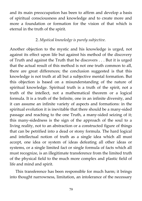and its main preoccupation has been to affirm and develop a basis of spiritual consciousness and knowledge and to create more and more a foundation or formation for the vision of that which is eternal in the truth of the spirit.

## 2. *Mystical knowledge is purely subjective.*

Another objection to the mystic and his knowledge is urged, not against its effect upon life but against his method of the discovery of Truth and against the Truth that he discovers . . . But it is urged that the actual result of this method is not one truth common to all, there are great differences; the conclusion suggested is that this knowledge is not truth at all but a subjective mental formation. But this objection is based on a misunderstanding of the nature of spiritual knowledge. Spiritual truth is a truth of the spirit, not a truth of the intellect, not a mathematical theorem or a logical formula. It is a truth of the Infinite, one in an infinite diversity, and it can assume an infinite variety of aspects and formations: in the spiritual evolution it is inevitable that there should be a many-sided passage and reaching to the one Truth, a many-sided seizing of it; this many-sidedness is the sign of the approach of the soul to a living reality, not to an abstraction or a constructed figure of things that can be petrified into a dead or stony formula. The hard logical and intellectual notion of truth as a single idea which all must accept, one idea or system of ideas defeating all other ideas or systems, or a single limited fact or single formula of facts which all must recognize, is an illegitimate transference from the limited truth of the physical field to the much more complex and plastic field of life and mind and spirit.

This transference has been responsible for much harm; it brings into thought narrowness, limitation, an intolerance of the necessary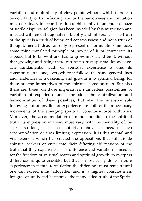variation and multiplicity of view-points without which there can be no totality of truth-finding, and by the narrowness and limitation much obstinacy in error. It reduces philosophy to an endless maze of sterile disputes; religion has been invaded by this misprision and infected with credal dogmatism, bigotry and intolerance. The truth of the spirit is a truth of being and consciousness and not a truth of thought: mental ideas can only represent or formulate some facet, some mind-translated principle or power of it or enumerate its aspects, but to know it one has to grow into it and be it; without that growing and being there can be no true spiritual knowledge. The fundamental truth of spiritual experience is one, its consciousness is one, everywhere it follows the same general lines and tendencies of awakening and growth into spiritual being; for these are the imperatives of the spiritual consciousness. But also there are, based on those imperatives, numberless possibilities of variation of experience and expression: the centralization and harmonization of these possibles, but also the intensive sole following out of any line of experience are both of them necessary movements of the emerging spiritual Conscious-Force within us. Moreover, the accommodation of mind and life to the spiritual truth, its expression in them, must vary with the mentality of the seeker so long as he has not risen above all need of such accommodation or such limiting expression. It is this mental and vital element which has created the oppositions that still divide spiritual seekers or enter into their differing affirmations of the truth that they experience. This difference and variation is needed for the freedom of spiritual search and spiritual growth: to overpass differences is quite possible, but that is most easily done in pure experience; in mental formulation the difference must remain until one can exceed mind altogether and in a highest consciousness integralize, unify and harmonize the many-sided truth of the Spirit.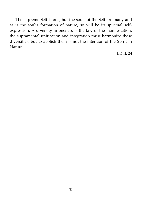The supreme Self is one, but the souls of the Self are many and as is the soul's formation of nature, so will be its spiritual selfexpression. A diversity in oneness is the law of the manifestation; the supramental unification and integration must harmonize these diversities, but to abolish them is not the intention of the Spirit in Nature.

LD.II, 24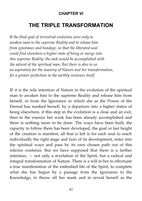## **CHAPTER VI**

# **THE TRIPLE TRANSFORMATION**

If *the final goal of terrestrial evolution were only to awaken man to the supreme Reality and to release him from ignorance and bondage, so that the liberated soul could find elsewhere a higher state of being or merge into this supreme Reality, the task would be accomplished with the advent of the spiritual man. But there is also in us an aspiration for the mastery of Nature and her transformation, for a greater perfection in the earthly existence itself.*

IF it is the sole intention of Nature in the evolution of the spiritual man to awaken him to the supreme Reality and release him from herself, or from the Ignorance in which she as the Power of the Eternal has masked herself, by a departure into a higher status of being elsewhere, if this step in the evolution is a close and an exit, then in the essence her work has been already accomplished and there is nothing more to be done. The ways have been built, the capacity to follow them has been developed, the goal or last height of the creation is manifest; all that is left is for each soul to reach individually the right stage and turn of its development, enter into the spiritual ways and pass by its own chosen path out of this inferior existence. But we have supposed that there is a farther intention, — not only a revelation of the Spirit, but a radical and integral transformation of Nature. There is a will in her to effectuate a true manifestation of the embodied life of the Spirit, to complete what she has begun by a passage from the Ignorance to the Knowledge, to throw off her mask and to reveal herself as the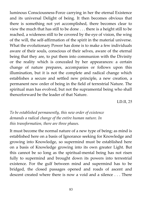luminous Consciousness-Force carrying in her the eternal Existence and its universal Delight of being. It then becomes obvious that there is something not yet accomplished, there becomes clear to view the much that has still to be done . . . there is a height still to be reached, a wideness still to be covered by the eye of vision, the wing of the will, the self-affirmation of the spirit in the material universe. What the evolutionary Power has done is to make a few individuals aware of their souls, conscious of their selves, aware of the eternal being that they are, to put them into communion with the Divinity or the reality which is concealed by her appearances: a certain change of nature prepares, accompanies or follows upon this illumination, but it is not the complete and radical change which establishes a secure and settled new principle, a new creation, a permanent new order of being in the field of terrestrial Nature. The spiritual man has evolved, but not the supramental being who shall thenceforward be the leader of that Nature.

LD.II, 25

*To be established permanently, this new order of existence demands a radical change of the entire human nature. In this transformation, there are three phases.*

It must become the normal nature of a new type of being; as mind is established here on a basis of Ignorance seeking for Knowledge and growing into Knowledge, so supermind must be established here on a basis of Knowledge growing into its own greater Light. But this cannot be so long as the spiritual-mental being has not risen fully to supermind and brought down its powers into terrestrial existence. For the gulf between mind and supermind has to be bridged, the closed passages opened and roads of ascent and descent created where there is now a void and a silence . . . There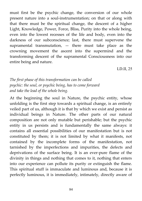must first be the psychic change, the conversion of our whole present nature into a soul-instrumentation; on that or along with that there must be the spiritual change, the descent of a higher Light, Knowledge, Power, Force, Bliss, Purity into the whole being, even into the lowest recesses of the life and body, even into the darkness of our subconscience; last, there must supervene the supramental transmutation, — there must take place as the crowning movement the ascent into the supermind and the transforming descent of the supramental Consciousness into our entire being and nature.

LD.II, 25

## *The first phase of this transformation can be called psychic: the soul, or psychic being, has to come forward and take the lead of the whole being.*

At the beginning the soul in Nature, the psychic entity, whose unfolding is the first step towards a spiritual change, is an entirely veiled part of us, although it is that by which we exist and persist as individual beings in Nature. The other parts of our natural composition are not only mutable but perishable; but the psychic entity in us persists and is fundamentally the same always: it contains all essential possibilities of our manifestation but is not constituted by them; it is not limited by what it manifests, not contained by the incomplete forms of the manifestation, not tarnished by the imperfections and impurities, the defects and deprivations of the surface being. It is an ever-pure flame of the divinity in things and nothing that comes to it, nothing that enters into our experience can pollute its purity or extinguish the flame. This spiritual stuff is immaculate and luminous and, because it is perfectly luminous, it is immediately, intimately, directly aware of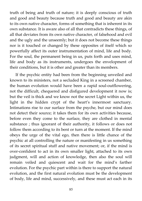truth of being and truth of nature; it is deeply conscious of truth and good and beauty because truth and good and beauty are akin to its own native character, forms of something that is inherent in its own substance. It is aware also of all that contradicts these things, of all that deviates from its own native character, of falsehood and evil and the ugly and the unseemly; but it does not become these things nor is it touched or changed by these opposites of itself which so powerfully affect its outer instrumentation of mind, life and body. For the soul, the permanent being in us, puts forth and uses mind, life and body as its instruments, undergoes the envelopment of their conditions, but it is other and greater than its members.

If the psychic entity had been from the beginning unveiled and known to its ministers, not a secluded King in a screened chamber, the human evolution would have been a rapid soul-outflowering, not the difficult, chequered and disfigured development it now is; but the veil is thick and we know not the secret Light within us, the light in the hidden crypt of the heart's innermost sanctuary. Intimations rise to our surface from the psyche, but our mind does not detect their source; it takes them for its own activities because, before even they come to the surface, they are clothed in mental substance ; thus ignorant of their authority, it follows or does not follow them according to its bent or turn at the moment. If the mind obeys the urge of the vital ego, then there is little chance of the psychic at all controlling the nature or manifesting in us something of its secret spiritual stuff and native movement; or, if the mind is over-confident to act in its own smaller light, attached to its own judgment, will and action of knowledge, then also the soul will remain veiled and quiescent and wait for the mind's farther evolution. For the psychic part within is there to support the natural evolution, and the first natural evolution must be the development of body, life and mind, successively, and these must act each in its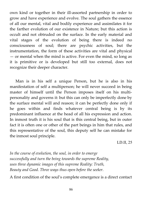own kind or together in their ill-assorted partnership in order to grow and have experience and evolve. The soul gathers the essence of all our mental, vital and bodily experience and assimilates it for the farther evolution of our existence in Nature; but this action is occult and not obtruded on the surface. In the early material and vital stages of the evolution of being there is indeed no consciousness of soul; there are psychic activities, but the instrumentation, the form of these activities are vital and physical — or mental when the mind is active. For even the mind, so long as it is primitive or is developed but still too external, does not recognize their deeper character.

Man is in his self a unique Person, but he is also in his manifestation of self a multiperson; he will never succeed in being master of himself until the Person imposes itself on his multipersonality and governs it: but this can only be imperfectly done by the surface mental will and reason; it can be perfectly done only if he goes within and finds whatever central being is by its predominant influence at the head of all his expression and action. In inmost truth it is his soul that is this central being, but in outer fact it is often one or other of the part beings in him that rules, and this representative of the soul, this deputy self he can mistake for the inmost soul principle.

LD.II, 25

*In the course of evolution, the soul, in order to emerge successfully and turn the being towards the supreme Reality, uses three dynamic images of this supreme Reality: Truth, Beauty and Good. Three ways thus open before the seeker.*

A first condition of the soul's complete emergence is a direct contact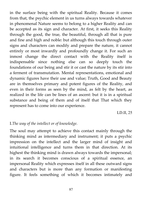in the surface being with the spiritual Reality. Because it comes from that, the psychic element in us turns always towards whatever in phenomenal Nature seems to belong to a higher Reality and can be accepted as its sign and character. At first, it seeks this Reality through the good, the true, the beautiful, through all that is pure and fine and high and noble: but although this touch through outer signs and characters can modify and prepare the nature, it cannot entirely or most inwardly and profoundly change it. For such an inmost change the direct contact with the Reality itself is indispensable since nothing else can so deeply touch the foundations of our being and stir it or cast the nature by its stir into a ferment of transmutation. Mental representations, emotional and dynamic figures have their use and value; Truth, Good and Beauty are in themselves primary and potent figures of the Reality, and even in their forms as seen by the mind, as felt by the heart, as realized in the life can be lines of an ascent: but it is in a spiritual substance and being of them and of itself that That which they represent has to come into our experience.

LD.II, 25

#### I.*The way of the intellect or of knowledge.*

The soul may attempt to achieve this contact mainly through the thinking mind as intermediary and instrument; it puts a psychic impression on the intellect and the larger mind of insight and intuitional intelligence and turns them in that direction. At its highest the thinking mind is drawn always towards the impersonal; in its search it becomes conscious of a spiritual essence, an impersonal Reality which expresses itself in all these outward signs and characters but is more than any formation or manifesting figure. It feels something of which it becomes intimately and

87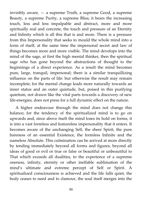invisibly aware, — a supreme Truth, a supreme Good, a supreme Beauty, a supreme Purity, a supreme Bliss; it bears the increasing touch, less and less impalpable and abstract, more and more spiritually real and concrete, the touch and pressure of an Eternity and Infinity which is all this that is and more. There is a pressure from this Impersonality that seeks to mould the whole mind into a form of itself; at the same time the impersonal secret and law of things becomes more and more visible. The mind develops into the mind of the sage, at first the high mental thinker, then the spiritual sage who has gone beyond the abstractions of thought to the beginnings of a direct experience. As a result the mind becomes pure, large, tranquil, impersonal; there is a similar tranquillizing influence on the parts of life: but otherwise the result may remain incomplete; for the mental change leads more naturally towards an inner status and an outer quietude, but, poised in this purifying quietism, not drawn like the vital parts towards a discovery of new life-energies, does not press for a full dynamic effect on the nature.

A higher endeavour through the mind does not change this balance; for the tendency of the spiritualized mind is to go on upwards and, since above itself the mind loses its hold on forms, it is into a vast formless and featureless impersonality that it enters. It becomes aware of the unchanging Self, the sheer Spirit, the pure bareness of an essential Existence, the formless Infinite and the nameless Absolute. This culmination can be arrived at more directly by tending immediately beyond all forms and figures, beyond all ideas of good or evil or true or false or beautiful or unbeautiful to That which exceeds all dualities, to the experience of a supreme oneness, infinity, eternity or other ineffable sublimation of the mind's ultimate and extreme percept of Self or Spirit. A spiritualized consciousness is achieved and the life falls quiet, the body ceases to need and to clamour, the soul itself merges into the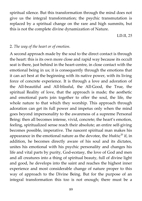spiritual silence. But this transformation through the mind does not give us the integral transformation; the psychic transmutation is replaced by a spiritual change on the rare and high summits, but this is not the complete divine dynamization of Nature.

LD.II, 25

#### 2. *The way of the heart or of emotion.*

A second approach made by the soul to the direct contact is through the heart: this is its own more close and rapid way because its occult seat is there, just behind in the heart-centre, in close contact with the emotional being in us; it is consequently through the emotions that it can act best at the beginning with its native power, with its living force of concrete experience. It is through a love and adoration of the All-beautiful and All-blissful, the All-Good, the True, the spiritual Reality of love, that the approach is made; the aesthetic and emotional parts join together to offer the soul, the life, the whole nature to that which they worship. This approach through adoration can get its full power and impetus only when the mind goes beyond impersonality to the awareness of a supreme Personal Being: then all becomes intense, vivid, concrete; the heart's emotion, feeling, spiritualized sense reach their absolute; an entire self-giving becomes possible, imperative. The nascent spiritual man makes his appearance in the emotional nature as the devotee, the *bhakta;*[20](#page-181-1) if, in addition, he becomes directly aware of his soul and its dictates, unites his emotional with his psychic personality and changes his life and vital parts by purity, God-ecstasy, the love of God and men and all creatures into a thing of spiritual beauty, full of divine light and good, he develops into the saint and reaches the highest inner experience and most considerable change of nature proper to this way of approach to the Divine Being. But for the purpose of an integral transformation this too is not enough; there must be a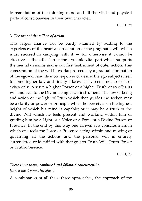transmutation of the thinking mind and all the vital and physical parts of consciousness in their own character.

LD.II, 25

### 3. *The way of the will or of action.*

This larger change can be partly attained by adding to the experiences of the heart a consecration of the pragmatic will which must succeed in carrying with it  $-$  for otherwise it cannot be effective  $-$  the adhesion of the dynamic vital part which supports the mental dynamis and is our first instrument of outer action. This consecration of the will in works proceeds by a gradual elimination of the ego-will and its motive-power of desire; the ego subjects itself to some higher law and finally effaces itself, seems not to exist or exists only to serve a higher Power or a higher Truth or to offer its will and acts to the Divine Being as an instrument. The law of being and action or the light of Truth which then guides the seeker, may be a clarity or power or principle which he perceives on the highest height of which his mind is capable; or it may be a truth of the divine Will which he feels present and working within him or guiding him by a Light or a Voice or a Force or a Divine Person or Presence. In the end by this way one arrives at a consciousness in which one feels the Force or Presence acting within and moving or governing all the actions and the personal will is entirely surrendered or identified with that greater Truth-Will, Truth-Power or Truth-Presence.

LD.II, 25

*These three ways, combined and followed concurrently*, *have a most powerful effect.*

A combination of all these three approaches, the approach of the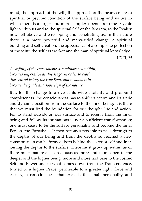mind, the approach of the will, the approach of the heart, creates a spiritual or psychic condition of the surface being and nature in which there is a larger and more complex openness to the psychic light within us and to the spiritual Self or the Ishwara, to the Reality now felt above and enveloping and penetrating us. In the nature there is a more powerful and many-sided change, a spiritual building and self-creation, the appearance of a composite perfection of the saint, the selfless worker and the man of spiritual knowledge.

LD.II, 25

*A shifting of the consciousness, a withdrawal within, becomes imperative at this stage, in order to reach the central being, the true Soul, and to allow it to become the guide and sovereign of the nature.*

But, for this change to arrive at its widest totality and profound completeness, the consciousness has to shift its centre and its static and dynamic position from the surface to the inner being; it is there that we must find the foundation for our thought, life and action. For to stand outside on our surface and to receive from the inner being and follow its intimations is not a sufficient transformation; one must cease to be the surface personality and become the inner Person, the Purusha ... It then becomes possible to pass through to the depths of our being and from the depths so reached a new consciousness can be formed, both behind the exterior self and in it, joining the depths to the surface. There must grow up within us or there must manifest a consciousness more and more open to the deeper and the higher being, more and more laid bare to the cosmic Self and Power and to what comes down from the Transcendence, turned to a higher Peace, permeable to a greater light, force and ecstasy, a consciousness that exceeds the small personality and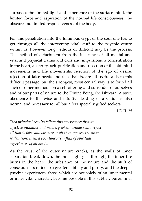surpasses the limited light and experience of the surface mind, the limited force and aspiration of the normal life consciousness, the obscure and limited responsiveness of the body.

For this penetration into the luminous crypt of the soul one has to get through all the intervening vital stuff to the psychic centre within us, however long, tedious or difficult may be the process. The method of detachment from the insistence of all mental and vital and physical claims and calls and impulsions, a concentration in the heart, austerity, self-purification and rejection of the old mind movements and life movements, rejection of the ego of desire, rejection of false needs and false habits, are all useful aids to this difficult passage: but the strongest, most central way is to found all such or other methods on a self-offering and surrender of ourselves and of our parts of nature to the Divine Being, the Ishwara. A strict obedience to the wise and intuitive leading of a Guide is also normal and necessary for all but a few specially gifted seekers.

LD.II, 25

*Two principal results follow this emergence: first an effective guidance and mastery which unmask and reject all that is false and obscure or all that opposes the divine realization; then, a spontaneous influx of spiritual experiences of all kinds.*

As the crust of the outer nature cracks, as the walls of inner separation break down, the inner light gets through, the inner fire burns in the heart, the substance of the nature and the stuff of consciousness refine to a greater subtlety and purity, and the deeper psychic experiences, those which are not solely of an inner mental or inner vital character, become possible in this subtler, purer, finer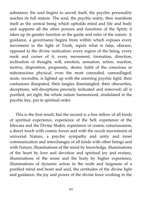substance; the soul begins to unveil itself, the psychic personality reaches its full stature. The soul, the psychic entity, then manifests itself as the central being which upholds mind and life and body and supports all the other powers and functions of the Spirit; it takes up its greater function as the guide and ruler of the nature. A guidance, a governance begins from within which exposes every movement to the light of Truth, repels what is false, obscure, opposed to the divine realization: every region of the being, every nook and corner of it, every movement, formation, direction, inclination of thought, will, emotion, sensation, action, reaction, motive, disposition, propensity, desire, habit of the conscious or subconscious physical, even the most concealed, camouflaged, mute, recondite, is lighted up with the unerring psychic light, their confusions dissipated, their tangles disentangled, their obscurities, deceptions, self-deceptions precisely indicated and removed; all is purified, set right, the whole nature harmonized, modulated in the psychic key, put in spiritual order.

This is the first result, but the second is a free inflow of all kinds of spiritual experience, experience of the Self, experience of the Ishwara and the Divine Shakti, experience of cosmic consciousness, a direct touch with cosmic forces and with the occult movements of universal Nature, a psychic sympathy and unity and inner communication and interchanges of all kinds with other beings and with Nature, illuminations of the mind by knowledge, illuminations of the heart by love and devotion and spiritual joy and ecstasy, illuminations of the sense and the body by higher experience, illuminations of dynamic action in the truth and largeness of a purified mind and heart and soul, the certitudes of the divine light and guidance, the joy and power of the divine force working in the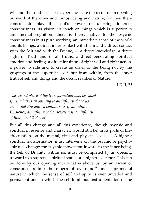will and the conduct. These experiences are the result of an opening outward of the inner and inmost being and nature; for then there comes into play the soul's power of unerring inherent consciousness, its vision, its touch on things which is superior to any mental cognition; there is there, native to the psychic consciousness in its pure working, an immediate sense of the world and its beings, a direct inner contact with them and a direct contact with the Self and with the Divine,  $-$  a direct knowledge, a direct sight of Truth and of all truths, a direct penetrating spiritual emotion and feeling, a direct intuition of right will and right action, a power to rule and to create an order of the being not by the gropings of the superficial self, but from within, from the inner truth of self and things and the occult realities of Nature.

LD.II, 25

*The second phase of the transformation may be called spiritual; it is an opening to an Infinity above us, an eternal Presence, a boundless Self, an infinite Existence, an infinity of Consciousness, an infinity of Bliss, an All-Power.*

But all this change and all this experience, though psychic and spiritual in essence and character, would still be, in its parts of lifeeffectuation, on the mental, vital and physical level . . . A highest spiritual transformation must intervene on the psychic or psychospiritual change; the psychic movement inward to the inner being, the Self or Divinity within us, must be completed by an opening upward to a supreme spiritual status or a higher existence. This can be done by our opening into what is above us, by an ascent of consciousness into the ranges of overmind $^{21}$  $^{21}$  $^{21}$  and supramental nature in which the sense of self and spirit is ever unveiled and permanent and in which the self-luminous instrumentation of the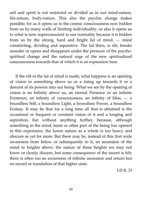self and spirit is not restricted or divided as in our mind-nature, life-nature, body-nature. This also the psychic change makes possible; for as it opens us to the cosmic consciousness now hidden from us by many walls of limiting individuality, so also it opens us to what is now superconscient to our normality because it is hidden from us by the strong, hard and bright lid of mind,  $-$  mind constricting, dividing and separative. The lid thins, is slit, breaks asunder or opens and disappears under the pressure of the psychospiritual change and the natural urge of the new spiritualized consciousness towards that of which it is an expression here.

If the rift in the lid of mind is made, what happens is an opening of vision to something above us or a rising up towards it or a descent of its powers into our being. What we see by the opening of vision is an Infinity above us, an eternal Presence or an infinite Existence, an infinity of consciousness, an infinity of bliss,  $-$  a boundless Self, a boundless Light, a boundless Power, a boundless Ecstasy. It may be that for a long time all that is obtained is the occasional or frequent or constant vision of it and a longing and aspiration, but without anything further, because, although something in the mind, heart or other part of the being has opened to this experience, the lower nature as a whole is too heavy and obscure as yet for more. But there may be, instead of this first wide awareness from below or subsequently to it, an ascension of the mind to heights above: the nature of these heights we may not know or clearly discern, but some consequence of the ascent is felt; there is often too an awareness of infinite ascension and return but no record or translation of that higher state.

LD.II, 25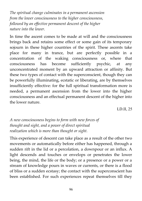*The spiritual change culminates in a permanent ascension from the lower consciousness to the higher consciousness, followed by an effective permanent descent of the higher nature into the lower.*

In time the ascent comes to be made at will and the consciousness brings back and retains some effect or some gain of its temporary sojourn in these higher countries of the spirit. These ascents take place for many in trance, but are perfectly possible in a concentration of the waking consciousness or, where that consciousness has become sufficiently psychic, at any unconcentrated moment by an upward attraction or affinity. But these two types of contact with the superconscient, though they can be powerfully illuminating, ecstatic or liberating, are by themselves insufficiently effective: for the full spiritual transformation more is needed, a permanent ascension from the lower into the higher consciousness and an effectual permanent descent of the higher into the lower nature.

LD.II, 25

*A new consciousness begins to form with new forces of thought and sight, and a power of direct spiritual realization which is more than thought or sight.*

This experience of descent can take place as a result of the other two movements or automatically before either has happened, through a sudden rift in the lid or a percolation, a downpour or an influx. A light descends and touches or envelops or penetrates the lower being, the mind, the life or the body; or a presence or a power or a stream of knowledge pours in waves or currents, or there is a flood of bliss or a sudden ecstasy; the contact with the superconscient has been established. For such experiences repeat themselves till they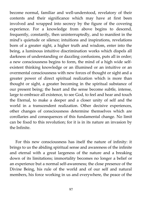become normal, familiar and well-understood, revelatory of their contents and their significance which may have at first been involved and wrapped into secrecy by the figure of the covering experience. For a knowledge from above begins to descend, frequently, constantly, then uninterruptedly, and to manifest in the mind's quietude or silence; intuitions and inspirations, revelations born of a greater sight, a higher truth and wisdom, enter into the being, a luminous intuitive discrimination works which dispels all darkness of understanding or dazzling confusions, puts all in order; a new consciousness begins to form, the mind of a high wide selfexistent thinking knowledge or an illumined or an intuitive or an overmental consciousness with new forces of thought or sight and a greater power of direct spiritual realization which is more than thought or sight, a greater becoming in the spiritual substance of our present being; the heart and the sense become subtle, intense, large to embrace all existence, to see God, to feel and hear and touch the Eternal, to make a deeper and a closer unity of self and the world in a transcendent realization. Other decisive experiences, other changes of consciousness determine themselves which are corollaries and consequences of this fundamental change. No limit can be fixed to this revolution; for it is in its nature an invasion by the Infinite.

For this new consciousness has itself the nature of infinity: it brings to us the abiding spiritual sense and awareness of the infinite and eternal with a great largeness of the nature and a breaking down of its limitations; immortality becomes no longer a belief or an experience but a normal self-awareness; the close presence of the Divine Being, his rule of the world and of our self and natural members, his force working in us and everywhere, the peace of the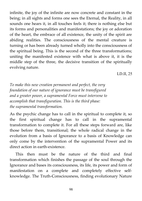infinite, the joy of the infinite are now concrete and constant in the being; in all sights and forms one sees the Eternal, the Reality, in all sounds one hears it, in all touches feels it; there is nothing else but its forms and personalities and manifestations; the joy or adoration of the heart, the embrace of all existence, the unity of the spirit are abiding realities. The consciousness of the mental creature is turning or has been already turned wholly into the consciousness of the spiritual being. This is the second of the three transformations; uniting the manifested existence with what is above it, it is the middle step of the three, the decisive transition of the spiritually evolving nature.

LD.II, 25

*To make this new creation permanent and perfect, the very foundation of our nature of ignorance must be transfigured and a greater power, a supramental Force must intervene to accomplish that transfiguration. This is the third phase: the supramental transformation.*

As the psychic change has to call in the spiritual to complete it, so the first spiritual change has to call in the supramental transformation to complete it. For all these steps forward are, like those before them, transitional; the whole radical change in the evolution from a basis of Ignorance to a basis of Knowledge can only come by the intervention of the supramental Power and its direct action in earth-existence.

This then must be the nature of the third and final transformation which finishes the passage of the soul through the Ignorance and bases its consciousness, its life, its power and form of manifestation on a complete and completely effective selfknowledge. The Truth-Consciousness, finding evolutionary Nature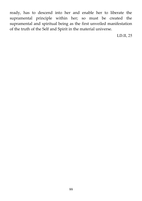ready, has to descend into her and enable her to liberate the supramental principle within her; so must be created the supramental and spiritual being as the first unveiled manifestation of the truth of the Self and Spirit in the material universe.

LD.II, 25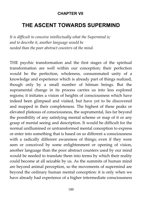### **CHAPTER VII**

# **THE ASCENT TOWARDS SUPERMIND**

*It is difficult to conceive intellectually what the Supermind is; and to describe it, another language would be needed than the poor abstract counters* of *the mind.*

THE psychic transformation and the first stages of the spiritual transformation are well within our conception; their perfection would be the perfection, wholeness, consummated unity of a knowledge and experience which is already part of things realized, though only by a small number of hitman beings. But the supramental change in its process carries us into less explored regions; it initiates a vision of heights of consciousness which have indeed been glimpsed and visited, but have yet to be discovered and mapped in their completeness. The highest of these peaks or elevated plateaus of consciousness, the supramental, lies far beyond the possibility of any satisfying mental scheme or map of it or any grasp of mental seeing and description. It would be difficult for the normal unillumined or untransformed mental conception to express or enter into something that is based on so different a consciousness with a radically different awareness of things; even if they were seen or conceived by some enlightenment or opening of vision, another language than the poor abstract counters used by our mind would be needed to translate them into terms by which their reality could become at all seizable by us. As the summits of human mind are beyond animal perception, so the movements of supermind are beyond the ordinary human mental conception: it is only when we have already had experience of a higher intermediate consciousness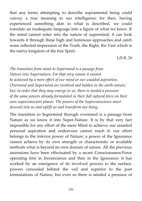that any terms attempting to describe supramental being could convey a true meaning to our intelligence; for then, having experienced something akin to what is described, we could translate an inadequate language into a figure of what we knew. If the mind cannot enter into the nature of supermind, it can look towards it through these high and luminous approaches and catch some reflected impression of the Truth, the Right, the Vast which is the native kingdom of the free Spirit.

LD.II, 26

*The transition from mind to Supermind is a passage from Nature into Supernature. For that very reason it cannot be achieved by a mere effort of our mind or our unaided aspiration. Overmind and Supermind are involved and hidden in the earth-nature; but, in order that they may emerge in us, there is needed a pressure of the same powers already formulated in their full natural force on their own superconscient planes. The powers of the Superconscience must descend into us and uplift us and transform our being.*

The transition to Supermind through overmind is a passage from Nature as we know it into Super-Nature. It is by that very fact impossible for any effort of the mere Mind to achieve; our unaided personal aspiration and endeavour cannot reach it: our effort belongs to the inferior power of Nature; a power of the Ignorance cannot achieve by its own strength or characteristic or available methods what is beyond its own domain of nature. All the previous ascensions have been effectuated by a secret Consciousness-Force operating first in Inconscience and then in the Ignorance: it has worked by an emergence of its involved powers to the surface, powers concealed behind the veil and superior to the past formulations of Nature, but even so there is needed a pressure of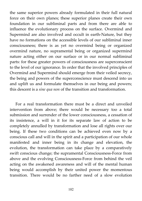the same superior powers already formulated in their full natural force on their own planes; these superior planes create their own foundation in our subliminal parts and from there are able to influence the evolutionary process on the surface. Overmind and Supermind are also involved and occult in earth-Nature, but they have no formations on the accessible levels of our subliminal inner consciousness; there is as yet no overmind being or organized overmind nature, no supramental being or organized supermind nature acting either on our surface or in our normal subliminal parts: for these greater powers of consciousness are superconscient to the level of our ignorance. In order that the involved principles of Overmind and Supermind should emerge from their veiled secrecy, the being and powers of the superconscience must descend into us and uplift us and formulate themselves in our being and powers; this descent is a *sine qua non* of the transition and transformation.

For a real transformation there must be a direct and unveiled intervention from above; there would be necessary too a total submission and surrender of the lower consciousness, a cessation of its insistence, a will in it for its separate law of action to be completely annulled by transformation and lose all rights over our being. If these two conditions can be achieved even now by a conscious call and will in the spirit and a participation of our whole manifested and inner being in its change and elevation, the evolution, the transformation can take place by a comparatively swift conscious change; the supramental Consciousness-Force from above and the evolving Consciousness-Force from behind the veil acting on the awakened awareness and will of the mental human being would accomplish by their united power the momentous transition. There would be no farther need of a slow evolution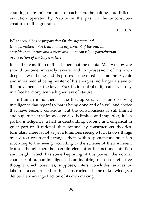counting many millenniums for each step, the halting and difficult evolution operated by Nature in the past in the unconscious creatures of the Ignorance.

LD.II, 26

*What should be the preparation for the supramental transformation? First, an increasing control of the individual over his own nature and a more and more conscious participation in the action of the Supernature.*

It is a first condition of this change that the mental Man we now are should become inwardly aware and in possession of his own deeper law of being and its processes; he must become the psychic and inner mental being master of his energies, no longer a slave of the movements of the lower Prakriti, in control of it, seated securely in a free harmony with a higher law of Nature.

In human mind there is the first appearance of an observing intelligence that regards what is being done and of a will and choice that have become conscious; but the consciousness is still limited and superficial: the knowledge also is limited and imperfect, it is a partial intelligence, a half understanding, groping and empirical in great part or, if rational, then rational by constructions, theories, formulas. There is not as yet a luminous seeing which knows things by a direct grasp and arranges them with a spontaneous precision according to the seeing, according to the scheme of their inherent truth; although there is a certain element of instinct and intuition and insight which has some beginning of this power, the normal character of human intelligence is an inquiring reason or reflective thought which observes, supposes, infers, concludes, arrives by labour at a constructed truth, a constructed scheme of knowledge, a deliberately arranged action of its own making.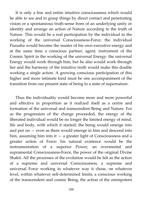It is only a free and entire intuitive consciousness which would be able to see and to grasp things by direct contact and penetrating vision or a spontaneous truth-sense born of an underlying unity or identity and arrange an action of Nature according to the truth of Nature. This would be a real participation by the individual in the working of the universal Consciousness-Force; the individual Purusha would become the master of his own executive energy and at the same time a conscious partner, agent, instrument of the Cosmic Spirit in the working of the universal Energy: the universal Energy would work through him, but he also would work through her and the harmony of the intuitive truth would make this double working a single action. A growing conscious participation of this higher and more intimate kind must be one accompaniment of the transition from our present state of being to a state of supernature.

Thus the individuality would become more and more powerful and effective in proportion as it realized itself as a centre and formation of the universal and transcendent Being and Nature. For as the progression of the change proceeded, the energy of the liberated individual would be no longer the limited energy of mind, life and body, with which it started; the being would emerge into and put on  $-$  even as there would emerge in him and descend into him, assuming him into it — a greater light of Consciousness and a greater action of Force: his natural existence would be the instrumentation of a superior Power, an overmental and supramental Consciousness-Force, the power of the original Divine Shakti. All the processes of the evolution would be felt as the action of a supreme and universal Consciousness, a supreme and universal Force working in whatever way it chose, on whatever level, within whatever self-determined limits, a conscious working of the transcendent and cosmic Being, the action of the omnipotent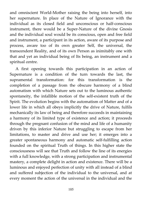and omniscient World-Mother raising the being into herself, into her supernature. In place of the Nature of Ignorance with the individual as its closed field and unconscious or half-conscious instrument, there would be a Super-Nature of the divine Gnosis and the individual soul would be its conscious, open and free field and instrument, a participant in its action, aware of its purpose and process, aware too of its own greater Self, the universal, the transcendent Reality, and of its own Person as inimitably one with that and yet an individual being of Its being, an instrument and a spiritual centre.

A first opening towards this participation in an action of Supernature is a condition of the turn towards the last, the supramental transformation: for this transformation is the completion of a passage from the obscure harmony of a blind automatism with which Nature sets out to the luminous authentic spontaneity, the infallible motion of the self-existent truth of the Spirit. The evolution begins with the automatism of Matter and of a lower life in which all obeys implicitly the drive of Nature, fulfils mechanically its law of being and therefore succeeds in maintaining a harmony of its limited type of existence and action; it proceeds through the pregnant confusion of the mind and life of a humanity driven by this inferior Nature but struggling to escape from her limitations, to master and drive and use her; it emerges into a greater spontaneous harmony and automatic self-fulfilling action founded on the spiritual Truth of things. In this higher state the consciousness will see that Truth and follow the line of its energies with a full knowledge, with a strong participation and instrumental mastery, a complete delight in action and existence. There will be a luminous and enjoyed perfection of unity with all instead of a blind and suffered subjection of the individual to the universal, and at every moment the action of the universal in the individual and the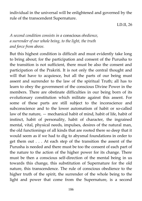individual in the universal will be enlightened and governed by the rule of the transcendent Supernature.

LD.II, 26

*A second condition consists in a* conscious *obedience, a surrender of our whole being, to the light, the truth and force from above.*

But this highest condition is difficult and must evidently take long to bring about; for the participation and consent of the Purusha to the transition is not sufficient, there must be also the consent and participation of the Prakriti. It is not only the central thought and will that have to acquiesce, but all the parts of our being must assent and surrender to the law of the spiritual Truth; all has to learn to obey the government of the conscious Divine Power in the members. There are obstinate difficulties in our being born of its evolutionary constitution which militate against this assent. For some of these parts are still subject to the inconscience and subconscience and to the lower automatism of habit or so-called law of the nature, — mechanical habit of mind, habit of life, habit of instinct, habit of personality, habit of character, the ingrained mental, vital, physical needs, impulses, desires of the natural man, the old functionings of all kinds that are rooted there so deep that it would seem as if we had to dig to abysmal foundations in order to get them out . . . At each step of the transition the assent of the Purusha is needed and there must be too the consent of each part of the nature to the action of the higher power for its change. There must be then a conscious self-direction of the mental being in us towards this change, this substitution of Supernature for the old nature, this transcendence. The rule of conscious obedience to the higher truth of the spirit, the surrender of the whole being to the light and power that come from the Supernature, is a second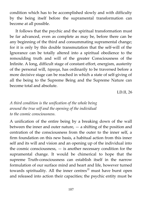condition which has to be accomplished slowly and with difficulty by the being itself before the supramental transformation can become at all possible.

It follows that the psychic and the spiritual transformation must be far advanced, even as complete as may be, before there can be any beginning of the third and consummating supramental change; for it is only by this double transmutation that the self-will of the Ignorance can be totally altered into a spiritual obedience to the remoulding truth and will of the greater Consciousness of the Infinite. A long, difficult stage of constant effort, energism, austerity of the personal will, *tapasya*, has ordinarily to be traversed before a more decisive stage can be reached in which a state of self-giving of all the being to the Supreme Being and the Supreme Nature can become total and absolute.

LD.II, 26

*A third condition is the unification of the whole being around the true self and the opening of the individual to the cosmic consciousness.*

A unification of the entire being by a breaking down of the wall between the inner and outer nature,  $-$  a shifting of the position and centration of the consciousness from the outer to the inner self, a firm foundation on this new basis, a habitual action from this inner self and its will and vision and an opening up of the individual into the cosmic consciousness,  $-$  is another necessary condition for the supramental change. It would be chimerical to hope that the supreme Truth-consciousness can establish itself in the narrow formulation of our surface mind and heart and life, however turned towards spirituality. All the inner centres $^{22}$  $^{22}$  $^{22}$  must have burst open and released into action their capacities; the psychic entity must be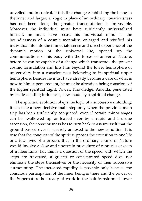unveiled and in control. If this first change establishing the being in the inner and larger, a Yogic in place of an ordinary consciousness has not been done, the greater transmutation is impossible. Moreover the individual must have sufficiently universalized himself, he must have recast his individual mind in the boundlessness of a cosmic mentality, enlarged and vivified his individual life into the immediate sense and direct experience of the dynamic motion of the universal life, opened up the communications of his body with the forces of universal Nature, before he can be capable of a change which transcends the present cosmic formulation and lifts him beyond the lower hemisphere of universality into a consciousness belonging to its spiritual upper hemisphere. Besides he must have already become aware of what is now to him superconscient; he must be already a being conscious of the higher spiritual Light, Power, Knowledge, Ananda, penetrated by its descending influences, new-made by a spiritual change.

The spiritual evolution obeys the logic of a successive unfolding; it can take a new decisive main step only when the previous main step has been sufficiently conquered: even if certain minor stages can be swallowed up or leaped over by a rapid and brusque ascension, the consciousness has to turn back to assure itself that the ground passed over is securely annexed to the new condition. It is true that the conquest of the spirit supposes the execution in one life or a few lives of a process that in the ordinary course of Nature would involve a slow and uncertain procedure of centuries or even of millenniums: but this is a question of the speed with which the steps are traversed; a greater or concentrated speed does not eliminate the steps themselves or the necessity of their successive surmounting. The increased rapidity is possible only because the conscious participation of the inner being is there and the power of the Supernature is already at work in the half-transformed lower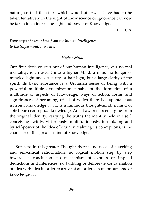nature, so that the steps which would otherwise have had to be taken tentatively in the night of Inconscience or Ignorance can now be taken in an increasing light and power of Knowledge.

LD.II, 26

*Four steps of ascent lead from the human intelligence to the Supermind; these are:*

## I. *Higher Mind*

Our first decisive step out of our human intelligence, our normal mentality, is an ascent into a higher Mind, a mind no longer of mingled light and obscurity or half-light, but a large clarity of the spirit. Its basic substance is a Unitarian sense of being with a powerful multiple dynamization capable of the formation of a multitude of aspects of knowledge, ways of action, forms and significances of becoming, of all of which there is a spontaneous inherent knowledge . . . It is a luminous thought-mind, a mind of spirit-born conceptual knowledge. An all-awareness emerging from the original identity, carrying the truths the identity held in itself, conceiving swiftly, victoriously, multitudinously, formulating and by self-power of the Idea effectually realizing its conceptions, is the character of this greater mind of knowledge.

But here in this greater Thought there is no need of a seeking and self-critical ratiocination, no logical motion step by step towards a conclusion, no mechanism of express or implied deductions and inferences, no building or deliberate concatenation of idea with idea in order to arrive at an ordered sum or outcome of knowledge . . .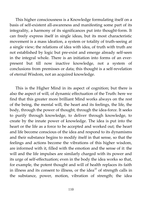This higher consciousness is a Knowledge formulating itself on a basis of self-existent all-awareness and manifesting some part of its integrality, a harmony of its significances put into thought-form. It can freely express itself in single ideas, but its most characteristic movement is a mass ideation, a system or totality of truth-seeing at a single view; the relations of idea with idea, of truth with truth are not established by logic but pre-exist and emerge already self-seen in the integral whole. There is an initiation into forms of an everpresent but till now inactive knowledge, not a system of conclusions from premisses or data; this thought is a self-revelation of eternal Wisdom, not an acquired knowledge.

This is the Higher Mind in its aspect of cognition; but there is also the aspect of will, of dynamic effectuation of the Truth: here we find that this greater more brilliant Mind works always on the rest of the being, the mental will, the heart and its feelings, the life, the body, through the power of thought, through the idea-force. It seeks to purify through knowledge, to deliver through knowledge, to create by the innate power of knowledge. The idea is put into the heart or the life as a force to be accepted and worked out; the heart and life become conscious of the idea and respond to its dynamisms and their substance begins to modify itself in that sense, so that the feelings and actions become the vibrations of this higher wisdom, are informed with it, filled with the emotion and the sense of it: the will and the life impulses are similarly charged with its power and its urge of self-effectuation; even in the body the idea works so that, for example, the potent thought and will of health replaces its faith in illness and its consent to illness, or the idea<sup>[23](#page-182-1)</sup> of strength calls in the substance, power, motion, vibration of strength; the idea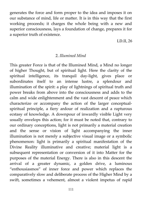generates the force and form proper to the idea and imposes it on our substance of mind, life or matter. It is in this way that the first working proceeds; it charges the whole being with a new and superior consciousness, lays a foundation of change, prepares it for a superior truth of existence.

LD.II, 26

#### 2. *Illumined Mind*

This greater Force is that of the Illumined Mind, a Mind no longer of higher Thought, but of spiritual light. Here the clarity of the spiritual intelligence, its tranquil day-light, gives place or subordinates itself to an intense lustre, a splendour and illumination of the spirit: a play of lightnings of spiritual truth and power breaks from above into the consciousness and adds to the calm and wide enlightenment and the vast descent of peace which characterize or accompany the action of the larger conceptualspiritual principle, a fiery ardour of realization and a rapturous ecstasy of knowledge. A downpour of inwardly visible Light very usually envelops this action; for it must be noted that, contrary to our ordinary conceptions, light is not primarily a material creation and the sense or vision of light accompanying the inner illumination is not merely a subjective visual image or a symbolic phenomenon: light is primarily a spiritual manifestation of the Divine Reality illuminative and creative; material light is a subsequent representation or conversion of it into Matter for the purposes of the material Energy. There is also in this descent the arrival of a greater dynamic, a golden drive, a luminous "enthousiasmos" of inner force and power which replaces the comparatively slow and deliberate process of the Higher Mind by a swift, sometimes a vehement, almost a violent impetus of rapid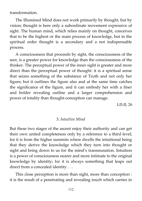transformation.

The Illumined Mind does not work primarily by thought, but by vision; thought is here only a subordinate movement expressive of sight. The human mind, which relies mainly on thought, conceives that to be the highest or the main process of knowledge, but in the spiritual order thought is a secondary and a not indispensable process.

A consciousness that proceeds by sight, the consciousness of the seer, is a greater power for knowledge than the consciousness of the thinker. The perceptual power of the inner sight is greater and more direct than the perceptual power of thought: it is a spiritual sense that seizes something of the substance of Truth and not only her figure; but it outlines the figure also and at the same time catches the significance of the figure, and it can embody her with a finer and bolder revealing outline and a larger comprehension and power of totality than thought-conception can manage.

LD.II, 26

#### 3. *Intuitive Mind*

But these two stages of the ascent enjoy their authority and can get their own united completeness only by a reference to a third level; for it is from the higher summits where dwells the intuitional being that they derive the knowledge which they turn into thought or sight and bring down to us for the mind's transmutation. Intuition is a power of consciousness nearer and more intimate to the original knowledge by identity; for it is always something that leaps out direct from a concealed identity . . .

This close perception is more than sight, more than conception : it is the result of a penetrating and revealing touch which carries in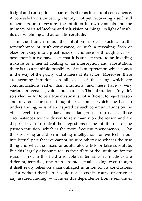it sight and conception as part of itself or as its natural consequence. A concealed or slumbering identity, not yet recovering itself, still remembers or conveys by the intuition its own contents and the intimacy of its self-feeling and self-vision of things, its light of truth, its overwhelming and automatic certitude.

In the human mind the intuition is even such a truthremembrance or truth-conveyance, or such a revealing flash or blaze breaking into a great mass of ignorance or through a veil of nescience: but we have seen that it is subject there to an invading mixture or a mental coating or an interception and substitution; there is too a manifold possibility of misinterpretation which comes in the way of the purity and fullness of its action. Moreover, there are seeming intuitions on all levels of the being which are communications rather than intuitions, and these have a very various provenance, value and character. The infrarational 'mystic', so styled, — for to be a true mystic it is not sufficient to reject reason and rely on sources of thought or action of which one has no understanding,  $-$  is often inspired by such communications on the vital level from a dark and dangerous source. In these circumstances we are driven to rely mainly on the reason and are disposed even to control the suggestions of the intuition — or the pseudo-intuition, which is the more frequent phenomenon, — by the observing and discriminating intelligence; for we feel in our intellectual part that we cannot be sure otherwise what is the true thing and what the mixed or adulterated article or false substitute. But this largely discounts for us the utility of the intuition: for the reason is not in this field a reliable arbiter, since its methods are different, tentative, uncertain, an intellectual seeking; even though it itself really relies on a camouflaged intuition for its conclusions, — for without that help it could not choose its course or arrive at any assured finding, — it hides this dependence from itself under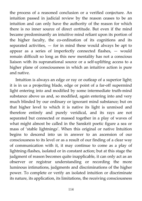the process of a reasoned conclusion or a verified conjecture. An intuition passed in judicial review by the reason ceases to be an intuition and can only have the authority of the reason for which there is no inner source of direct certitude. But even if the mind became predominantly an intuitive mind reliant upon its portion of the higher faculty, the co-ordination of its cognitions and its separated activities,  $-$  for in mind these would always be apt to appear as a series of imperfectly connected flashes, — would remain difficult so long as this new mentality has not a conscious liaison with its supranational source or a self-uplifting access to a higher plane of consciousness in which an intuitive action is pure and native.

Intuition is always an edge or ray or outleap of a superior light; it is in us a projecting blade, edge or point of a far-off supermind light entering into and modified by some intermediate truth-mind substance above us and, so modified, again entering into and very much blinded by our ordinary or ignorant mind substance; but on that higher level to which it is native its light is unmixed and therefore entirely and purely veridical, and its rays are not separated but connected or massed together in a play of waves of what might almost be called in the Sanskrit poetic figure a sea or mass of 'stable lightnings'. When this original or native Intuition begins to descend into us in answer to an ascension of our consciousness to its level or as a result of our finding of a clear way of communication with it, it may continue to come as a play of lightning-flashes, isolated or in constant action; but at this stage the judgment of reason becomes quite inapplicable, it can only act as an observer or registrar understanding or recording the more luminous intimations, judgments and discriminations of the higher power. To complete or verify an isolated intuition or discriminate its nature, its application, its limitations, the receiving consciousness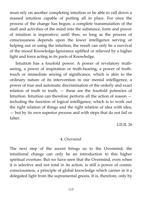must rely on another completing intuition or be able to call down a massed intuition capable of putting all in place. For once the process of the change has begun, a complete transmutation of the stuff and activities of the mind into the substance, form and power of intuition is imperative; until then, so long as the process of consciousness depends upon the lower intelligence serving or helping out or using the intuition, the result can only be a survival of the mixed Knowledge-Ignorance uplifted or relieved by a higher light and force acting in its parts of Knowledge.

Intuition has a fourfold power. A power of revelatory truthseeing, a power of inspiration or truth-hearing, a power of truthtouch or immediate seizing of significance, which is akin to the ordinary nature of its intervention in our mental intelligence, a power of true and automatic discrimination of the orderly and exact relation of truth to truth,  $-$  these are the fourfold potencies of Intuition. Intuition can therefore perform all the action of reason including the function of logical intelligence, which is to work out the right relation of things and the right relation of idea with idea, — but by its own superior process and with steps that do not fail or falter.

LD.II, 26

#### 4. *Overmind*

The next step of the ascent brings us to the Overmind; the intuitional change can only be an introduction to this higher spiritual overture. But we have seen that the Overmind, even when it is selective and not total in its action, is still a power of cosmic consciousness, a principle of global knowledge which carries in it a delegated light from the supramental gnosis. It is, therefore, only by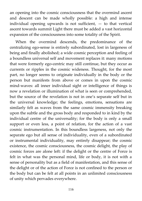an opening into the cosmic consciousness that the overmind ascent and descent can be made wholly possible: a high and intense individual opening upwards is not sufficient,  $-$  to that vertical ascent towards summit Light there must be added a vast horizontal expansion of the consciousness into some totality of the Spirit.

When the overmind descends, the predominance of the centralizing ego-sense is entirely subordinated, lost in largeness of being and finally abolished; a wide cosmic perception and feeling of a boundless universal self and movement replaces it: many motions that were formerly ego-centric may still continue, but they occur as currents or ripples in the cosmic wideness. Thought, for the most part, no longer seems to originate individually in the body or the person but manifests from above or comes in upon the cosmic mind-waves: all inner individual sight or intelligence of things is now a revelation or illumination of what is seen or comprehended, but the source of the revelation is not in one's separate self but in the universal knowledge; the feelings, emotions, sensations are similarly felt as waves from the same cosmic immensity breaking upon the subtle and the gross body and responded to in kind by the individual centre of the universality; for the body is only a small support or even less, a point of relation, for the action of a vast cosmic instrumentation. In this boundless largeness, not only the separate ego but all sense of individuality, even of a subordinated or instrumental individuality, may entirely disappear; the cosmic existence, the cosmic consciousness, the cosmic delight, the play of cosmic forces are alone left: if the delight or the centre of Force is felt in what was the personal mind, life or body, it is not with a sense of personality but as a field of manifestation, and this sense of the delight or of the action of Force is not confined to the person or the body but can be felt at all points in an unlimited consciousness of unity which pervades everywhere.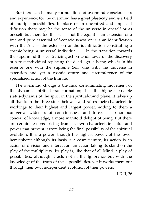But there can be many formulations of overmind consciousness and experience; for the overmind has a great plasticity and is a field of multiple possibilities. In place of an uncentred and unplaced diffusion there may be the sense of the universe in oneself or as oneself: but there too this self is not the ego; it is an extension of a free and pure essential self-consciousness or it is an identification with the All,  $-$  the extension or the identification constituting a cosmic being, a universal individual . . . In the transition towards the supermind this centralizing action tends towards the discovery of a true individual replacing the dead ego, a being who is in his essence one with the supreme Self, one with the universe in extension and yet a cosmic centre and circumference of the specialized action of the Infinite.

The overmind change is the final consummating movement of the dynamic spiritual transformation; it is the highest possible status-dynamis of the spirit in the spiritual-mind plane. It takes up all that is in the three steps below it and raises their characteristic workings to their highest and largest power, adding to them a universal wideness of consciousness and force, a harmonious concert of knowledge, a more manifold delight of being. But there are certain reasons arising from its own characteristic status and power that prevent it from being the final possibility of the spiritual evolution. It is a power, though the highest power, of the lower hemisphere; although its basis is a cosmic unity, its action is an action of division and interaction, an action taking its stand on the play of the multiplicity. Its play is, like that of all Mind, a play of possibilities; although it acts not in the Ignorance but with the knowledge of the truth of these possibilities, yet it works them out through their own independent evolution of their powers.

LD.II, 26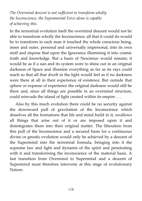*The Overmind descent is not sufficient to transform wholly the Inconscience, the Supramental Force alone is capable of achieving this.*

In the terrestrial evolution itself the overmind descent would not be able to transform wholly the Inconscience; all that it could do would be to transform in each man it touched the whole conscious being, inner and outer, personal and universally impersonal, into its own stuff and impose that upon the Ignorance illumining it into cosmic truth and knowledge. But a basis of Nescience would remain; it would be as if a sun and its system were to shine out in an original darkness of Space and illumine everything as far as its rays could reach so that all that dwelt in the light would feel as if no darkness were there at all in their experience of existence. But outside that sphere or expanse of experience the original darkness would still be there and, since all things are possible in an overmind structure, could reinvade the island of light created within its empire . . .

Also by this much evolution there could be no security against the downward pull of gravitation of the Inconscience which dissolves all the formations that life and mind build in it, swallows all things that arise out of it or are imposed upon it and disintegrates them into their original matter. The liberation from this pull of the Inconscience and a secured basis for a continuous divine or gnostic evolution would only be achieved by a descent of the Supermind into the terrestrial formula, bringing into it the supreme law and light and dynamis of the spirit and penetrating with it and transforming the inconscience of the material basis. A last transition from Overmind to Supermind and a descent of Supermind must therefore intervene at this stage of evolutionary Nature.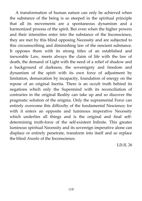A transformation of human nature can only be achieved when the substance of the being is so steeped in the spiritual principle that all its movements are a spontaneous dynamism and a harmonized process of the spirit. But even when the higher powers and their intensities enter into the substance of the Inconscience, they are met by this blind opposing Necessity and are subjected to this circumscribing and diminishing law of the nescient substance. It opposes them with its strong titles of an established and inexorable Law, meets always the claim of life with the law of death, the demand of Light with the need of a relief of shadow and a background of darkness, the sovereignty and freedom and dynamism of the spirit with its own force of adjustment by limitation, demarcation by incapacity, foundation of energy on the repose of an original Inertia. There is an occult truth behind its negations which only the Supermind with its reconciliation of contraries in the original Reality can take up and so discover the pragmatic solution of the enigma. Only the supramental Force can entirely overcome this difficulty of the fundamental Nescience; for with it enters an opposite and luminous imperative Necessity which underlies all things and is the original and final selfdetermining truth-force of the self-existent Infinite. This greater luminous spiritual Necessity and its sovereign imperative alone can displace or entirely penetrate, transform into itself and so replace the blind *Ananke* of the Inconscience.

LD.II, 26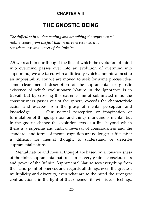## **CHAPTER VIII**

# **THE GNOSTIC BEING**

*The difficulty in understanding and describing the supramental nature comes from the fact that in its very essence, it is consciousness and power of the Infinite.*

AS we reach in our thought the line at which the evolution of mind into overmind passes over into an evolution of overmind into supermind, we are faced with a difficulty which amounts almost to an impossibility. For we are moved to seek for some precise idea, some clear mental description of the supramental or gnostic existence of which evolutionary Nature in the Ignorance is in travail; but by crossing this extreme line of sublimated mind the consciousness passes out of the sphere, exceeds the characteristic action and escapes from the grasp of mental perception and knowledge . . . Our normal perception or imagination or formulation of things spiritual and things mundane is mental, but in the gnostic change the evolution crosses a line beyond which there is a supreme and radical reversal of consciousness and the standards and forms of mental cognition are no longer sufficient: it is difficult for mental thought to understand or describe supramental nature.

Mental nature and mental thought are based on a consciousness of the finite; supramental nature is in its very grain a consciousness and power of the Infinite. Supramental Nature sees everything from the stand-point of oneness and regards all things, even the greatest multiplicity and diversity, even what are to the mind the strongest contradictions, in the light of that oneness; its will, ideas, feelings,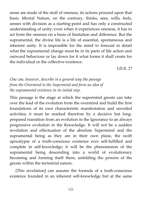sense are made of the stuff of oneness, its actions proceed upon that basis. Mental Nature, on the contrary, thinks, sees, wills, feels, senses with division as a starting-point and has only a constructed understanding of unity; even when it experiences oneness, it has to act from the oneness on a basis of limitation and difference. But the supramental, the divine life is a life of essential, spontaneous and inherent unity. It is impossible for the mind to forecast in detail what the supramental change must be in its parts of life action and outward behaviour or lay down for it what forms it shall create for the individual or the collective existence.

LD.II, 27

*One can, however, describe in a general way the passage from the Overmind to the Supermind and form an idea of the supramental existence in its initial step.*

This passage is the stage at which the supermind gnosis can take over the lead of the evolution from the overmind and build the first foundations of its own characteristic manifestation and unveiled activities; it must be marked therefore by a decisive but longprepared transition from an evolution in the Ignorance to an always progressive evolution in the Knowledge. It will not be a sudden revelation and effectuation of the absolute Supermind and the supramental being as they are in their own plane, the swift apocalypse of a truth-conscious existence ever self-fulfilled and complete in self-knowledge; it will be the phenomenon of the supramental being descending into a world of evolutionary becoming and forming itself there, unfolding the powers of the gnosis within the terrestrial nature.

[This revelation] can assume the formula of a truth-conscious existence founded in an inherent self-knowledge but at the same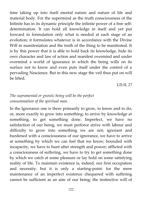time taking up into itself mental nature and nature of life and material body. For the supermind as the truth consciousness of the Infinite has in its dynamic principle the infinite power of a free selfdetermination. It can hold all knowledge in itself and yet put forward in formulation only what is needed at each stage of an evolution; it formulates whatever is in accordance with the Divine Will in manifestation and the truth of the thing to be manifested. It is by this power that it is able to hold back its knowledge, hide its own character and law of action and manifest overmind and under overmind a world of ignorance in which the being wills on its surface not to know and even puts itself under the control of a pervading Nescience. But in this new stage the veil thus put on will be lifted.

LD.II, 27

# *The supramental or gnostic being will be the perfect consummation of the spiritual man.*

In the Ignorance one is there primarily to grow, to know and to do, or, more exactly to grow into something, to arrive by knowledge at something, to get something done. Imperfect, we have no satisfaction of our being, we must perforce strive with labour and difficulty to grow into something we are not; ignorant and burdened with a consciousness of our ignorance, we have to arrive at something by which we can feel that we know; bounded with incapacity, we have to hunt after strength and power; afflicted with a consciousness of suffering, we have to try to get something done by which we catch at some pleasure or lay hold on some satisfying reality of life. To maintain existence is, indeed, our first occupation and necessity, but it is only a starting-point: for the mere maintenance of an imperfect existence chequered with suffering cannot be sufficient as an aim of our being; the instinctive will of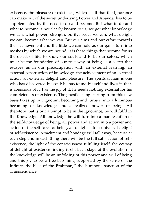existence, the pleasure of existence, which is all that the Ignorance can make out of the secret underlying Power and Ananda, has to be supplemented by the need to do and become. But what to do and what to become is not clearly known to us; we get what knowledge we can, what power, strength, purity, peace we can, what delight we can, become what we can. But our aims and our effort towards their achievement and the little we can hold as our gains turn into meshes by which we are bound; it is these things that become for us the object of life: to know our souls and to be our selves, which must be the foundation of our true way of being, is a secret that escapes us in our preoccupation with an external learning, an external construction of knowledge, the achievement of an external action, an external delight and pleasure. The spiritual man is one who has discovered his soul: he has found his self and lives in that, is conscious of it, has the joy of it; he needs nothing external for his completeness of existence. The gnostic being starting from this new basis takes up our ignorant becoming and turns it into a luminous becoming of knowledge and a realized power of being. All therefore that is our attempt to be in the Ignorance, he will fulfil in the Knowledge. All knowledge he will turn into a manifestation of the self-knowledge of being, all power and action into a power and action of the self-force of being, all delight into a universal delight of self-existence. Attachment and bondage will fall away, because at each step and in each thing there will be the full satisfaction of selfexistence, the light of the consciousness fulfilling itself, the ecstasy of delight of existence finding itself. Each stage of the evolution in the knowledge will be an unfolding of this power and will of being and this joy to be, a free becoming supported by the sense of the Infinite, the bliss of the Brahman, $24$  the luminous sanction of the Transcendence.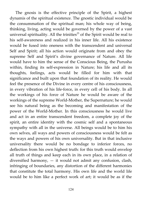The gnosis is the effective principle of the Spirit, a highest dynamis of the spiritual existence. The gnostic individual would be the consummation of the spiritual man; his whole way of being, thinking, living, acting would be governed by the power of a vast universal spirituality. All the trinities $^{25}$  $^{25}$  $^{25}$  of the Spirit would be real to his self-awareness and realized in his inner life. All his existence would be fused into oneness with the transcendent and universal Self and Spirit; all his action would originate from and obey the supreme Self and Spirit's divine governance of Nature. All life would have to him the sense of the Conscious Being, the Purusha within, finding its self-expression in Nature; his life and all its thoughts, feelings, acts would be filled for him with that significance and built upon that foundation of its reality. He would feel the presence of the Divine in every centre of his consciousness, in every vibration of his life-force, in every cell of his body. In all the workings of his force of Nature he would be aware of the workings of the supreme World-Mother, the Supernature; he would see his natural being as the becoming and manifestation of the power of the World-Mother. In this consciousness he would live and act in an entire transcendent freedom, a complete joy of the spirit, an entire identity with the cosmic self and a spontaneous sympathy with all in the universe. All beings would be to him his own selves, all ways and powers of consciousness would be felt as the ways and powers of his own universality. But in that inclusive universality there would be no bondage to inferior forces, no deflection from his own highest truth: for this truth would envelop all truth of things and keep each in its own place, in a relation of diversified harmony, — it would not admit any confusion, clash, infringing of boundaries, any distortion of the different harmonies that constitute the total harmony. His own life and the world life would be to him like a perfect work of art; it would be as if the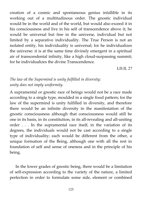creation of a cosmic and spontaneous genius infallible in its working out of a multitudinous order. The gnostic individual would be in the world and of the world, but would also exceed it in his consciousness and live in his self of transcendence above it; he would be universal but free in the universe, individual but not limited by a separative individuality. The True Person is not an isolated entity, his individuality is universal; for he individualizes the universe: it is at the same time divinely emergent in a spiritual air of transcendental infinity, like a high cloud-surpassing summit; for he individualizes the divine Transcendence.

LD.II, 27

# *The law* of *the Supermind is unity fulfilled in diversity; unity does not imply uniformity.*

A supramental or gnostic race of beings would not be a race made according to a single type, moulded in a single fixed pattern; for the law of the supermind is unity fulfilled in diversity, and therefore there would be an infinite diversity in the manifestation of the gnostic consciousness although that consciousness would still be one in its basis, in its constitution, in its all-revealing and all-uniting order . . . In the supramental race itself, in the variation of its degrees, the individuals would not be cast according to a single type of individuality; each would be different from the other, a unique formation of the Being, although one with all the rest in foundation of self and sense of oneness and in the principle of his being.

In the lower grades of gnostic being, there would be a limitation of self-expression according to the variety of the nature, a limited perfection in order to formulate some side, element or combined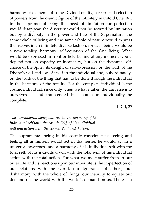harmony of elements of some Divine Totality, a restricted selection of powers from the cosmic figure of the infinitely manifold One. But in the supramental being this need of limitation for perfection would disappear; the diversity would not be secured by limitation but by a diversity in the power and hue of the Supernature: the same whole of being and the same whole of nature would express themselves in an infinitely diverse fashion; for each being would be a new totality, harmony, self-equation of the One Being. What would be expressed in front or held behind at any moment would depend not on capacity or incapacity, but on the dynamic selfchoice of the Spirit, its delight of self-expression, on the truth of the Divine's will and joy of itself in the individual and, subordinately, on the truth of the thing that had to be done through the individual in the harmony of the totality. For the complete individual is the cosmic individual, since only when we have taken the universe into ourselves  $-$  and transcended it  $-$  can our individuality be complete.

LD.II, 27

*The supramental being will realize the harmony of his individual self with the cosmic Self, of his individual will and action with the cosmic Will and Action.*

The supramental being in his cosmic consciousness seeing and feeling all as himself would act in that sense; he would act in a universal awareness and a harmony of his individual self with the total self, of his individual will with the total will, of his individual action with the total action. For what we most suffer from in our outer life and its reactions upon our inner life is the imperfection of our relations with the world, our ignorance of others, our disharmony with the whole of things, our inability to equate our demand on the world with the world's demand on us. There is a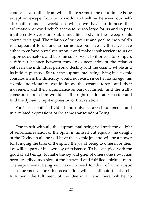conflict — a conflict from which there seems to be no ultimate issue except an escape from both world and self — between our selfaffirmation and a world on which we have to impose that affirmation, a world which seems to be too large for us and to pass indifferently over our soul, mind, life, body in the sweep of its course to its goal. The relation of our course and goal to the world's is unapparent to us, and to harmonize ourselves with it we have either to enforce ourselves upon it and make it subservient to us or suppress ourselves and become subservient to it or else to compass a difficult balance between these two necessities of the relation between the individual personal destiny and the cosmic whole and its hidden purpose. But for the supramental being living in a cosmic consciousness the difficulty would not exist, since he has no ego; his cosmic individuality would know the cosmic forces and their movement and their significance as part of himself, and the truthconsciousness in him would see the right relation at each step and find the dynamic right expression of that relation.

For in fact both individual and universe are simultaneous and interrelated expressions of the same transcendent Being . . .

One in self with all, the supramental being will seek the delight of self-manifestation of the Spirit in himself but equally the delight of the Divine in all: he will have the cosmic joy and will be a power for bringing the bliss of the spirit, the joy of being to others; for their joy will be part of his own joy of existence. To be occupied with the good of all beings, to make the joy and grief of others one's own has been described as a sign of the liberated and fulfilled spiritual man. The supramental being will have no need for that, of an altruistic self-effacement, since this occupation will be intimate to his selffulfilment, the fulfilment of the One in all, and there will be no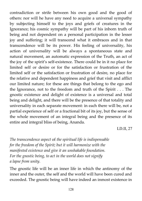contradiction or strife between his own good and the good of others: nor will he have any need to acquire a universal sympathy by subjecting himself to the joys and griefs of creatures in the Ignorance; his cosmic sympathy will be part of his inborn truth of being and not dependent on a personal participation in the lesser joy and suffering; it will transcend what it embraces and in that transcendence will be its power. His feeling of universality, his action of universality will be always a spontaneous state and natural movement, an automatic expression of the Truth, an act of the joy of the spirit's self-existence. There could be in it no place for limited self or desire or for the satisfaction or frustration of the limited self or the satisfaction or frustration of desire, no place for the relative and dependent happiness and grief that visit and afflict our limited nature; for these are things that belong to the ego and the Ignorance, not to the freedom and truth of the Spirit . . . The gnostic existence and delight of existence is a universal and total being and delight, and there will be the presence of that totality and universality in each separate movement: in each there will be, not a partial experience of self or a fractional bit of its joy, but the sense of the whole movement of an integral being and the presence of its entire and integral bliss of being, Ananda.

LD.II, 27

*The transcendence aspect* of *the spiritual life is indispensable for the freedom of the Spirit; but it will harmonize with the manifested existence and give it an unshakable foundation. For the gnostic being, to act in the world does not signify a lapse from unity.*

The gnostic life will be an inner life in which the antinomy of the inner and the outer, the self and the world will have been cured and exceeded. The gnostic being will have indeed an inmost existence in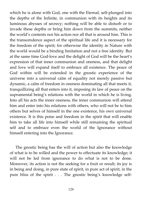which he is alone with God, one with the Eternal, self-plunged into the depths of the Infinite, in communion with its heights and its luminous abysses of secrecy; nothing will be able to disturb or to invade these depths or bring him down from the summits, neither the world's contents nor his action nor all that is around him. This is the transcendence aspect of the spiritual life and it is necessary for the freedom of the spirit; for otherwise the identity in Nature with the world would be a binding limitation and not a free identity. But at the same time God-love and the delight of God will be the heart's expression of that inner communion and oneness, and that delight and love will expand itself to embrace all existence. The peace of God within will be extended in the gnostic experience of the universe into a universal calm of equality not merely passive but dynamic, a calm of freedom in oneness dominating all that meets it, tranquillizing all that enters into it, imposing its law of peace on the supramental being's relations with the world in which he is living. Into all his acts the inner oneness, the inner communion will attend him and enter into his relations with others, who will not be to him others but selves of himself in the one existence, his own universal existence. It is this poise and freedom in the spirit that will enable him to take all life into himself while still remaining the spiritual self and to embrace even the world of the Ignorance without himself entering into the Ignorance.

The gnostic being has the will of action but also the knowledge of what is to be willed and the power to effectuate its knowledge; it will not be led from ignorance to do what is not to be done. Moreover, its action is not the seeking for a fruit or result; its joy is in being and doing, in pure state of spirit, in pure act of spirit, in the pure bliss of the spirit . . . The gnostic being's knowledge self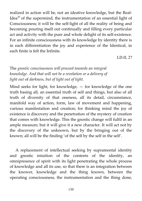realized in action will be, not an ideative knowledge, but the Real-Idea<sup>[26](#page-182-4)</sup> of the supermind, the instrumentation of an essential light of Consciousness; it will be the self-light of all the reality of being and becoming pouring itself out continually and filling every particular act and activity with the pure and whole delight of its self-existence. For an infinite consciousness with its knowledge by identity there is in each differentiation the joy and experience of the Identical, in each finite is felt the Infinite.

LD.II, 27

The *gnostic consciousness will proceed towards an integral knowledge. And that will not be a revelation or a delivery of light out* of *darkness, but of light out of light.*

Mind seeks for light, for knowledge, — for knowledge of the one truth basing all, an essential truth of self and things, but also of all truth of diversity of that oneness, all its detail, circumstance, manifold way of action, form, law of movement and happening, various manifestation and creation; for thinking mind the joy of existence is discovery and the penetration of the mystery of creation that comes with knowledge. This the gnostic change will fulfil in an ample measure; but it will give it a new character. It will act not by the discovery of the unknown, but by the bringing out of the known; all will be the finding 'of the self by the self in the self'.

A replacement of intellectual seeking by supramental identity and gnostic intuition of the contents of the identity, an omnipresence of spirit with its light penetrating the whole process of knowledge and all its use, so that there is an integration between the knower, knowledge and the thing known, between the operating consciousness, the instrumentation and the thing done,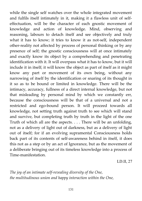while the single self watches over the whole integrated movement and fulfils itself intimately in it, making it a flawless unit of selfeffectuation, will be the character of each gnostic movement of knowledge and action of knowledge. Mind, observing and reasoning, labours to detach itself and see objectively and truly what it has to know; it tries to know it as not-self, independent other-reality not affected by process of personal thinking or by any presence of self; the gnostic consciousness will at once intimately and exactly know its object by a comprehending and penetrating identification with it. It will overpass what it has to know, but it will include it in itself; it will know the object as part of itself as it might know any part or movement of its own being, without any narrowing of itself by the identification or snaring of its thought in it so as to be bound or limited in knowledge. There will be the intimacy, accuracy, fullness of a direct internal knowledge, but not that misleading by personal mind by which we constantly err, because the consciousness will be that of a universal and not a restricted and ego-bound person. It will proceed towards all knowledge, not setting truth against truth to see which will stand and survive, but completing truth by truth in the light of the one Truth of which all are the aspects. . . . There will be an unfolding, not as a delivery of light out of darkness, but as a delivery of light out of itself; for if an evolving supramental Consciousness holds back part of its contents of self-awareness behind in itself, it does this not as a step or by an act of Ignorance, but as the movement of a deliberate bringing out of its timeless knowledge into a process of Time-manifestation.

LD.II, 27

*The joy of an intimate self-revealing diversity of the One, the multitudinous union and happy interaction within the One,*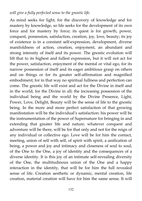## *will give a fully perfected sense to the gnostic life.*

As mind seeks for light, for the discovery of knowledge and for mastery by knowledge, so life seeks for the development of its own force and for mastery by force; its quest is for growth, power, conquest, possession, satisfaction, creation, joy, love, beauty; its joy of existence is in a constant self-expression, development, diverse manifoldness of action, creation, enjoyment, an abundant and strong intensity of itself and its power. The gnostic evolution will lift that to its highest and fullest expression, but it will not act for the power, satisfaction, enjoyment of the mental or vital ego, for its narrow possession of itself and its eager ambitious grasp on others and on things or for its greater self-affirmation and magnified embodiment; for in that way no spiritual fullness and perfection can come. The gnostic life will exist and act for the Divine in itself and in the world, for the Divine in all; the increasing possession of the individual being and the world by the Divine Presence, Light, Power, Love, Delight, Beauty will be the sense of life to the gnostic being. In the more and more perfect satisfaction of that growing manifestation will be the individual's satisfaction: his power will be the instrumentation of the power of Supernature for bringing in and extending that greater life and nature; whatever conquest and adventure will be there, will be for that only and not for the reign of any individual or collective ego. Love will be for him the contact, meeting, union of self with self, of spirit with spirit, a unification of being, a power and joy and intimacy and closeness of soul to soul, of the One to the One, a joy of identity and the consequences of a diverse identity. It is this joy of an intimate self-revealing diversity of the One, the multitudinous union of the One and a happy interaction in the identity, that will be for him the full revealed sense of life. Creation aesthetic or dynamic, mental creation, life creation, material creation will have for him the same sense. It will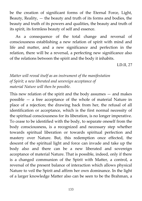be the creation of significant forms of the Eternal Force, Light, Beauty, Reality,  $-$  the beauty and truth of its forms and bodies, the beauty and truth of its powers and qualities, the beauty and truth of its spirit, its formless beauty of self and essence.

As a consequence of the total change and reversal of consciousness establishing a new relation of spirit with mind and life and matter, and a new significance and perfection in the relation, there will be a reversal, a perfecting new significance also of the relations between the spirit and the body it inhabits.

LD.II, 27

*Matter will reveal itself as an instrument of the manifestation of Spirit; a new liberated and sovereign acceptance of material Nature will then be possible.*

This new relation of the spirit and the body assumes — and makes possible — a free acceptance of the whole of material Nature in place of a rejection; the drawing back from her, the refusal of all identification or acceptance, which is the first normal necessity of the spiritual consciousness for its liberation, is no longer imperative. To cease to be identified with the body, to separate oneself from the body consciousness, is a recognized and necessary step whether towards spiritual liberation or towards spiritual perfection and mastery over Nature. But, this redemption once effected, the descent of the spiritual light and force can invade and take up the body also and there can be a new liberated and sovereign acceptance of material Nature. That is possible, indeed, only if there is a changed communion of the Spirit with Matter, a control, a reversal of the present balance of interaction which allows physical Nature to veil the Spirit and affirm her own dominance. In the light of a larger knowledge Matter also can be seen to be the Brahman, a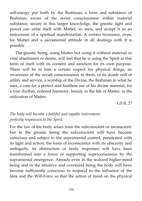self-energy put forth by the Brahman, a form and substance of Brahman; aware of the secret consciousness within material substance, secure in this larger knowledge, the gnostic light and power can unite itself with Matter, so seen, and accept it as an instrument of a spiritual manifestation. A certain reverence, even, for Matter and a sacramental attitude in all dealings with it is possible . . .

The gnostic being, using Matter but using it without material or vital attachment or desire, will feel that he is using the Spirit in this form of itself with its consent and sanction for its own purpose. There will be in him a certain respect for physical things, an awareness of the occult consciousness in them, of its dumb will of utility and service, a worship of the Divine, the Brahman in what he uses, a care for a perfect and faultless use of his divine material, for a true rhythm, ordered harmony, beauty in the life of Matter, in the utilization of Matter.

LD.II, 27

# *The body will become a faithful and capable instrument, perfectly responsive to the Spirit.*

For the law of the body arises from the subconscient or inconscient: but in the gnostic being the subconscient will have become conscious and subject to the supramental control, penetrated with its light and action; the basis of inconscience with its obscurity and ambiguity, its obstruction or tardy responses will have been transformed into a lower or supporting superconscience by the supramental emergence. Already even in the realized higher-mind being and in the intuitive and overmind being the body will have become sufficiently conscious to respond to the influence of the Idea and the Will-Force so that the action of mind on the physical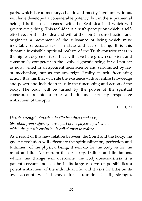parts, which is rudimentary, chaotic and mostly involuntary in us, will have developed a considerable potency: but in the supramental being it is the consciousness with the Real-Idea in it which will govern everything. This real-idea is a truth-perception which is selfeffective; for it is the idea and will of the spirit in direct action and originates a movement of the substance of being which must inevitably effectuate itself in state and act of being. It is this dynamic irresistible spiritual realism of the Truth-consciousness in the highest degree of itself that will have here grown conscient and consciously competent in the evolved gnostic being: it will not act as now, veiled in an apparent inconscience and self-limited by law of mechanism, but as the sovereign Reality in self-effectuating action. It is this that will rule the existence with an entire knowledge and power and include in its rule the functioning and action of the body. The body will be turned by the power of the spiritual consciousness into a true and fit and perfectly responsive instrument of the Spirit.

LD.II, 27

*Health, strength, duration, bodily happiness and ease, liberation from suffering, are a part of the physical perfection which the gnostic evolution is called upon to realize.*

As a result of this new relation between the Spirit and the body, the gnostic evolution will effectuate the spiritualization, perfection and fulfilment of the physical being; it will do for the body as for the mind and life. Apart from the obscurity, frailties and limitations, which this change will overcome, the body-consciousness is a patient servant and can be in its large reserve of possibilities a potent instrument of the individual life, and it asks for little on its own account: what it craves for is duration, health, strength,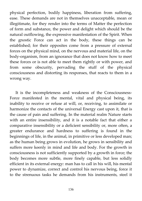physical perfection, bodily happiness, liberation from suffering, ease. These demands are not in themselves unacceptable, mean or illegitimate, for they render into the terms of Matter the perfection of form and substance, the power and delight which should be the natural outflowing, the expressive manifestation of the Spirit. When the gnostic Force can act in the body, these things can be established; for their opposites come from a pressure of external forces on the physical mind, on the nervous and material life, on the body-organism, from an ignorance that does not know how to meet these forces or is not able to meet them rightly or with power, and from some obscurity, pervading the stuff of the physical consciousness and distorting its responses, that reacts to them in a wrong way.

It is the incompleteness and weakness of the Consciousness-Force manifested in the mental, vital and physical being, its inability to receive or refuse at will, or, receiving, to assimilate or harmonize the contacts of the universal Energy cast upon it, that is the cause of pain and suffering. In the material realm Nature starts with an entire insensibility, and it is a notable fact that either a comparative insensibility or a deficient sensibility or, more often, a greater endurance and hardness to suffering is found in the beginnings of life, in the animal, in primitive or less developed man; as the human being grows in evolution, he grows in sensibility and suffers more keenly in mind and life and body. For the growth in consciousness is not sufficiently supported by a growth in force; the body becomes more subtle, more finely capable, but less solidly efficient in its external energy: man has to call in his will, his mental power to dynamize, correct and control his nervous being, force it to the strenuous tasks he demands from his instruments, steel it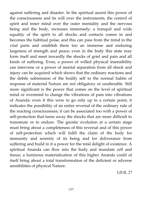against suffering and disaster. In the spiritual ascent this power of the consciousness and its will over the instruments, the control of spirit and inner mind over the outer mentality and the nervous being and the body, increases immensely; a tranquil and wide equality of the spirit to all shocks and contacts comes in and becomes the habitual poise, and this can pass from the mind to the vital parts and establish there too an immense and enduring largeness of strength and peace; even in the body this state may form itself and meet inwardly the shocks of grief and pain and all kinds of suffering. Even, a power of willed physical insensibility can intervene or a power of mental separation from all shock and injury can be acquired which shows that the ordinary reactions and the debile submission of the bodily self to the normal habits of response of material Nature are not obligatory or unalterable. Still more significant is the power that comes on the level of spiritual mind or overmind to change the vibrations of pain into vibrations of Ananda: even if this were to go only up to a certain point, it indicates the possibility of an entire reversal of the ordinary rule of the reacting consciousness; it can be associated too with a power of self-protection that turns away the shocks that are more difficult to transmute or to endure. The gnostic evolution at a certain stage must bring about a completeness of this reversal and of this power of self-protection which will fulfil the claim of the body for immunity and serenity of its being and for deliverance from suffering and build in it a power for the total delight of existence. A spiritual Ananda can flow into the body and inundate cell and tissue; a luminous materialization of this higher Ananda could of itself bring about a total transformation of the deficient or adverse sensibilities of physical Nature.

LD.II, 27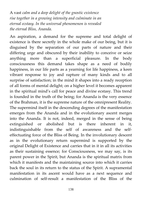A vast *calm and a deep delight of the gnostic existence rise together in a growing intensity and culminate in an eternal ecstasy. In the universal phenomenon is revealed the eternal Bliss, Ananda.*

An aspiration, a demand for the supreme and total delight of existence is there secretly in the whole make of our being, but it is disguised by the separation of our parts of nature and their differing urge and obscured by their inability to conceive or seize anything more than a superficial pleasure. In the body consciousness this demand takes shape as a need of bodily happiness, in our life parts as a yearning for life happiness, a keen vibrant response to joy and rapture of many kinds and to all surprise of satisfaction; in the mind it shapes into a ready reception of all forms of mental delight; on a higher level it becomes apparent in the spiritual mind's call for peace and divine ecstasy. This trend is founded in the truth of the being; for Ananda is the very essence of the Brahman, it is the supreme nature of the omnipresent Reality. The supermind itself in the descending degrees of the manifestation emerges from the Ananda and in the evolutionary ascent merges into the Ananda. It is not, indeed, merged in the sense of being extinguished or abolished but is there inherent in it, indistinguishable from the self of awareness and the selfeffectuating force of the Bliss of Being. In the involutionary descent as in the evolutionary return supermind is supported by the original Delight of Existence and carries that in it in all its activities as their sustaining essence; for Consciousness, we may say, is its parent power in the Spirit, but Ananda is the spiritual matrix from which it manifests and the maintaining source into which it carries back the soul in its return to the status of the Spirit. A supramental manifestation in its ascent would have as a next sequence and culmination of self-result a manifestation of the Bliss of the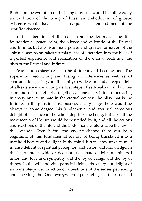Brahman: the evolution of the being of gnosis would be followed by an evolution of the being of bliss; an embodiment of gnostic existence would have as its consequence an embodiment of the beatific existence.

In the liberation of the soul from the Ignorance the first foundation is peace, calm, the silence and quietude of the Eternal and Infinite; but a consummate power and greater formation of the spiritual ascension takes up this peace of liberation into the bliss of a perfect experience and realization of the eternal beatitude, the bliss of the Eternal and Infinite

Peace and ecstasy cease to be different and become one. The supermind, reconciling and fusing all differences as well as all contradictions, brings out this unity; a wide calm and a deep delight of all-existence are among its first steps of self-realization, but this calm and this delight rise together, as one state, into an increasing intensity and culminate in the eternal ecstasy, the bliss that is the Infinite. In the gnostic consciousness at any stage there would be always in some degree this fundamental and spiritual conscious delight of existence in the whole depth of the being; but also all the movements of Nature would be pervaded by it, and all the actions and reactions of the life and the body: none could escape the law of the Ananda. Even before the gnostic change there can be a beginning of this fundamental ecstasy of being translated into a manifold beauty and delight. In the mind, it translates into a calm of intense delight of spiritual perception and vision and knowledge, in the heart into a wide or deep or passionate delight of universal union and love and sympathy and the joy of beings and the joy of things. In the will and vital parts it is felt as the energy of delight of a divine life-power in action or a beatitude of the senses perceiving and meeting the One everywhere, perceiving as their normal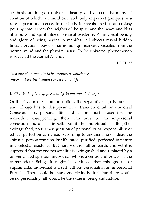aesthesis of things a universal beauty and a secret harmony of creation of which our mind can catch only imperfect glimpses or a rare supernormal sense. In the body it reveals itself as an ecstasy pouring into it from the heights of the spirit and the peace and bliss of a pure and spiritualized physical existence. A universal beauty and glory of being begins to manifest; all objects reveal hidden lines, vibrations, powers, harmonic significances concealed from the normal mind and the physical sense. In the universal phenomenon is revealed the eternal Ananda.

LD.II, 27

*Two questions remain to be examined, which are important for the human conception of life.*

### I. *What is the place of personality in the gnostic being?*

Ordinarily, in the common notion, the separative ego is our self and, if ego has to disappear in a transcendental or universal Consciousness, personal life and action must cease; for, the individual disappearing, there can only be an impersonal consciousness, a cosmic self: but if the individual is altogether extinguished, no further question of personality or responsibility or ethical perfection can arise. According to another line of ideas the spiritual person remains, but liberated, purified, perfected in nature in a celestial existence. But here we are still on earth, and yet it is supposed that the ego personality is extinguished and replaced by a universalized spiritual individual who is a centre and power of the transcendent Being. It might be deduced that this gnostic or supramental individual is a self without personality, an impersonal Purusha. There could be many gnostic individuals but there would be no personality, all would be the same in being and nature.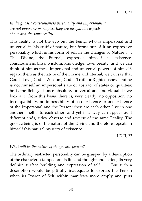*In the gnostic consciousness personality and impersonality are not opposing principles; they are inseparable aspects of one and the same reality.*

This reality is not the ego but the being, who is impersonal and universal in his stuff of nature, but forms out of it an expressive personality which is his form of self in the changes of Nature . . . The Divine, the Eternal, expresses himself as existence, consciousness, bliss, wisdom, knowledge, love, beauty, and we can think of him as these impersonal and universal powers of himself, regard them as the nature of the Divine and Eternal; we can say that God is Love, God is Wisdom, God is Truth or Righteousness: but he is not himself an impersonal state or abstract of states or qualities; he is the Being, at once absolute, universal and individual. If we look at it from this basis, there is, very clearly, no opposition, no incompatibility, no impossibility of a co-existence or one-existence of the Impersonal and the Person; they are each other, live in one another, melt into each other, and yet in a way can appear as if different ends, sides, obverse and reverse of the same Reality. The gnostic being is of the nature of the Divine and therefore repeats in himself this natural mystery of existence.

LD.II, 27

### *What will be the nature of the gnostic person?*

The ordinary restricted personality can be grasped by a description of the characters stamped on its life and thought and action, its very definite surface building and expression of self . . . But such a description would be pitifully inadequate to express the Person when its Power of Self within manifests more amply and puts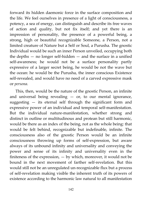forward its hidden daemonic force in the surface composition and the life. We feel ourselves in presence of a light of consciousness, a potency, a sea of energy, can distinguish and describe its free waves of action and quality, but not fix itself; and yet there is an impression of personality, the presence of a powerful being, a strong, high or beautiful recognizable Someone, a Person, not a limited creature of Nature but a Self or Soul, a Purusha. The gnostic Individual would be such an inner Person unveiled, occupying both the depths — no longer self-hidden — and the surface in a unified self-awareness; he would not be a surface personality partly expressive of a larger secret being, he would be not the wave but the ocean: he would be the Purusha, the inner conscious Existence self-revealed, and would have no need of a carved expressive mask or *persona.*

This, then, would be the nature of the gnostic Person, an infinite and universal being revealing  $-$  or, to our mental ignorance, suggesting — its eternal self through the significant form and expressive power of an individual and temporal self-manifestation. But the individual nature-manifestation, whether strong and distinct in outline or multitudinous and protean but still harmonic, would be there as an index of the being, not as the whole being: that would be felt behind, recognizable but indefinable, infinite. The consciousness also of the gnostic Person would be an infinite consciousness throwing up forms of self-expression, but aware always of its unbound infinity and universality and conveying the power and sense of its infinity and universality even in the finiteness of the expression, — by which, moreover, it would not be bound in the next movement of farther self-revelation. But this would still not be an unregulated un-recognizable flux but a process of self-revelation making visible the inherent truth of its powers of existence according to the harmonic law natural to all manifestation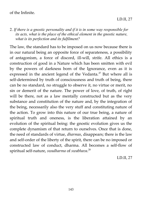### of the Infinite.

2. *If there is a gnostic personality and if it is in some way responsible for its acts, what is the place of the ethical element in the gnostic nature, what is its perfection and its fulfilment?*

The law, the standard has to be imposed on us now because there is in our natural being an opposite force of separateness, a possibility of antagonism, a force of discord, ill-will, strife. All ethics is a construction of good in a Nature which has been smitten with evil by the powers of darkness born of the Ignorance, even as it is expressed in the ancient legend of the Vedanta. $^{27}$  $^{27}$  $^{27}$  But where all is self-determined by truth of consciousness and truth of being, there can be no standard, no struggle to observe it, no virtue or merit, no sin or demerit of the nature. The power of love, of truth, of right will be there, not as a law mentally constructed but as the very substance and constitution of the nature and, by the integration of the being, necessarily also the very stuff and constituting nature of the action. To grow into this nature of our true being, a nature of spiritual truth and oneness, is the liberation attained by an evolution of the spiritual being: the gnostic evolution gives us the complete dynamism of that return to ourselves. Once that is done, the need of standards of virtue, *dharmas*, disappears; there is the law and self-order of the liberty of the spirit, there can be no imposed or constructed law of conduct, dharma. All becomes a self-flow of spiritual self-nature, *swadharma* of *swabhava*. [28](#page-183-0)

LD.II, 27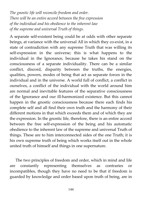*The gnostic life will reconcile freedom and order. There will be an entire accord between the free expression of the individual and his obedience to the inherent law of the supreme and universal Truth of things.*

A separate self-existent being could be at odds with other separate beings, at variance with the universal All in which they co-exist, in a state of contradiction with any supreme Truth that was willing its self-expression in the universe; this is what happens to the individual in the Ignorance, because he takes his stand on the consciousness of a separate individuality. There can be a similar conflict, discord, disparity between the truths, the energies, qualities, powers, modes of being that act as separate forces in the individual and in the universe. A world full of conflict, a conflict in ourselves, a conflict of the individual with the world around him are normal and inevitable features of the separative consciousness of the Ignorance and our ill-harmonized existence. But this cannot happen in the gnostic consciousness because there each finds his complete self and all find their own truth and the harmony of their different motions in that which exceeds them and of which they are the expression. In the gnostic life, therefore, there is an entire accord between the free self-expression of the being and his automatic obedience to the inherent law of the supreme and universal Truth of things. These are to him interconnected sides of the one Truth; it is his own supreme truth of being which works itself out in the whole united truth of himself and things in one supernature.

The two principles of freedom and order, which in mind and life are constantly representing themselves as contraries or incompatibles, though they have no need to be that if freedom is guarded by knowledge and order based upon truth of being, are in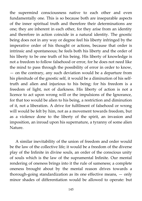the supermind consciousness native to each other and even fundamentally one. This is so because both are inseparable aspects of the inner spiritual truth and therefore their determinations are one; they are inherent in each other, for they arise from an identity and therefore in action coincide in a natural identity. The gnostic being does not in any way or degree feel his liberty infringed by the imperative order of his thought or actions, because that order is intrinsic and spontaneous; he feels both his liberty and the order of his liberty to be one truth of his being. His liberty of knowledge is not a freedom to follow falsehood or error, for he does not need like the mind to pass through the possibility of error in order to know, — on the contrary, any such deviation would be a departure from his plenitude of the gnostic self, it would be a diminution of his selftruth and alien and injurious to his being; for his freedom is a freedom of light, not of darkness. His liberty of action is not a licence to act upon wrong will or the impulsions of the Ignorance, for that too would be alien to his being, a restriction and diminution of it, not a liberation. A drive for fulfilment of falsehood or wrong will would be felt by him, not as a movement towards freedom, but as a violence done to the liberty of the spirit, an invasion and imposition, an inroad upon his supernature, a tyranny of some alien Nature.

A similar inevitability of the union of freedom and order would be the law of the collective life; it would be a freedom of the diverse play of the Infinite in divine souls, an order of the conscious unity of souls which is the law of the supramental Infinite. Our mental rendering of oneness brings into it the rule of sameness; a complete oneness brought about by the mental reason drives towards a thorough-going standardization as its one effective means, — only minor shades of differentiation would be allowed to operate: but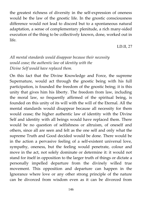the greatest richness of diversity in the self-expression of oneness would be the law of the gnostic life. In the gnostic consciousness difference would not lead to discord but to a spontaneous natural adaptation, a sense of complementary plenitude, a rich many-sided execution of the thing to be collectively known, done, worked out in life.

LD.II, 27

## *All mental standards would disappear because their necessity would cease; the authentic law* of *identity with the Divine Self would have replaced them.*

On this fact that the Divine Knowledge and Force, the supreme Supernature, would act through the gnostic being with his full participation, is founded the freedom of the gnostic being; it is this unity that gives him his liberty. The freedom from law, including the moral law, so frequently affirmed of the spiritual being, is founded on this unity of its will with the will of the Eternal. All the mental standards would disappear because all necessity for them would cease; the higher authentic law of identity with the Divine Self and identity with all beings would have replaced them. There would be no question of selfishness or altruism, of oneself and others, since all are seen and felt as the one self and only what the supreme Truth and Good decided would be done. There would be in the action a pervasive feeling of a self-existent universal love, sympathy, oneness, but the feeling would penetrate, colour and move in the act, not solely dominate or determine it: it would not stand for itself in opposition to the larger truth of things or dictate a personally impelled departure from the divinely willed true movement. This opposition and departure can happen in the Ignorance where love or any other strong principle of the nature can be divorced from wisdom even as it can be divorced from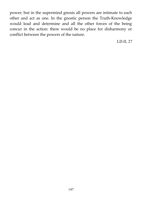power; but in the supermind gnosis all powers are intimate to each other and act as one. In the gnostic person the Truth-Knowledge would lead and determine and all the other forces of the being concur in the action: there would be no place for disharmony or conflict between the powers of the nature.

LD.II, 27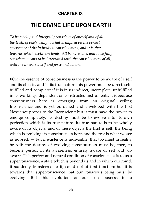### **CHAPTER IX**

# **THE DIVINE LIFE UPON EARTH**

*To be wholly and integrally conscious of oneself and of all the truth of one's being is what is implied by the perfect emergence of the individual consciousness, and it is that towards which evolution tends. All being is one, and to be fully conscious means to be integrated with the consciousness of all, with the universal self and force and action.*

FOR the essence of consciousness is the power to be aware of itself and its objects, and in its true nature this power must be direct, selffulfilled and complete: if it is in us indirect, incomplete, unfulfilled in its workings, dependent on constructed instruments, it is because consciousness here is emerging from an original veiling Inconscience and is yet burdened and enveloped with the first Nescience proper to the Inconscient; but it must have the power to emerge completely, its destiny must be to evolve into its own perfection which is its true nature. Its true nature is to be wholly aware of its objects, and of these objects the first is self, the being which is evolving its consciousness here, and the rest is what we see as not-self,  $-$  but if existence is indivisible, that too must in reality be self: the destiny of evolving consciousness must be, then, to become perfect in its awareness, entirely aware of self and allaware. This perfect and natural condition of consciousness is to us a superconscience, a state which is beyond us and in which our mind, if suddenly transferred to it, could not at first function; but it is towards that superconscience that our conscious being must be evolving. But this evolution of our consciousness to a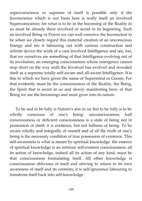superconscience or supreme of itself is possible only if the Inconscience which is our basis here is really itself an involved Superconscience; for what is to be in the becoming of the Reality in us must be already there involved or secret in its beginning. Such an involved Being or Power we can well conceive the Inconscient to be when we closely regard this material creation of an unconscious Energy and see it labouring out with curious construction and infinite device the work of a vast involved Intelligence and see, too, that we ourselves are something of that Intelligence evolving out of its involution, an emerging consciousness whose emergence cannot stop short on the way until the Involved has evolved and revealed itself as a supreme totally self-aware and all-aware Intelligence. It is this to which we have given the name of Supermind or Gnosis. For that evidently must be the consciousness of the Reality, the Being, the Spirit that is secret in us and slowly manifesting here; of that Being we are the becomings and must grow into its nature.

To be and to be fully is Nature's aim in us; but to be fully is to be wholly conscious of one's being: unconsciousness, half consciousness or deficient consciousness is a state of being not in possession of itself; it is existence, but not fullness of being. To be aware wholly and integrally of oneself and of all the truth of one's being is the necessary condition of true possession of existence. This self-awareness is what is meant by spiritual knowledge: the essence of spiritual knowledge is an intrinsic self-existent consciousness; all its action of knowledge, indeed all its action of any kind, must be that consciousness formulating itself. All other knowledge is consciousness oblivious of itself and striving to return to its own awareness of itself and its contents; it is self-ignorance labouring to transform itself back into self-knowledge.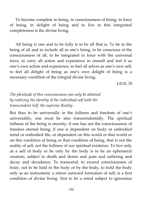To become complete in being, in consciousness of being, in force of being, in delight of being and to live in this integrated completeness is the divine living.

All being is one and to be fully is to be all that is. To be in the being of all and to include all in one's being, to be conscious of the consciousness of all, to be integrated in force with the universal force, to carry all action and experience in oneself and feel it as one's own action and experience, to feel all selves as one's own self, to feel all delight of being as one's own delight of being is a necessary condition of the integral divine living.

LD.II, 28

*The plenitude of this consciousness can only be attained by realizing the identity of the individual self with the transcendent Self, the supreme Reality.*

But thus to be universally in the fullness and freedom of one's universality, one must be also transcendentally. The spiritual fullness of the being is eternity; if one has not the consciousness of timeless eternal being, if one is dependent on body or embodied mind or embodied life, or dependent on this world or that world or on this condition of being or that condition of being, that is not the reality of self, not the fullness of our spiritual existence. To live only as a self of body or be only by the body is to be an ephemeral creature, subject to death and desire and pain and suffering and decay and decadence. To transcend, to exceed consciousness of body, not to be held in the body or by the body, to hold the body only as an instrument, a minor outward formation of self, is a first condition of divine living. Not to be a mind subject to ignorance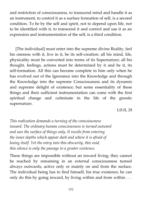and restriction of consciousness, to transcend mind and handle it as an instrument, to control it as a surface formation of self, is a second condition. To be by the self and spirit, not to depend upon life, not to be identified with it, to transcend it and control and use it as an expression and instrumentation of the self, is a third condition.

[The individual] must enter into the supreme divine Reality, feel his oneness with it, live in it, be its self-creation: all his mind, life, physicality must be converted into terms of its Supernature; all his thought, feelings, actions must be determined by it and be it, its self-formation. All this can become complete in him only when he has evolved out of the Ignorance into the Knowledge and through the Knowledge into the supreme Consciousness and its dynamis and supreme delight of existence; but some essentiality of these things and their sufficient instrumentation can come with the first spiritual change and culminate in the life of the gnostic supernature.

LD.II, 28

*This realization demands a turning of the consciousness inward. The ordinary human consciousness is turned outward and sees the surface of things only. It recoils from entering the inner depths which appear dark and where it is afraid of losing itself. Yet the entry into this obscurity, this void, this silence is only the passage to a greater existence.*

These things are impossible without an inward living; they cannot be reached by remaining in an external consciousness turned always outwards, active only or mainly on and from the surface. The individual being has to find himself, his true existence; he can only do this by going inward, by living within and from within . . .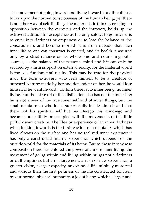This movement of going inward and living inward is a difficult task to lay upon the normal consciousness of the human being; yet there is no other way of self-finding. The materialistic thinker, erecting an opposition between the extrovert and the introvert, holds up the extrovert attitude for acceptance as the only safety: to go inward is to enter into darkness or emptiness or to lose the balance of the consciousness and become morbid; it is from outside that such inner life as one can construct is created, and its health is assured only by a strict reliance on its wholesome and nourishing outer sources, — the balance of the personal mind and life can only be secured by a firm support on external reality, for the material world is the sole fundamental reality. This may be true for the physical man, the born extrovert, who feels himself to be a creature of outward Nature; made by her and dependent on her, he would lose himself if he went inward : for him there is no inner being, no inner living. But the introvert of this distinction also has not the inner life; he is not a seer of the true inner self and of inner things, but the small mental man who looks superficially inside himself and sees there not his spiritual self but his life-ego, his mind-ego and becomes unhealthily preoccupied with the movements of this little pitiful dwarf creature. The idea or experience of an inner darkness when looking inwards is the first reaction of a mentality which has lived always on the surface and has no realized inner existence; it has only a constructed internal experience which depends on the outside world for the materials of its being. But to those into whose composition there has entered the power of a more inner living, the movement of going within and living within brings not a darkness or dull emptiness but an enlargement, a rush of new experience, a greater vision, a larger capacity, an extended life infinitely more real and various than the first pettiness of the life constructed for itself by our normal physical humanity, a joy of being which is larger and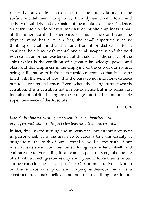richer than any delight in existence that the outer vital man or the surface mental man can gain by their dynamic vital force and activity or subtlety and expansion of the mental existence. A silence, an entry into a wide or even immense or infinite emptiness is part of the inner spiritual experience; of this silence and void the physical mind has a certain fear, the small superficially active thinking or vital mind a shrinking from it or dislike, — for it confuses the silence with mental and vital incapacity and the void with cessation or non-existence : but this silence is the silence of the spirit which is the condition of a greater knowledge, power and bliss, and this emptiness is the emptying of the cup of our natural being, a liberation of it from its turbid contents so that it may be filled with the wine of God; it is the passage not into non-existence but to a greater existence. Even when the being turns towards cessation, it is a cessation not in non-existence but into some vast ineffable of spiritual being or the plunge into the incommunicable superconscience of the Absolute.

LD.II, 28

## *Indeed, this inward-turning movement is not an imprisonment in the personal self; it is the first step towards a true universality.*

In fact, this inward turning and movement is not an imprisonment in personal self, it is the first step towards a true universality; it brings to us the truth of our external as well as the truth of our internal existence. For this inner living can extend itself and embrace the universal life, it can contact, penetrate, englobe the life of all with a much greater reality and dynamic force than is in our surface consciousness at all possible. Our outmost universalization on the surface is a poor and limping endeavour,  $-$  it is a construction, a make-believe and not the real thing: for in our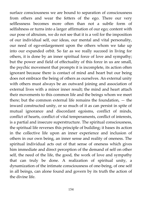surface consciousness we are bound to separation of consciousness from others and wear the fetters of the ego. There our very selflessness becomes more often than not a subtle form of selfishness or turns into a larger affirmation of our ego; content with our pose of altruism, we do not see that it is a veil for the imposition of our individual self, our ideas, our mental and vital personality, our need of ego-enlargement upon the others whom we take up into our expanded orbit. So far as we really succeed in living for others, it is done by an inner spiritual force of love and sympathy; but the power and field of effectuality of this force in us are small, the psychic movement that prompts it is incomplete, its action often ignorant because there is contact of mind and heart but our being does not embrace the being of others as ourselves. An external unity with others must always be an outward joining and association of external lives with a minor inner result; the mind and heart attach their movements to this common life and the beings whom we meet there; but the common external life remains the foundation, — the inward constructed unity, or so much of it as can persist in spite of mutual ignorance and discordant egoisms, conflict of minds, conflict of hearts, conflict of vital temperaments, conflict of interests, is a partial and insecure superstructure. The spiritual consciousness, the spiritual life reverses this principle of building; it bases its action in the collective life upon an inner experience and inclusion of others in our own being, an inner sense and reality of oneness. The spiritual individual acts out of that sense of oneness which gives him immediate and direct perception of the demand of self on other self, the need of the life, the good, the work of love and sympathy that can truly be done. A realization of spiritual unity, a dynamization of the intimate consciousness of one-being, of one self in all beings, can alone found and govern by its truth the action of the divine life.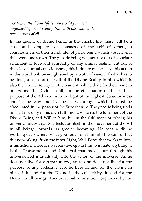*The law of the divine life is universality in action, organized by an all-seeing Will, with the sense of the true oneness of all.*

In the gnostic or divine being, in the gnostic life, there will be a close and complete consciousness of the self of others, a consciousness of their mind, life, physical being which are felt as if they were one's own. The gnostic being will act, not out of a surface sentiment of love and sympathy or any similar feeling, but out of this close mutual consciousness, this intimate oneness. All his action in the world will be enlightened by a truth of vision of what has to be done, a sense of the will of the Divine Reality in him which is also the Divine Reality in others and it will be done for the Divine in others and the Divine in all, for the effectuation of the truth of purpose of the All as seen in the light of the highest Consciousness and in the way and by the steps through which it must be effectuated in the power of the Supernature. The gnostic being finds himself not only in his own fulfilment, which is the fulfilment of the Divine Being and Will in him, but in the fulfilment of others; his universal individuality effectuates itself in the movement of the All in all beings towards its greater becoming. He sees a divine working everywhere; what goes out from him into the sum of that divine working, from the inner Light, Will, Force that works in him, is his action. There is no separative ego in him to initiate anything; it is the Transcendent and Universal that moves out through his universalized individuality into the action of the universe. As he does not live for a separate ego, so too he does not live for the purpose of any collective ego; he lives in and for the Divine in himself, in and for the Divine in the collectivity, in and for the Divine in all beings. This universality in action, organized by the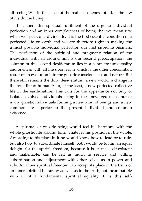all-seeing Will in the sense of the realized oneness of all, is the law of his divine living.

It is, then, this spiritual fulfilment of the urge to individual perfection and an inner completeness of being that we mean first when we speak of a divine life. It is the first essential condition of a perfected life on earth and we are therefore right in making the utmost possible individual perfection our first supreme business. The perfection of the spiritual and pragmatic relation of the individual with all around him is our second preoccupation; the solution of this second desideratum lies in a complete universality and oneness with all life upon earth which is the other concomitant result of an evolution into the gnostic consciousness and nature. But there still remains the third desideratum, a new world, a change in the total life of humanity or, at the least, a new perfected collective life in the earth-nature. This calls for the appearance not only of isolated evolved individuals acting in the unevolved mass, but of many gnostic individuals forming a new kind of beings and a new common life superior to the present individual and common existence.

A spiritual or gnostic being would feel his harmony with the whole gnostic life around him, whatever his position in the whole. According to his place in it he would know how to lead or to rule, but also how to subordinate himself; both would be to him an equal delight: for the spirit's freedom, because it is eternal, self-existent and inalienable, can be felt as much in service and willing subordination and adjustment with other selves as in power and rule. An inner spiritual freedom can accept its place in the truth of an inner spiritual hierarchy as well as in the truth, not incompatible with it, of a fundamental spiritual equality. It is this self-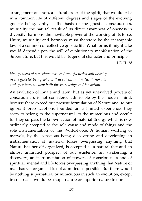arrangement of Truth, a natural order of the spirit, that would exist in a common life of different degrees and stages of the evolving gnostic being. Unity is the basis of the gnostic consciousness, mutuality the natural result of its direct awareness of oneness in diversity, harmony the inevitable power of the working of its force. Unity, mutuality and harmony must therefore be the inescapable law of a common or collective gnostic life. What forms it might take would depend upon the will of evolutionary manifestation of the Supernature, but this would be its general character and principle.

LD.II, 28

## *New powers of consciousness and new faculties will develop in the gnostic being who will use them in a natural, normal and spontaneous way both for knowledge and for action.*

An evolution of innate and latent but as yet unevolved powers of consciousness is not considered admissible by the modern mind, because these exceed our present formulation of Nature and, to our ignorant preconceptions founded on a limited experience, they seem to belong to the supernatural, to the miraculous and occult; for they surpass the known action of material Energy which is now ordinarily accepted as the sole cause and mode of things and the sole instrumentation of the World-Force. A human working of marvels, by the conscious being discovering and developing an instrumentation of material forces overpassing anything that Nature has herself organized, is accepted as a natural fact and an almost unlimited prospect of our existence; an awakening, a discovery, an instrumentation of powers of consciousness and of spiritual, mental and life forces overpassing anything that Nature or man has yet organized is not admitted as possible. But there would be nothing supernatural or miraculous in such an evolution, except in so far as it would be a supernature or superior nature to ours just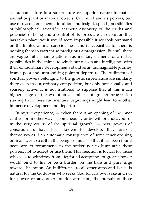as human nature is a supernature or superior nature to that of animal or plant or material objects. Our mind and its powers, our use of reason, our mental intuition and insight, speech, possibilities of philosophical, scientific, aesthetic discovery of the truths and potencies of being and a control of its forces are an evolution that has taken place: yet it would seem impossible if we took our stand on the limited animal consciousness and its capacities; for there is nothing there to warrant so prodigious a progression. But still there are vague initial manifestations, rudimentary elements or arrested possibilities in the animal to which our reason and intelligence with their extraordinary developments stand as an unimaginable journey from a poor and unpromising point of departure. The rudiments of spiritual powers belonging to the gnostic supernature are similarly there even in our ordinary composition, but only occasionally and sparsely active. It is not irrational to suppose that at this much higher stage of the evolution a similar but greater progression starting from these rudimentary beginnings might lead to another immense development and departure.

In mystic experience,  $-$  when there is an opening of the inner centres, or in other ways, spontaneously or by will or endeavour or in the very course of the spiritual growth, — new powers of consciousness have been known to develop; they present themselves as if an automatic consequence of some inner opening or in answer to a call in the being, so much so that it has been found necessary to recommend to the seeker not to hunt after these powers, not to accept or use them. This rejection is logical for those who seek to withdraw from life; for all acceptance of greater power would bind to life or be a burden on the bare and pure urge towards liberation. An indifference to all other aims and issues is natural for the God-lover who seeks God for His own sake and not for power or any other inferior attraction; the pursuit of these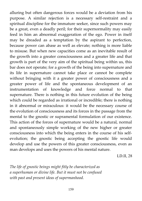alluring but often dangerous forces would be a deviation from his purpose. A similar rejection is a necessary self-restraint and a spiritual discipline for the immature seeker, since such powers may be a great, even a deadly peril; for their supernormality may easily feed in him an abnormal exaggeration of the ego. Power in itself may be dreaded as a temptation by the aspirant to perfection, because power can abase as well as elevate; nothing is more liable to misuse. But when new capacities come as an inevitable result of the growth into a greater consciousness and a greater life and that growth is part of the very aim of the spiritual being within us, this bar does not operate; for a growth of the being into supernature and its life in supernature cannot take place or cannot be complete without bringing with it a greater power of consciousness and a greater power of life and the spontaneous development of an instrumentation of knowledge and force normal to that supernature. There is nothing in this future evolution of the being which could be regarded as irrational or incredible; there is nothing in it abnormal or miraculous: it would be the necessary course of the evolution of consciousness and its forces in the passage from the mental to the gnostic or supramental formulation of our existence. This action of the forces of supernature would be a natural, normal and spontaneously simple working of the new higher or greater consciousness into which the being enters in the course of his selfevolution; the gnostic being accepting the gnostic life would develop and use the powers of this greater consciousness, even as man develops and uses the powers of his mental nature.

LD.II, 28

*The life of gnostic beings might fitly be characterized as a superhuman or divine life. But it must not be confused with past and present ideas of supermanhood.*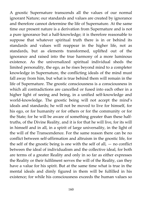A gnostic Supernature transcends all the values of our normal ignorant Nature; our standards and values are created by ignorance and therefore cannot determine the life of Supernature. At the same time our present nature is a derivation from Supernature and is not a pure ignorance but a half-knowledge; it is therefore reasonable to suppose that whatever spiritual truth there is in or behind its standards and values will reappear in the higher life, not as standards, but as elements transformed, uplifted out of the ignorance and raised into the true harmony of a more luminous existence. As the universalized spiritual individual sheds the limited personality, the ego, as he rises beyond mind to a completer knowledge in Supernature, the conflicting ideals of the mind must fall away from him, but what is true behind them will remain in the life of Supernature. The gnostic consciousness is a consciousness in which all contradictions are cancelled or fused into each other in a higher light of seeing and being, in a unified self-knowledge and world-knowledge. The gnostic being will not accept the mind's ideals and standards; he will not be moved to live for himself, for his ego, or for humanity or for others or for the community or for the State; for he will be aware of something greater than these halftruths, of the Divine Reality, and it is for that he will live, for its will in himself and in all, in a spirit of large universality, in the light of the will of the Transcendence. For the same reason there can be no conflict between self-affirmation and altruism in the gnostic life, for the self of the gnostic being is one with the self of all,  $-$  no conflict between the ideal of individualism and the collective ideal, for both are terms of a greater Reality and only in so far as either expresses the Reality or their fulfilment serves the will of the Reality, can they have a value for his spirit. But at the same time what is true in the mental ideals and dimly figured in them will be fulfilled in his existence; for while his consciousness exceeds the human values so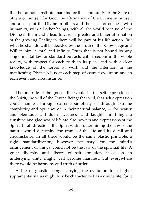that he cannot substitute mankind or the community or the State or others or himself for God, the affirmation of the Divine in himself and a sense of the Divine in others and the sense of oneness with humanity, with all other beings, with all the world because of the Divine in them and a lead towards a greater and better affirmation of the growing Reality in them will be part of his life action. But what he shall do will be decided by the Truth of the Knowledge and Will in him, a total and infinite Truth that is not bound by any single mental law or standard but acts with freedom in the whole reality, with respect for each truth in its place and with a clear knowledge of the forces at work and the intention in the manifesting Divine Nisus at each step of cosmic evolution and in each event and circumstance.

The one rule of the gnostic life would be the self-expression of the Spirit, the will of the Divine Being; that will, that self-expression could manifest through extreme simplicity or through extreme complexity and opulence or in their natural balance,  $-$  for beauty and plenitude, a hidden sweetness and laughter in things, a sunshine and gladness of life are also powers and expressions of the Spirit. In all directions the Spirit within determining the law of the nature would determine the frame of the life and its detail and circumstance. In all there would be the same plastic principle; a rigid standardization, however necessary for the mind's arrangement of things, could not be the law of the spiritual life. A great diversity and liberty of self-expression based on an underlying unity might well become manifest; but everywhere there would be harmony and truth of order.

A life of gnostic beings carrying the evolution to a higher supramental status might fitly be characterized as a divine life; for it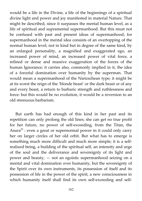would be a life in the Divine, a life of the beginnings of a spiritual divine light and power and joy manifested in material Nature. That might be described, since it surpasses the mental human level, as a life of spiritual and supramental supermanhood. But this must not be confused with past and present ideas of supermanhood; for supermanhood in the mental idea consists of an overtopping of the normal human level, not in kind but in degree of the same kind, by an enlarged personality, a magnified and exaggerated ego, an increased power of mind, an increased power of vital force, a refined or dense and massive exaggeration of the forces of the human Ignorance; it carries also, commonly implied in it, the idea of a forceful domination over humanity by the superman. That would mean a supermanhood of the Nietzschean type; it might be at its worst the reign of the 'blonde beast' or the dark beast or of any and every beast, a return to barbaric strength and ruthlessness and force: but this would be no evolution, it would be a reversion to an old strenuous barbarism.

But earth has had enough of this kind in her past and its repetition can only prolong the old lines; she can get no true profit for her future, no power of self-exceeding, from the Titan, the Asura<sup>[29](#page-183-1)</sup> : even a great or supernormal power in it could only carry her on larger circles of her old orbit. But what has to emerge is something much more difficult and much more simple; it is a selfrealized being, a building of the spiritual self, an intensity and urge of the soul and the deliverance and sovereignty of its light and power and beauty, — not an egoistic supermanhood seizing on a mental and vital domination over humanity, but the sovereignty of the Spirit over its own instruments, its possession of itself and its possession of life in the power of the spirit, a new consciousness in which humanity itself shall find its own self-exceeding and self-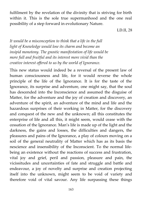fulfilment by the revelation of the divinity that is striving for birth within it. This is the sole true supermanhood and the one real possibility of a step forward in evolutionary Nature.

LD.II, 28

*It would be a misconception to think that a life in the full light of Knowledge would lose its charm and become an insipid monotony. The gnostic manifestation of life would be more full and fruitful and its interest more vivid than the creative interest offered to us by the world of Ignorance.*

This new status would indeed be a reversal of the present law of human consciousness and life, for it would reverse the whole principle of the life of the Ignorance. It is for the taste of the Ignorance, its surprise and adventure, one might say, that the soul has descended into the Inconscience and assumed the disguise of Matter, for the adventure and the joy of creation and discovery, an adventure of the spirit, an adventure of the mind and life and the hazardous surprises of their working in Matter, for the discovery and conquest of the new and the unknown; all this constitutes the enterprise of life and all this, it might seem, would cease with the cessation of the Ignorance. Man's life is made up of the light and the darkness, the gains and losses, the difficulties and dangers, the pleasures and pains of the Ignorance, a play of colours moving on a soil of the general neutrality of Matter which has as its basis the nescience and insensibility of the Inconscient. To the normal lifebeing an existence without the reactions of success and frustration, vital joy and grief, peril and passion, pleasure and pain, the vicissitudes and uncertainties of fate and struggle and battle and endeavour, a joy of novelty and surprise and creation projecting itself into the unknown, might seem to be void of variety and therefore void of vital savour. Any life surpassing these things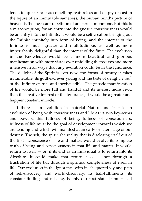tends to appear to it as something featureless and empty or cast in the figure of an immutable sameness; the human mind's picture of heaven is the incessant repetition of an eternal monotone. But this is a misconception; for an entry into the gnostic consciousness would be an entry into the Infinite. It would be a self-creation bringing out the Infinite infinitely into form of being, and the interest of the Infinite is much greater and multitudinous as well as more imperishably delightful than the interest of the finite. The evolution in the Knowledge would be a more beautiful and glorious manifestation with more vistas ever unfolding themselves and more intensive in all ways than any evolution could be in the Ignorance. The delight of the Spirit is ever new, the forms of beauty it takes innumerable, its godhead ever young and the taste of delight, *rasa,* [30](#page-183-2) of the Infinite eternal and inexhaustible. The gnostic manifestation of life would be more full and fruitful and its interest more vivid than the creative interest of the Ignorance; it would be a greater and happier constant miracle.

If there is an evolution in material Nature and if it is an evolution of being with consciousness and life as its two key-terms and powers, this fullness of being, fullness of consciousness, fullness of life must be the goal of development towards which we are tending and which will manifest at an early or later stage of our destiny. The self, the spirit, the reality that is disclosing itself out of the first inconscience of life and matter, would evolve its complete truth of being and consciousness in that life and matter. It would return to itself  $-$  or, if its end as an individual is to return into its Absolute, it could make that return also, — not through a frustration of life but through a spiritual completeness of itself in life. Our evolution in the Ignorance with its chequered joy and pain of self-discovery and world-discovery, its half-fulfilments, its constant finding and missing, is only our first state. It must lead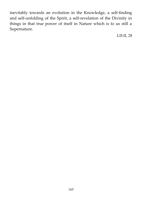inevitably towards an evolution in the Knowledge, a self-finding and self-unfolding of the Spirit, a self-revelation of the Divinity in things in that true power of itself in Nature which is to us still a Supernature.

LD.II, 28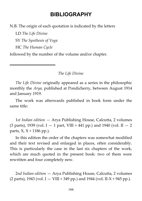# **BIBLIOGRAPHY**

N.B. The origin of each quotation is indicated by the letters

LD *The Life Divine* SY *The Synthesis of Yoga* HC *The Human Cycle*

followed by the number of the volume and/or chapter.

### *The Life Divine*

*The Life Divine* originally appeared as a series in the philosophic monthly the *Arya,* published at Pondicherry, between August 1914 and January 1919.

The work was afterwards published in book form under the same title:

1*st Indian edition —* Arya Publishing House, Calcutta, 2 volumes  $(3 \text{ parts})$ , 1939 (vol. I  $-1 \text{ part}$ , VIII + 441 pp.) and 1940 (vol. II  $-2$ parts,  $X$ ,  $X$  + 1186 pp.).

In this edition the order of the chapters was somewhat modified and their text revised and enlarged in places, often considerably. This is particularly the case in the last six chapters of the work, which are much quoted in the present book: two of them were rewritten and four completely new.

2*nd Indian edition* — Arya Publishing House, Calcutta, 2 volumes  $(2 \text{ parts})$ , 1943 (vol. I – VIII + 349 pp.) and 1944 (vol. II-X + 945 pp.).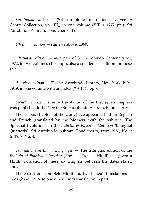3*rd Indian edition —* (Sri Aurobindo International University Centre Collection, vol. III), in one volume (VIII + 1272 pp.), Sri Aurobindo Ashram, Pondicherry, 1955.

*4th Indian edition* — same as above, 1960.

*5th Indian edition —* as a part of Sri Aurobindo Centenary set, 1972, in two volumes (1070 pp.), also a smaller size edition for loose sale.

*American edition — The* Sri Aurobindo Library, New York, N.Y., 1949, in one volume with an index  $(X + 1040$  pp.).

*French Translations —* A translation of the first seven chapters was published in 1947 by the Sri Aurobindo Ashram, Pondicherry.

The last six chapters of the work have appeared both in English and French (translated by the Mother), with the sub-title 'The Spiritual Evolution', in the *Bulletin of Physical Education* (bilingual Quarterly), Sri Aurobindo Ashram, Pondicherry, from 1956, No. 2 to 1957, No. 4.

*Translations in Indian Languages —* The trilingual edition of the *Bulletin of Physical Education* (English, French, Hindi) has given a Hindi translation of these six chapters between the dates stated above.

There exist one complete Hindi and two Bengali translations of *The Life Divine.* Also one other Hindi translation in part.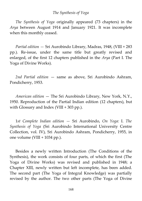#### *The Synthesis of Yoga*

*The Synthesis of Yoga* originally appeared (73 chapters) in the *Arya* between August 1914 and January 1921. It was incomplete when this monthly ceased.

*Partial edition —* Sri Aurobindo Library, Madras, 1948, (VIII + 283 pp.). Re-issue, under the same title but greatly revised and enlarged, of the first 12 chapters published in the *Arya* (Part I. The Yoga of Divine Works).

*2nd Partial edition* — same as above, Sri Aurobindo Ashram, Pondicherry, 1953.

*American edition* — The Sri Aurobindo Library, New York, N.Y., 1950. Reproduction of the Partial Indian edition (12 chapters), but with Glossary and Index (VIII + 303 pp.).

1*st Complete Indian edition —* Sri Aurobindo, *On Yoga:* I. *The Synthesis of Yoga* (Sri Aurobindo International University Centre Collection, vol. IV), Sri Aurobindo Ashram, Pondicherry, 1955, in one volume (VIII + 1034 pp.).

Besides a newly written Introduction (The Conditions of the Synthesis), the work consists of four parts, of which the first (The Yoga of Divine Works) was revised and published in 1948; a Chapter XIII, newly written but left incomplete, has been added. The second part (The Yoga of Integral Knowledge) was partially revised by the author. The two other parts (The Yoga of Divine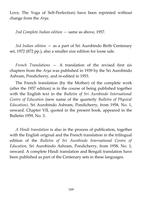Love, The Yoga of Self-Perfection) have been reprinted without change from the *Arya.*

*2nd Complete Indian edition —* same as above, 1957.

*3rd Indian edition* — as a part of Sri Aurobindo Birth Centenary set, 1972 (872 pp.), also a smaller size edition for loose sale.

*French Translations* — A translation of the revised first six chapters from the *Arya* was published in 1939 by the Sri Aurobindo Ashram, Pondicherry, and re-edited in 1953.

The French translation (by the Mother) of the complete work (after the 1957 edition) is in the course of being published together with the English text in the *Bulletin of Sri Aurobindo International Centre of Education* (new name of the quarterly *Bulletin of Physical Education),* Sri Aurobindo Ashram, Pondicherry, from 1958, No. 1, onward. Chapter VII, quoted in the present book, appeared in the Bulletin 1959, No. 3.

*A Hindi translation* is also in the process of publication, together with the English original and the French translation in the trilingual edition of the *Bulletin of Sri Aurobindo International Centre of Education,* Sri Aurobindo Ashram, Pondicherry, from 1958, No. 1, onward. A complete Hindi translation and Bengali translation have been published as part of the Centenary sets in these languages.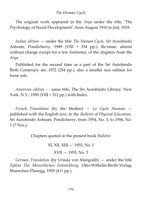#### *The Human Cycle*

The original work appeared in the *Arya* under the title, 'The Psychology of Social Development', from August 1916 to July 1918.

*Indian edition* — under the title *The Human Cycle,* Sri Aurobindo Ashram, Pondicherry, 1949 (VIII + 334 pp.). Re-issue, almost without change except for a few footnotes, of the chapters from the *Arya.*

Published for the second time as a part of the Sri Aurobindo Birth Centenary set, 1972 (254 pp.), also a smaller size edition for loose sale.

*American edition —* same title, The Sri Aurobindo Library, New York, N.Y., 1950 (VIII + 312 pp.) with Index.

*French Translation* (by the Mother) — *Le Cycle Humain* published with the English text, in the *Bulletin of Physical Education,* Sri Aurobindo Ashram, Pondicherry, from 1954, No. 3, to 1956, No. 1 (7 Nos.).

Chapters quoted in the present book *Bulletin*

XI, XII, XIII — 1955, No. 1

XVII — 1955, No. 3

*German Translation* (by Ursula von Mangoldt) — under the title *Zyklus Der Menschlichen Entwicklung,* Otto-Wilhelm-Barth-Verlag, Muenchen-Planegg, 1955 (411 pp.).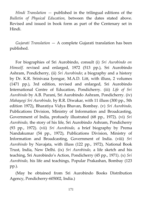*Hindi Translation —* published in the trilingual editions of the *Bulletin of Physical Education,* between the dates stated above. Revised and issued in book form as part of the Centenary set in Hindi.

*Gujarati Translation* — A complete Gujarati translation has been published.

For biographies of Sri Aurobindo, consult (i) *Sri Aurobindo on Himself,* revised and enlarged, 1972 (513 pp.), Sri Aurobindo Ashram, Pondicherry, (ii) *Sri Aurobindo*; a biography and a history by Dr. K.R. Srinivasa Iyengar, M.A.D. Litt, with illuss, 2 volumes (1471 pp.), 3rd edition, revised and enlarged, Sri Aurobindo International Centre of Education, Pondicherry. (iii) *Life of Sri Aurobindo* by A.B. Purani, Sri Aurobindo Ashram, Pondicherry. (iv) *Mahayogi Sri Aurobindo,* by R.R. Diwakar, with 11 illuss (300 pp., 5th edition 1972), Bharatiya Vidya Bhavan, Bombay. (v) *Sri Aurobindo,* Publications Division, Ministry of Information and Broadcasting, Government of India, profusely illustrated (68 pp., 1972). (vi) *Sri Aurobindo,* the story of his life, Sri Aurobindo Ashram, Pondicherry (93 pp., 1972). (vii) *Sri Aurobindo,* a brief biography by Prema Nandakumar (54 pp., 1972), Publications Division, Ministry of Information and Broadcasting, Government of India. (viii) *Sri Aurobindo* by Navajata, with illuss (122 pp., 1972), National Book Trust, India, New Delhi. (ix) *Sri Aurobindo,* a life sketch and his teaching, Sri Aurobindo's Action, Pondicherry (45 pp., 1971). (x) *Sri Aurobindo,* his life and teachings, Popular Prakashan, Bombay (123 pp.).

(May be obtained from Sri Aurobindo Books Distribution Agency, Pondicherry-605002, India.)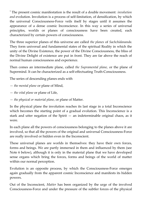1 The present cosmic manifestation is the result of a double movement: *involution and* evolution. Involution is a process of self-limitation, of densification, by which the universal Consciousness-Force veils itself by stages until it assumes the appearance of a dense cosmic Inconscience. In this way a series of universal principles, worlds or planes of consciousness have been created, each characterized by certain powers of consciousness.

The three superior planes of this universe are called *the planes* of *Sachchidananda.* They form universal and fundamental states of the spiritual Reality in which the unity of the Divine Existence, the power of the Divine Consciousness, the bliss of the Divine Delight of existence are put in front. They are far above the reach of normal human consciousness and experience.

Then comes an intermediate plane, called *the Supramental plane,* or the plane of Supermind. It can be characterized as a self-effectuating Truth-Consciousness.

The series of descending planes ends with

- *the mental plane* or plane of Mind,
- *the vital plane* or plane of Life,
- *the physical or material plane,* or plane of Matter.

In the physical plane the involution reaches its last stage in a total Inconscience which becomes the starting point of a gradual evolution. This Inconscience is a stark and utter negation of the Spirit  $-$  an indeterminable original chaos, as it were.

In each plane all the powers of consciousness belonging to the planes above it are involved, so that all the powers of the original and universal Consciousness-Force are really involved or hidden even in the Inconscient.

These universal planes are worlds in themselves: they have their own forces, forms and beings. We are partly immersed in them and influenced by them (see Note 6 below), although it is only in the material plane that we have developed sense organs which bring the forces, forms and beings of the world of matter within our normal perception.

Evolution is an opposite process, by which the Consciousness-Force emerges again gradually from the apparent cosmic Inconscience and manifests its hidden powers.

Out of the Inconscient, *Matter* has been organized by the urge of the involved Consciousness-Force and under the pressure of the subtler forces of the physical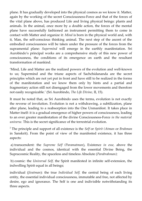plane. It has gradually developed into the physical cosmos as we know it. Matter, again by the working of the secret Consciousness-Force and that of the forces of the vital plane above, has produced Life and living physical beings: plants and animals. In the animal, once more by a double action, the forces of the mental plane have successfully fashioned an instrument permitting them to come in contact with Matter and organize it: *Mind* is born in the physical world and, with it, Man, the self-conscious thinking animal. The next step of the ascent of the embodied consciousness will be taken under the pressure of the forces from the supramental plane: *Supermind* will emerge in the earthly manifestation. Sri Aurobindo's principal works are a comprehensive study of this new power of consciousness, the conditions of its emergence on earth and the resultant transformation of mankind.

'Mind, Life and Matter are the realized powers of the evolution and well-known to us; Supermind and the triune aspects of Sachchidananda are the secret principles which are not yet put in front and have still to be realized in the forms of the manifestation and we know them only by hints and a partial and fragmentary action still not disengaged from the lower movements and therefore not easily recognizable.' (Sri Aurobindo, *The Life Divine,* II, 15).

It must be noted that, as Sri Aurobindo uses the terms, evolution is not exactly the reverse of involution. Evolution is not a withdrawing, a subtilization, plane after plane, leading to a reabsorption into the One Unmanifest. It takes place in Matter itself: it is a gradual emergence of higher powers of consciousness, leading to an ever greater manifestation of the divine Consciousness-Force *in the material universe.* This is the secret significance of the terrestrial evolution.

2 The principle and support of all existence is the *Self* or *Spirit (Atman* or *Brahman* in Sanskrit). From the point of view of the manifested existence, it has three aspects:

 a) transcendent: the *Supreme Self (Paramatman*), Existence *in esse,* above the individual and the cosmos, identical with the essential Divine Being, the Supracosmic Reality, the spaceless and timeless Absolute (*Parabrahman);*

 b) cosmic: the *Universal Self,* the Spirit manifested in infinite self-extension, the indwelling Spirit equal in all beings;

individual (*Jivatman*): the true *Individual Self,* the central being of each living entity, the essential individual consciousness, immutable and free, not affected by desire, ego and ignorance. The Self is one and indivisible notwithstanding its three aspects.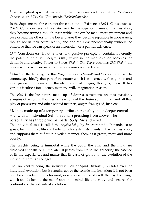3 To the highest spiritual perception, the One reveals a triple nature: *Existence-Consciousness-Bliss, Sat-Chit-Ananda (Sachchidananda).*

In the Supreme the three are not three but one — Existence *(Sat)* is Consciousness *(Chit),* Consciousness is Bliss *(Ananda).* In the superior planes of manifestation, they become triune although inseparable; one can be made more prominent and base or lead the others. In the lower planes they become separable in appearance, though not in their secret reality, and one can exist phenomenally without the others, so that we can speak of an inconscient or a painful existence.

*Chit,* Consciousness, is not an inert and passive principle; it contains inherently the potential spiritual Energy, *Tapas,* which in the manifestation becomes the dynamic and creative Power or Force, *Shakti. Chit-Tapas* becomes *Chit-Shakti,* the universal Consciousness-Force, the conscious creative Force.

<sup>4</sup> Mind: in the language of this Yoga the words 'mind' and 'mental' are used to connote specifically that part of the nature which is concerned with cognition and intelligence. It proceeds by the elaboration of images, thoughts, ideas. It has various faculties: intelligence, memory, will, imagination, reason.

The *vital* is the life nature made up of desires, sensations, feelings, passions, energies of action, will of desire, reactions of the desire soul in man and all that play of possessive and other related instincts, anger, fear, greed, lust, etc.

<sup>5</sup> Man is made up of a temporary surface personality and a deeper eternal soul with an individual Self (Jivatman) presiding from above. The personality has three principal parts: *body, life* and *mind.*

The individual soul is called the *psychic being* by Sri Aurobindo. It stands, so to speak, behind mind, life and body, which are its instruments in the manifestation, and supports them at first in a veiled manner, then, as it grows, more and more openly.

The psychic being is immortal while the body, the vital and the mind are dissolved at death, or a little later. It passes from life to life, gathering the essence of its life experiences and makes that its basis of growth in the evolution of the individual through the ages.

The true central being, the individual Self or Spirit (*Jivatman*) presides over the individual evolution, but it remains above the cosmic manifestation: it is not born nor does it evolve. It puts forward, as a representative of itself, the psychic being, which stands behind the manifestation in mind, life and body, and ensures the continuity of the individual evolution.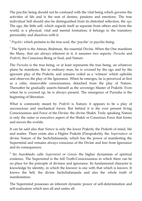The psychic being should not be confused with the vital being which governs the activities of life and is the seat of desires, passions and emotions. The true individual Self should also be distinguished from its distorted reflection, the *ego.* The ego, the little self, which regards itself as separate from others and from the world, is a physical, vital and mental formation; it belongs to the transitory personality and dissolves with it.

<sup>6</sup> Psychic: which pertains to the true soul, the 'psyche' or psychic being.

 $7$  The Spirit is the Atman, Brahman, the essential Divine. When the One manifests the Many, that are always inherent in it, it assumes two aspects: *Purusha* and *Prakriti,* the Conscious Being or Soul, and Nature.

The *Purusha* is the true being, or at least represents the true being, on whatever plane he manifests. But in ordinary man, he is covered by the ego and by the ignorant play of the Prakriti, and remains veiled as a 'witness' which upholds and observes the play of the Ignorance. When he emerges, he is perceived at first as a calm, immovable consciousness, detached from the play of Nature. Thereafter he gradually asserts himself as the sovereign Master of Prakriti. Even when he is covered up, he is always present. The emergence of Purusha is the beginning of liberation.

What is commonly meant by *Prakriti* is Nature; it appears to be a play of unconscious and mechanical forces. But behind it is the ever present living Consciousness and Force of the Divine: the divine Shakti. Truly speaking Nature is only the outer or executive aspect of the Shakti or Conscious Force that forms and moves the worlds.

It can be said also that *Nature* is only the lower Prakriti, the Prakriti of mind, life and matter. There exists also a Higher Prakriti (Paraprakriti), the *Supernature* or divine Nature of the Sachchidananda, which has the power of manifesting the Supermind and remains always conscious of the Divine and free from Ignorance and its consequences.

8 Sri Aurobindo calls *Supermind* or *Gnosis* the higher dynamism of spiritual existence. The Supermind is the full Truth-Consciousness in which there can be no place for the principle of division and ignorance. Its fundamental character is knowledge by identity, in which the knower is one with that which is known. It knows the Self, the divine Sachchidananda and also the whole truth of manifestation.

The Supermind possesses an inherent dynamic power of self-determination and self-realization which sees all and unites all.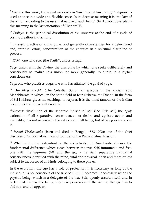<sup>9</sup> Dharma: this word, translated variously as 'law', 'moral law', 'duty' 'religion', is used at once in a wide and flexible sense. In its deepest meaning it is 'the law of the action according to the essential nature of each being'. Sri Aurobindo explains this meaning in the last quotation of Chapter IV.

<sup>10</sup> *Pralaya:* is the periodical dissolution of the universe at the end of a cycle of cosmic creation and activity.

<sup>11</sup> *Tapasya:* practice of a discipline, and generally of austerities for a determined end; spiritual effort, concentration of the energies in a spiritual discipline or process.

<sup>12</sup> Rishi: 'one who sees (the Truth)', a seer, a sage.

*Yoga:* union with the Divine; the discipline by which one seeks deliberately and consciously to realize this union, or more generally, to attain to a higher consciousness.

*Yogi*: one who practises yoga; one who has attained the goal of yoga.

<sup>13</sup> The *Bhagavad-Gita* (The Celestial Song); an episode in the ancient epic Mahabharata in which, on the battle-field of Kurukshetra, the Divine, in the form of Sri Krishna, gives his teachings to Arjuna. It is the most famous of the Indian Scriptures and universally revered.

<sup>14</sup>Nirvana: dissolution of the separate individual self (the little self, the ego); extinction of all separative consciousness, of desire and egoistic action and mentality; it is not necessarily the extinction of all being, but of being as we know it.

<sup>15</sup> *Swami Vivekananda*: (born and died in Bengal, 1863-1902): one of the chief disciples of Sri Ramakrishna and founder of the Ramakrishna Mission.

<sup>16</sup> Whether for the individual or the collectivity, Sri Aurobindo stresses the fundamental difference which exists between the true *Self,* immutable and free, one with the supreme *Self,* and the *ego,* a transient separative individual consciousness identified with the mind, vital and physical, open and more or less subject to the forces of all kinds belonging to these planes.

In the evolution, the ego has a role of protection; it is necessary as long as the individual is not conscious of the true Self. But it becomes unnecessary when the psychic being, which is a delegate of the true Self, openly asserts itself, and in order that the psychic being may take possession of the nature, the ego has to abdicate and disappear.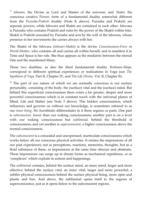<sup>17</sup> *Ishwara,* the Divine as Lord and Master of the universe, and *Shakti,* the conscious creative Power, form of a fundamental duality somewhat different from the *Purusha-Prakriti* duality (Note 8, above). Purusha and Prakriti are separate powers, while Ishwara and Shakti are contained in each other. Ishwara is Purusha who contains Prakriti and rules by the power of the Shakti within him. Shakti is Prakriti ensouled by Purusha and acts by the will of the Ishwara, whose presence in her movements she carries always with her.

The Shakti of the Ishwara (*Ishwari-Shakti*) is the divine *Consciousness-Force* or *World-Mother,* who contains all and carries all within herself, and to manifest it in Time and Space is her role. She thus appears as the mediatrix between the eternal One and the manifested Many.

These two dualities, as also the third fundamental duality *Brahman-Maya,* correspond to different spiritual experiences or realizations in Yoga (see *The Synthesis of Yoga,* Part II, Chapter IV, and *The Life Divine,* Vol. II, Chapter II).

 $18$  The part of our nature of which we are normally conscious is our surface personality, consisting of the body, the (surface) vital and the (surface) mind. But behind this superficial consciousness there exists a far greater, deeper and more powerful consciousness which is in constant touch with the universal planes of Mind, Life and Matter (see Note 3 above). This hidden consciousness, which influences and governs us without our knowledge, is sometimes referred to as our *inner being.* Sri Aurobindo differentiates in it three regions or parts. One part is *subconscient,* lower than our waking consciousness; another part is on a level with our waking consciousness but *subliminal,* behind the threshold of consciousness; and yet another is *superconscient,* a higher consciousness above the normal consciousness.

The *subconscient* is a concealed and unexpressed, inarticulate consciousness which works below all our conscious physical activities. It retains the impressions of all our past experiences; not as perceptions, reactions, memories, thoughts, but as a fluid substance of these, as impressions at the same time obscure and obstinate. These impressions can surge up in dream forms as mechanical repetitions, or as 'complexes' which explode in actions and happenings.

The *subliminal* contains, behind the surface mind, an inner mind, larger and more effective; behind the surface vital, an inner vital, larger and more powerful; a subtler physical consciousness behind the surface physical being, more open and plastic and free. And above, the subliminal opens itself to the regions of superconscience, just as it opens below to the subconscient regions.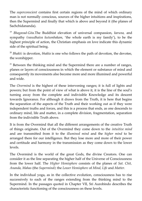The *superconscient* contains first certain regions of the mind of which ordinary man is not normally conscious, sources of the higher intuitions and inspirations, then the Supermind and finally that which is above and beyond it (the planes of Sachchidananda).

<sup>19</sup> *Bhagavad-Gita.*The Buddhist elevation of universal compassion, *karuna,* and sympathy *(vasudhaiva kutumbakam,* 'the whole earth is my family'), to be the highest principle of action, the Christian emphasis on love indicate this dynamic side of the spiritual being.

<sup>20</sup> Bhakti: is devotion, *bhakta* is one who follows the path of devotion, the devotee, the worshipper.

 $21$  Between the thinking mind and the Supermind there are a number of ranges, planes or layers of consciousness in which the element or substance of mind and consequently its movements also become more and more illumined and powerful and wide.

The *Overmind* is the highest of these intervening ranges; it is full of lights and powers; but from the point of view of what is above it, it is the line of the soul's turning away from the complete and indivisible Knowledge and its descent towards Ignorance. For although it draws from the Truth, it is here that begins the separation of the aspects of the Truth and their working out as if they were independent truths and forces, and this is a process that ends, as one descends to ordinary mind, life and matter, in a complete division, fragmentation, separation from the indivisible Truth above.

It is from the Overmind that all the different arrangements of the creative Truth of things originate. Out of the Overmind they come down to the *intuitive mind* and are transmitted from it to the *illumined mind* and the *higher mind* to be arranged there for our intelligence. But they lose more and more of their power and certitude and harmony in the transmission as they come down to the lower levels.

The Overmind is the world of the great Gods, the divine Creators. One can consider it as the line separating the higher half of the Universe of Consciousness from the lower half. The *Higher Hemisphere* consists of the planes of *Sat. Chit, Ananda, Mahas* (the *Supermind);* the *Lower Hemisphere* of *Mind, Life* and *Matter.*

In the individual yoga, as in the collective evolution, consciousness has to rise successively to each of the ranges extending from the thinking mind to the Supermind. In the passages quoted in Chapter VII, Sri Aurobindo describes the characteristic functioning of the consciousness on these levels.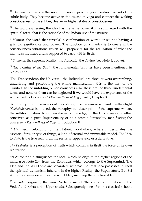<sup>22</sup> *The inner centres* are the seven lotuses or psychological centres (*chakra)* of the subtle body. They become active in the course of yoga and connect the waking consciousness to the subtler, deeper or higher states of consciousness.

 $23$  The word expressing the idea has the same power if it is surcharged with the spiritual force; that is the rationale of the Indian use of the *mantra\*.*

*\* Mantra*: 'the word that reveals', a combination of words or sounds having a spiritual significance and power. The function of a mantra is to create in the consciousness vibrations which will prepare it for the realization of what the mantra symbolizes and is supposed to carry within itself.

<sup>24</sup> Brahman: the supreme Reality, the Absolute, the Divine (see Note 1, above).

<sup>25</sup> *The Trinities of the Spirit:* the fundamental Trinities have been mentioned in Notes 1 and 2.

'The Transcendent, the Universal, the Individual are three powers overarching, underlying and penetrating the whole manifestation; this is the first of the Trinities. In the unfolding of consciousness also, these are the three fundamental terms and none of them can be neglected if we would have the experience of the whole Truth of existence.' (*The Synthesis of Yoga,* Part I, Chapter XI).

'A trinity of transcendent existence, self-awareness and self-delight (*Sachchidananda*) is, indeed, the metaphysical description of the supreme Atman, the self-formulation, to our awakened knowledge, of the Unknowable whether conceived as a pure Impersonality or as a cosmic Personality manifesting the universe.' *(The Synthesis of Yoga,* Introduction II).

<sup>26</sup> Idea: term belonging to the Platonic vocabulary, where it designates the essential form or type of things, a kind of eternal and immutable model. The Idea to Plato is the true reality; all the rest is an appearance or a derivative.

*The Real-Idea* is a perception of truth which contains in itself the force of its own realization.

Sri Aurobindo distinguishes the Idea, which belongs to the higher regions of the mind (see Note 20), from the Real-Idea, which belongs to the Supermind. The Idea and the Will-Force are separated, whereas the Real-Idea possesses in itself the spiritual dynamism inherent in the higher Reality, the Supemature. But Sri Aurobindo uses sometimes the word Idea, meaning thereby Real-Idea.

<sup>27</sup> *Vedanta:* originally the word Vedanta meant 'the end or culmination of the Vedas' and refers to the Upanishads. Subsequently, one of the six classical schools